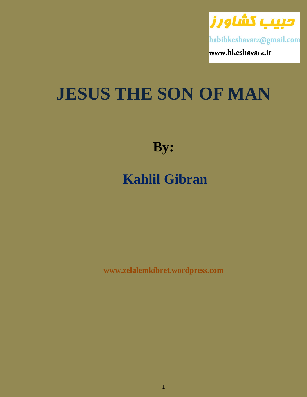

# **JESUS THE SON OF MAN**

**By:**

## **Kahlil Gibran**

**www.zelalemkibret.wordpress.com**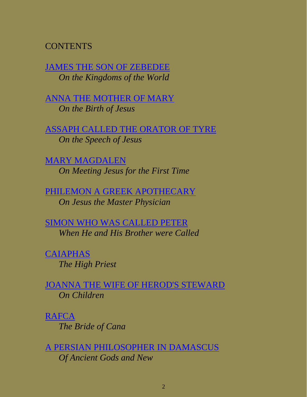### **CONTENTS**

[JAMES THE SON OF ZEBEDEE](http://gutenberg.net.au/ebooks03/0301451h.html#1)  *On the Kingdoms of the World*

[ANNA THE MOTHER OF MARY](http://gutenberg.net.au/ebooks03/0301451h.html#2)  *On the Birth of Jesus*

[ASSAPH CALLED THE ORATOR OF TYRE](http://gutenberg.net.au/ebooks03/0301451h.html#3)  *On the Speech of Jesus*

[MARY MAGDALEN](http://gutenberg.net.au/ebooks03/0301451h.html#4)  *On Meeting Jesus for the First Time*

[PHILEMON A GREEK APOTHECARY](http://gutenberg.net.au/ebooks03/0301451h.html#5)  *On Jesus the Master Physician*

[SIMON WHO WAS CALLED PETER](http://gutenberg.net.au/ebooks03/0301451h.html#6)  *When He and His Brother were Called*

[CAIAPHAS](http://gutenberg.net.au/ebooks03/0301451h.html#7)  *The High Priest*

[JOANNA THE WIFE OF HEROD'S STEWARD](http://gutenberg.net.au/ebooks03/0301451h.html#8)  *On Children*

[RAFCA](http://gutenberg.net.au/ebooks03/0301451h.html#9)  *The Bride of Cana*

[A PERSIAN PHILOSOPHER IN DAMASCUS](http://gutenberg.net.au/ebooks03/0301451h.html#10)  *Of Ancient Gods and New*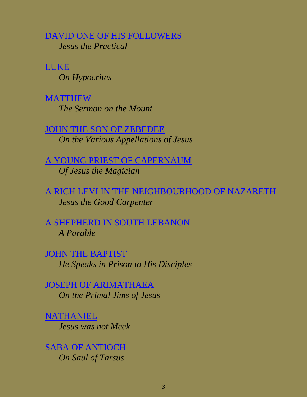[DAVID ONE OF HIS FOLLOWERS](http://gutenberg.net.au/ebooks03/0301451h.html#11)

 *Jesus the Practical*

[LUKE](http://gutenberg.net.au/ebooks03/0301451h.html#12)  *On Hypocrites*

[MATTHEW](http://gutenberg.net.au/ebooks03/0301451h.html#13)  *The Sermon on the Mount*

[JOHN THE SON OF ZEBEDEE](http://gutenberg.net.au/ebooks03/0301451h.html#14)  *On the Various Appellations of Jesus*

[A YOUNG PRIEST OF CAPERNAUM](http://gutenberg.net.au/ebooks03/0301451h.html#15)  *Of Jesus the Magician*

A RICH LEVI [IN THE NEIGHBOURHOOD OF NAZARETH](http://gutenberg.net.au/ebooks03/0301451h.html#16)  *Jesus the Good Carpenter*

[A SHEPHERD IN SOUTH LEBANON](http://gutenberg.net.au/ebooks03/0301451h.html#17)  *A Parable*

[JOHN THE BAPTIST](http://gutenberg.net.au/ebooks03/0301451h.html#18)  *He Speaks in Prison to His Disciples*

[JOSEPH OF ARIMATHAEA](http://gutenberg.net.au/ebooks03/0301451h.html#19)  *On the Primal Jims of Jesus*

[NATHANIEL](http://gutenberg.net.au/ebooks03/0301451h.html#20)  *Jesus was not Meek*

[SABA OF ANTIOCH](http://gutenberg.net.au/ebooks03/0301451h.html#21)  *On Saul of Tarsus*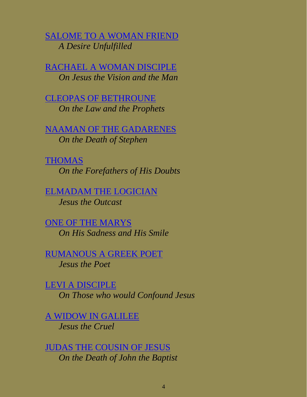[SALOME TO A WOMAN FRIEND](http://gutenberg.net.au/ebooks03/0301451h.html#22)  *A Desire Unfulfilled*

[RACHAEL A WOMAN DISCIPLE](http://gutenberg.net.au/ebooks03/0301451h.html#23)  *On Jesus the Vision and the Man*

[CLEOPAS OF BETHROUNE](http://gutenberg.net.au/ebooks03/0301451h.html#24)  *On the Law and the Prophets*

[NAAMAN OF THE GADARENES](http://gutenberg.net.au/ebooks03/0301451h.html#25)  *On the Death of Stephen*

[THOMAS](http://gutenberg.net.au/ebooks03/0301451h.html#26)  *On the Forefathers of His Doubts*

[ELMADAM THE LOGICIAN](http://gutenberg.net.au/ebooks03/0301451h.html#27)  *Jesus the Outcast*

[ONE OF THE MARYS](http://gutenberg.net.au/ebooks03/0301451h.html#28)  *On His Sadness and His Smile*

[RUMANOUS A GREEK POET](http://gutenberg.net.au/ebooks03/0301451h.html#29)  *Jesus the Poet*

[LEVI A DISCIPLE](http://gutenberg.net.au/ebooks03/0301451h.html#30)  *On Those who would Confound Jesus*

[A WIDOW IN GALILEE](http://gutenberg.net.au/ebooks03/0301451h.html#31)  *Jesus the Cruel*

[JUDAS THE COUSIN OF JESUS](http://gutenberg.net.au/ebooks03/0301451h.html#32)  *On the Death of John the Baptist*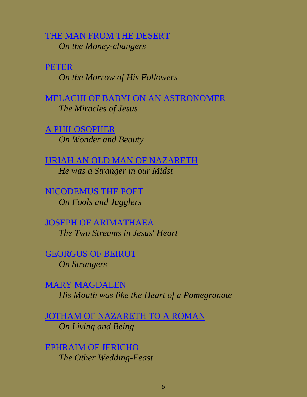[THE MAN FROM THE DESERT](http://gutenberg.net.au/ebooks03/0301451h.html#33)

 *On the Money-changers*

[PETER](http://gutenberg.net.au/ebooks03/0301451h.html#34)  *On the Morrow of His Followers*

[MELACHI OF BABYLON AN ASTRONOMER](http://gutenberg.net.au/ebooks03/0301451h.html#35)  *The Miracles of Jesus*

[A PHILOSOPHER](http://gutenberg.net.au/ebooks03/0301451h.html#36)  *On Wonder and Beauty*

[URIAH AN OLD MAN OF NAZARETH](http://gutenberg.net.au/ebooks03/0301451h.html#37)  *He was a Stranger in our Midst*

[NICODEMUS THE POET](http://gutenberg.net.au/ebooks03/0301451h.html#38)  *On Fools and Jugglers*

[JOSEPH OF ARIMATHAEA](http://gutenberg.net.au/ebooks03/0301451h.html#39)  *The Two Streams in Jesus' Heart*

[GEORGUS OF BEIRUT](http://gutenberg.net.au/ebooks03/0301451h.html#40)

 *On Strangers*

[MARY MAGDALEN](http://gutenberg.net.au/ebooks03/0301451h.html#41)  *His Mouth was like the Heart of a Pomegranate*

[JOTHAM OF NAZARETH TO A ROMAN](http://gutenberg.net.au/ebooks03/0301451h.html#42)  *On Living and Being*

[EPHRAIM OF JERICHO](http://gutenberg.net.au/ebooks03/0301451h.html#43)  *The Other Wedding-Feast*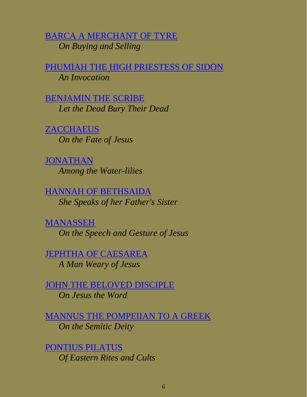[BARCA A MERCHANT OF TYRE](http://gutenberg.net.au/ebooks03/0301451h.html#44)  *On Buying and Selling*

[PHUMIAH THE HIGH PRIESTESS OF SIDON](http://gutenberg.net.au/ebooks03/0301451h.html#45)  *An Invocation*

[BENJAMIN THE SCRIBE](http://gutenberg.net.au/ebooks03/0301451h.html#46)  *Let the Dead Bury Their Dead*

**[ZACCHAEUS](http://gutenberg.net.au/ebooks03/0301451h.html#47)**  *On the Fate of Jesus*

**[JONATHAN](http://gutenberg.net.au/ebooks03/0301451h.html#48)**  *Among the Water-lilies*

[HANNAH OF BETHSAIDA](http://gutenberg.net.au/ebooks03/0301451h.html#49)  *She Speaks of her Father's Sister*

[MANASSEH](http://gutenberg.net.au/ebooks03/0301451h.html#50)  *On the Speech and Gesture of Jesus*

[JEPHTHA OF CAESAREA](http://gutenberg.net.au/ebooks03/0301451h.html#51)  *A Man Weary of Jesus*

[JOHN THE BELOVED DISCIPLE](http://gutenberg.net.au/ebooks03/0301451h.html#52)  *On Jesus the Word*

[MANNUS THE POMPEIIAN TO A GREEK](http://gutenberg.net.au/ebooks03/0301451h.html#53)  *On the Semitic Deity*

[PONTIUS PILATUS](http://gutenberg.net.au/ebooks03/0301451h.html#54)  *Of Eastern Rites and Cults*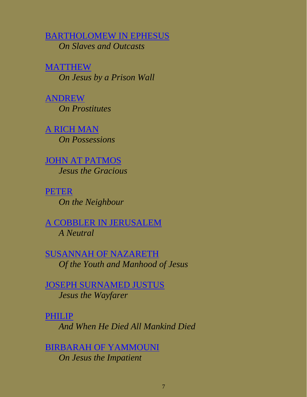[BARTHOLOMEW IN EPHESUS](http://gutenberg.net.au/ebooks03/0301451h.html#55)

 *On Slaves and Outcasts*

**[MATTHEW](http://gutenberg.net.au/ebooks03/0301451h.html#56)**  *On Jesus by a Prison Wall*

[ANDREW](http://gutenberg.net.au/ebooks03/0301451h.html#57)  *On Prostitutes*

[A RICH MAN](http://gutenberg.net.au/ebooks03/0301451h.html#58)  *On Possessions*

[JOHN AT PATMOS](http://gutenberg.net.au/ebooks03/0301451h.html#59)  *Jesus the Gracious*

[PETER](http://gutenberg.net.au/ebooks03/0301451h.html#60)  *On the Neighbour*

[A COBBLER IN JERUSALEM](http://gutenberg.net.au/ebooks03/0301451h.html#61)  *A Neutral*

[SUSANNAH OF NAZARETH](http://gutenberg.net.au/ebooks03/0301451h.html#62)  *Of the Youth and Manhood of Jesus*

[JOSEPH SURNAMED JUSTUS](http://gutenberg.net.au/ebooks03/0301451h.html#63)  *Jesus the Wayfarer*

[PHILIP](http://gutenberg.net.au/ebooks03/0301451h.html#64)

 *And When He Died All Mankind Died*

[BIRBARAH OF YAMMOUNI](http://gutenberg.net.au/ebooks03/0301451h.html#65)

 *On Jesus the Impatient*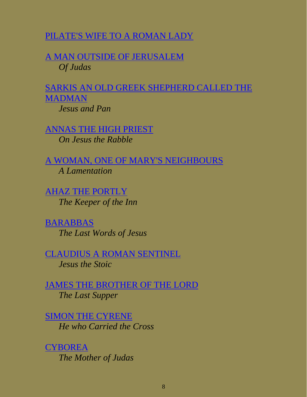### [PILATE'S WIFE TO A ROMAN LADY](http://gutenberg.net.au/ebooks03/0301451h.html#66)

### [A MAN OUTSIDE OF JERUSALEM](http://gutenberg.net.au/ebooks03/0301451h.html#67)  *Of Judas*

### [SARKIS AN OLD GREEK SHEPHERD CALLED THE](http://gutenberg.net.au/ebooks03/0301451h.html#68)  [MADMAN](http://gutenberg.net.au/ebooks03/0301451h.html#68)

 *Jesus and Pan*

[ANNAS THE HIGH PRIEST](http://gutenberg.net.au/ebooks03/0301451h.html#69)  *On Jesus the Rabble*

[A WOMAN, ONE OF MARY'S NEIGHBOURS](http://gutenberg.net.au/ebooks03/0301451h.html#70)  *A Lamentation*

[AHAZ THE PORTLY](http://gutenberg.net.au/ebooks03/0301451h.html#71)  *The Keeper of the Inn*

[BARABBAS](http://gutenberg.net.au/ebooks03/0301451h.html#72)  *The Last Words of Jesus*

[CLAUDIUS A ROMAN](http://gutenberg.net.au/ebooks03/0301451h.html#73) SENTINEL  *Jesus the Stoic*

[JAMES THE BROTHER OF THE LORD](http://gutenberg.net.au/ebooks03/0301451h.html#74)  *The Last Supper*

[SIMON THE CYRENE](http://gutenberg.net.au/ebooks03/0301451h.html#75)  *He who Carried the Cross*

**[CYBOREA](http://gutenberg.net.au/ebooks03/0301451h.html#76)**  *The Mother of Judas*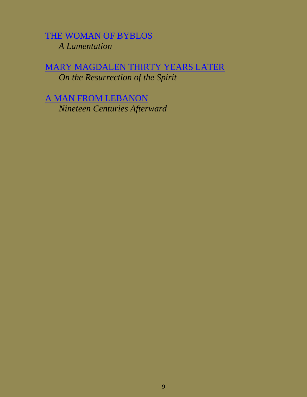[THE WOMAN OF BYBLOS](http://gutenberg.net.au/ebooks03/0301451h.html#77)  *A Lamentation*

[MARY MAGDALEN THIRTY YEARS LATER](http://gutenberg.net.au/ebooks03/0301451h.html#78)  *On the Resurrection of the Spirit*

[A MAN FROM LEBANON](http://gutenberg.net.au/ebooks03/0301451h.html#79)  *Nineteen Centuries Afterward*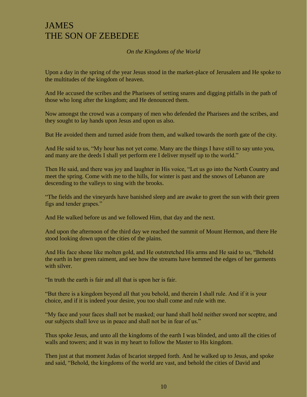### JAMES THE SON OF ZEBEDEE

*On the Kingdoms of the World*

Upon a day in the spring of the year Jesus stood in the market-place of Jerusalem and He spoke to the multitudes of the kingdom of heaven.

And He accused the scribes and the Pharisees of setting snares and digging pitfalls in the path of those who long after the kingdom; and He denounced them.

Now amongst the crowd was a company of men who defended the Pharisees and the scribes, and they sought to lay hands upon Jesus and upon us also.

But He avoided them and turned aside from them, and walked towards the north gate of the city.

And He said to us, "My hour has not yet come. Many are the things I have still to say unto you, and many are the deeds I shall yet perform ere I deliver myself up to the world."

Then He said, and there was joy and laughter in His voice, "Let us go into the North Country and meet the spring. Come with me to the hills, for winter is past and the snows of Lebanon are descending to the valleys to sing with the brooks.

"The fields and the vineyards have banished sleep and are awake to greet the sun with their green figs and tender grapes."

And He walked before us and we followed Him, that day and the next.

And upon the afternoon of the third day we reached the summit of Mount Hermon, and there He stood looking down upon the cities of the plains.

And His face shone like molten gold, and He outstretched His arms and He said to us, "Behold the earth in her green raiment, and see how the streams have hemmed the edges of her garments with silver.

"In truth the earth is fair and all that is upon her is fair.

"But there is a kingdom beyond all that you behold, and therein I shall rule. And if it is your choice, and if it is indeed your desire, you too shall come and rule with me.

"My face and your faces shall not be masked; our hand shall hold neither sword nor sceptre, and our subjects shall love us in peace and shall not be in fear of us."

Thus spoke Jesus, and unto all the kingdoms of the earth I was blinded, and unto all the cities of walls and towers; and it was in my heart to follow the Master to His kingdom.

Then just at that moment Judas of Iscariot stepped forth. And he walked up to Jesus, and spoke and said, "Behold, the kingdoms of the world are vast, and behold the cities of David and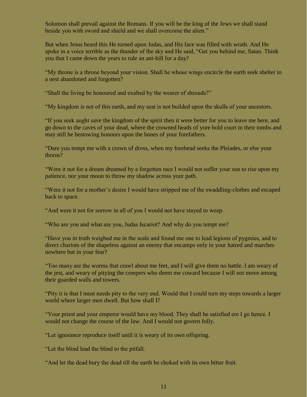Solomon shall prevail against the Romans. If you will be the king of the Jews we shall stand beside you with sword and shield and we shall overcome the alien."

But when Jesus heard this He turned upon Judas, and His face was filled with wrath. And He spoke in a voice terrible as the thunder of the sky and He said, "Get you behind me, Satan. Think you that I came down the years to rule an ant-hill for a day?

"My throne is a throne beyond your vision. Shall he whose wings encircle the earth seek shelter in a nest abandoned and forgotten?

"Shall the living be honoured and exalted by the wearer of shrouds?"

"My kingdom is not of this earth, and my seat is not builded upon the skulls of your ancestors.

"If you seek aught save the kingdom of the spirit then it were better for you to leave me here, and go down to the caves of your dead, where the crowned heads of yore hold court in their tombs and may still be bestowing honours upon the bones of your forefathers.

"Dare you tempt me with a crown of dross, when my forehead seeks the Pleiades, or else your thorns?

"Were it not for a dream dreamed by a forgotten race I would not suffer your sun to rise upon my patience, nor your moon to throw my shadow across your path.

"Were it not for a mother's desire I would have stripped me of the swaddling-clothes and escaped back to space.

"And were it not for sorrow in all of you I would not have stayed to weep.

"Who are you and what are you, Judas Iscariot? And why do you tempt me?

"Have you in truth weighed me in the scale and found me one to lead legions of pygmies, and to direct chariots of the shapeless against an enemy that encamps only in your hatred and marches nowhere but in your fear?

"Too many are the worms that crawl about me feet, and I will give them no battle. I am weary of the jest, and weary of pitying the creepers who deem me coward because I will not move among their guarded walls and towers.

"Pity it is that I must needs pity to the very end. Would that I could turn my steps towards a larger world where larger men dwell. But how shall I?

"Your priest and your emperor would have my blood. They shall be satisfied ere I go hence. I would not change the course of the law. And I would not govern folly.

"Let ignorance reproduce itself until it is weary of its own offspring.

"Let the blind lead the blind to the pitfall.

"And let the dead bury the dead till the earth be choked with its own bitter fruit.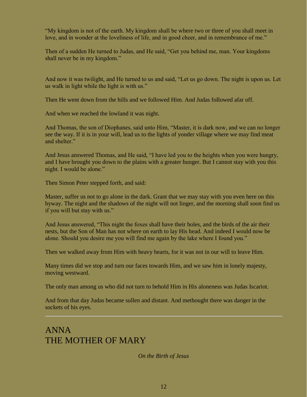"My kingdom is not of the earth. My kingdom shall be where two or three of you shall meet in love, and in wonder at the loveliness of life, and in good cheer, and in remembrance of me."

Then of a sudden He turned to Judas, and He said, "Get you behind me, man. Your kingdoms shall never be in my kingdom."

And now it was twilight, and He turned to us and said, "Let us go down. The night is upon us. Let us walk in light while the light is with us."

Then He went down from the hills and we followed Him. And Judas followed afar off.

And when we reached the lowland it was night.

And Thomas, the son of Diophanes, said unto Him, "Master, it is dark now, and we can no longer see the way. If it is in your will, lead us to the lights of yonder village where we may find meat and shelter."

And Jesus answered Thomas, and He said, "I have led you to the heights when you were hungry, and I have brought you down to the plains with a greater hunger. But I cannot stay with you this night. I would be alone."

Then Simon Peter stepped forth, and said:

Master, suffer us not to go alone in the dark. Grant that we may stay with you even here on this byway. The night and the shadows of the night will not linger, and the morning shall soon find us if you will but stay with us."

And Jesus answered, "This night the foxes shall have their holes, and the birds of the air their nests, but the Son of Man has not where on earth to lay His head. And indeed I would now be alone. Should you desire me you will find me again by the lake where I found you."

Then we walked away from Him with heavy hearts, for it was not in our will to leave Him.

Many times did we stop and turn our faces towards Him, and we saw him in lonely majesty, moving westward.

The only man among us who did not turn to behold Him in His aloneness was Judas Iscariot.

And from that day Judas became sullen and distant. And methought there was danger in the sockets of his eyes.

### ANNA THE MOTHER OF MARY

*On the Birth of Jesus*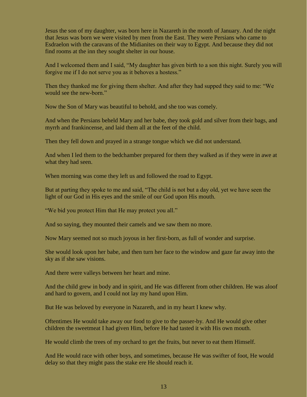Jesus the son of my daughter, was born here in Nazareth in the month of January. And the night that Jesus was born we were visited by men from the East. They were Persians who came to Esdraelon with the caravans of the Midianites on their way to Egypt. And because they did not find rooms at the inn they sought shelter in our house.

And I welcomed them and I said, "My daughter has given birth to a son this night. Surely you will forgive me if I do not serve you as it behoves a hostess."

Then they thanked me for giving them shelter. And after they had supped they said to me: "We would see the new-born."

Now the Son of Mary was beautiful to behold, and she too was comely.

And when the Persians beheld Mary and her babe, they took gold and silver from their bags, and myrrh and frankincense, and laid them all at the feet of the child.

Then they fell down and prayed in a strange tongue which we did not understand.

And when I led them to the bedchamber prepared for them they walked as if they were in awe at what they had seen.

When morning was come they left us and followed the road to Egypt.

But at parting they spoke to me and said, "The child is not but a day old, yet we have seen the light of our God in His eyes and the smile of our God upon His mouth.

"We bid you protect Him that He may protect you all."

And so saying, they mounted their camels and we saw them no more.

Now Mary seemed not so much joyous in her first-born, as full of wonder and surprise.

She would look upon her babe, and then turn her face to the window and gaze far away into the sky as if she saw visions.

And there were valleys between her heart and mine.

And the child grew in body and in spirit, and He was different from other children. He was aloof and hard to govern, and I could not lay my hand upon Him.

But He was beloved by everyone in Nazareth, and in my heart I knew why.

Oftentimes He would take away our food to give to the passer-by. And He would give other children the sweetmeat I had given Him, before He had tasted it with His own mouth.

He would climb the trees of my orchard to get the fruits, but never to eat them Himself.

And He would race with other boys, and sometimes, because He was swifter of foot, He would delay so that they might pass the stake ere He should reach it.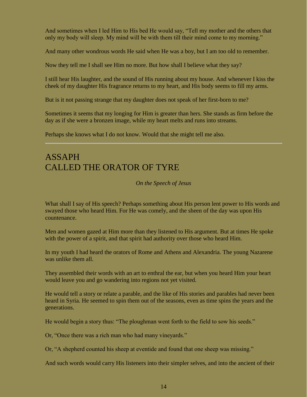And sometimes when I led Him to His bed He would say, "Tell my mother and the others that only my body will sleep. My mind will be with them till their mind come to my morning."

And many other wondrous words He said when He was a boy, but I am too old to remember.

Now they tell me I shall see Him no more. But how shall I believe what they say?

I still hear His laughter, and the sound of His running about my house. And whenever I kiss the cheek of my daughter His fragrance returns to my heart, and His body seems to fill my arms.

But is it not passing strange that my daughter does not speak of her first-born to me?

Sometimes it seems that my longing for Him is greater than hers. She stands as firm before the day as if she were a bronzen image, while my heart melts and runs into streams.

Perhaps she knows what I do not know. Would that she might tell me also.

### ASSAPH CALLED THE ORATOR OF TYRE

*On the Speech of Jesus*

What shall I say of His speech? Perhaps something about His person lent power to His words and swayed those who heard Him. For He was comely, and the sheen of the day was upon His countenance.

Men and women gazed at Him more than they listened to His argument. But at times He spoke with the power of a spirit, and that spirit had authority over those who heard Him.

In my youth I had heard the orators of Rome and Athens and Alexandria. The young Nazarene was unlike them all.

They assembled their words with an art to enthral the ear, but when you heard Him your heart would leave you and go wandering into regions not yet visited.

He would tell a story or relate a parable, and the like of His stories and parables had never been heard in Syria. He seemed to spin them out of the seasons, even as time spins the years and the generations.

He would begin a story thus: "The ploughman went forth to the field to sow his seeds."

Or, "Once there was a rich man who had many vineyards."

Or, "A shepherd counted his sheep at eventide and found that one sheep was missing."

And such words would carry His listeners into their simpler selves, and into the ancient of their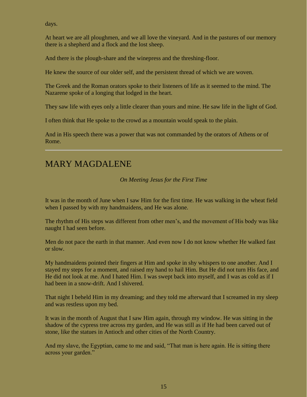days.

At heart we are all ploughmen, and we all love the vineyard. And in the pastures of our memory there is a shepherd and a flock and the lost sheep.

And there is the plough-share and the winepress and the threshing-floor.

He knew the source of our older self, and the persistent thread of which we are woven.

The Greek and the Roman orators spoke to their listeners of life as it seemed to the mind. The Nazarene spoke of a longing that lodged in the heart.

They saw life with eyes only a little clearer than yours and mine. He saw life in the light of God.

I often think that He spoke to the crowd as a mountain would speak to the plain.

And in His speech there was a power that was not commanded by the orators of Athens or of Rome.

### MARY MAGDALENE

#### *On Meeting Jesus for the First Time*

It was in the month of June when I saw Him for the first time. He was walking in the wheat field when I passed by with my handmaidens, and He was alone.

The rhythm of His steps was different from other men's, and the movement of His body was like naught I had seen before.

Men do not pace the earth in that manner. And even now I do not know whether He walked fast or slow.

My handmaidens pointed their fingers at Him and spoke in shy whispers to one another. And I stayed my steps for a moment, and raised my hand to hail Him. But He did not turn His face, and He did not look at me. And I hated Him. I was swept back into myself, and I was as cold as if I had been in a snow-drift. And I shivered.

That night I beheld Him in my dreaming; and they told me afterward that I screamed in my sleep and was restless upon my bed.

It was in the month of August that I saw Him again, through my window. He was sitting in the shadow of the cypress tree across my garden, and He was still as if He had been carved out of stone, like the statues in Antioch and other cities of the North Country.

And my slave, the Egyptian, came to me and said, "That man is here again. He is sitting there across your garden."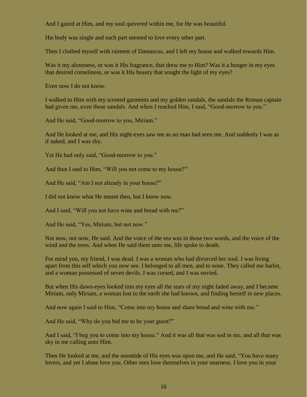And I gazed at Him, and my soul quivered within me, for He was beautiful.

His body was single and each part seemed to love every other part.

Then I clothed myself with raiment of Damascus, and I left my house and walked towards Him.

Was it my aloneness, or was it His fragrance, that drew me to Him? Was it a hunger in my eyes that desired comeliness, or was it His beauty that sought the light of my eyes?

Even now I do not know.

I walked to Him with my scented garments and my golden sandals, the sandals the Roman captain had given me, even these sandals. And when I reached Him, I said, "Good-morrow to you."

And He said, "Good-morrow to you, Miriam."

And He looked at me, and His night-eyes saw me as no man had seen me. And suddenly I was as if naked, and I was shy.

Yet He had only said, "Good-morrow to you."

And then I said to Him, "Will you not come to my house?"

And He said, "Am I not already in your house?"

I did not know what He meant then, but I know now.

And I said, "Will you not have wine and bread with me?"

And He said, "Yes, Miriam, but not now."

Not now, not now, He said. And the voice of the sea was in those two words, and the voice of the wind and the trees. And when He said them unto me, life spoke to death.

For mind you, my friend, I was dead. I was a woman who had divorced her soul. I was living apart from this self which you now see. I belonged to all men, and to none. They called me harlot, and a woman possessed of seven devils. I was cursed, and I was envied.

But when His dawn-eyes looked into my eyes all the stars of my night faded away, and I became Miriam, only Miriam, a woman lost to the earth she had known, and finding herself in new places.

And now again I said to Him, "Come into my house and share bread and wine with me."

And He said, "Why do you bid me to be your guest?"

And I said, "I beg you to come into my house." And it was all that was sod in me, and all that was sky in me calling unto Him.

Then He looked at me, and the noontide of His eyes was upon me, and He said, "You have many lovers, and yet I alone love you. Other men love themselves in your nearness. I love you in your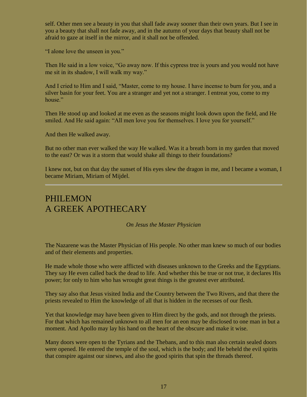self. Other men see a beauty in you that shall fade away sooner than their own years. But I see in you a beauty that shall not fade away, and in the autumn of your days that beauty shall not be afraid to gaze at itself in the mirror, and it shall not be offended.

"I alone love the unseen in you."

Then He said in a low voice, "Go away now. If this cypress tree is yours and you would not have me sit in its shadow, I will walk my way."

And I cried to Him and I said, "Master, come to my house. I have incense to burn for you, and a silver basin for your feet. You are a stranger and yet not a stranger. I entreat you, come to my house."

Then He stood up and looked at me even as the seasons might look down upon the field, and He smiled. And He said again: "All men love you for themselves. I love you for yourself."

And then He walked away.

But no other man ever walked the way He walked. Was it a breath born in my garden that moved to the east? Or was it a storm that would shake all things to their foundations?

I knew not, but on that day the sunset of His eyes slew the dragon in me, and I became a woman, I became Miriam, Miriam of Mijdel.

### **PHILEMON** A GREEK APOTHECARY

*On Jesus the Master Physician*

The Nazarene was the Master Physician of His people. No other man knew so much of our bodies and of their elements and properties.

He made whole those who were afflicted with diseases unknown to the Greeks and the Egyptians. They say He even called back the dead to life. And whether this be true or not true, it declares His power; for only to him who has wrought great things is the greatest ever attributed.

They say also that Jesus visited India and the Country between the Two Rivers, and that there the priests revealed to Him the knowledge of all that is hidden in the recesses of our flesh.

Yet that knowledge may have been given to Him direct by the gods, and not through the priests. For that which has remained unknown to all men for an eon may be disclosed to one man in but a moment. And Apollo may lay his hand on the heart of the obscure and make it wise.

Many doors were open to the Tyrians and the Thebans, and to this man also certain sealed doors were opened. He entered the temple of the soul, which is the body; and He beheld the evil spirits that conspire against our sinews, and also the good spirits that spin the threads thereof.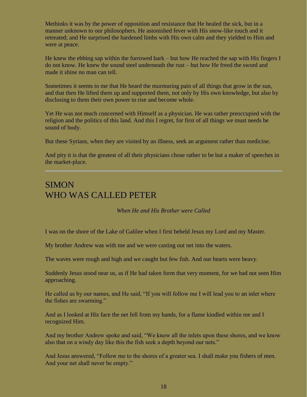Methinks it was by the power of opposition and resistance that He healed the sick, but in a manner unknown to our philosophers. He astonished fever with His snow-like touch and it retreated; and He surprised the hardened limbs with His own calm and they yielded to Him and were at peace.

He knew the ebbing sap within the furrowed bark – but how He reached the sap with His fingers I do not know. He knew the sound steel underneath the rust – but how He freed the sword and made it shine no man can tell.

Sometimes it seems to me that He heard the murmuring pain of all things that grow in the sun, and that then He lifted them up and supported them, not only by His own knowledge, but also by disclosing to them their own power to rise and become whole.

Yet He was not much concerned with Himself as a physician. He was rather preoccupied with the religion and the politics of this land. And this I regret, for first of all things we must needs be sound of body.

But these Syrians, when they are visited by an illness, seek an argument rather than medicine.

And pity it is that the greatest of all their physicians chose rather to be but a maker of speeches in the market-place.

### SIMON WHO WAS CALLED PETER

*When He and His Brother were Called*

I was on the shore of the Lake of Galilee when I first beheld Jesus my Lord and my Master.

My brother Andrew was with me and we were casting out net into the waters.

The waves were rough and high and we caught but few fish. And our hearts were heavy.

Suddenly Jesus stood near us, as if He had taken form that very moment, for we had not seen Him approaching.

He called us by our names, and He said, "If you will follow me I will lead you to an inlet where the fishes are swarming."

And as I looked at His face the net fell from my hands, for a flame kindled within me and I recognized Him.

And my brother Andrew spoke and said, "We know all the inlets upon these shores, and we know also that on a windy day like this the fish seek a depth beyond our nets."

And Jesus answered, "Follow me to the shores of a greater sea. I shall make you fishers of men. And your net shall never be empty."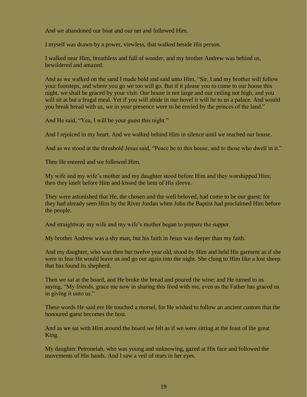And we abandoned our boat and our net and followed Him.

I myself was drawn by a power, viewless, that walked beside His person.

I walked near Him, breathless and full of wonder, and my brother Andrew was behind us, bewildered and amazed.

And as we walked on the sand I made bold and said unto Him, "Sir, I and my brother will follow your footsteps, and where you go we too will go. But if it please you to come to our house this night, we shall be graced by your visit. Our house is not large and our ceiling not high, and you will sit at but a frugal meal. Yet if you will abide in our hovel it will be to us a palace. And would you break bread with us, we in your presence were to be envied by the princes of the land."

And He said, "Yea, I will be your guest this night."

And I rejoiced in my heart. And we walked behind Him in silence until we reached our house.

And as we stood at the threshold Jesus said, "Peace be to this house, and to those who dwell in it."

Then He entered and we followed Him.

My wife and my wife's mother and my daughter stood before Him and they worshipped Him; then they knelt before Him and kissed the hem of His sleeve.

They were astonished that He, the chosen and the well beloved, had come to be our guest; for they had already seen Him by the River Jordan when John the Baptist had proclaimed Him before the people.

And straightway my wife and my wife's mother began to prepare the supper.

My brother Andrew was a shy man, but his faith in Jesus was deeper than my faith.

And my daughter, who was then but twelve year old, stood by Him and held His garment as if she were in fear He would leave us and go out again into the night. She clung to Him like a lost sheep that has found its shepherd.

Then we sat at the board, and He broke the bread and poured the wine; and He turned to us saying, "My friends, grace me now in sharing this food with me, even as the Father has graced us in giving it unto us."

These words He said ere He touched a morsel, for He wished to follow an ancient custom that the honoured guest becomes the host.

And as we sat with Him around the board we felt as if we were sitting at the feast of the great King.

My daughter Petronelah, who was young and unknowing, gazed at His face and followed the movements of His hands. And I saw a veil of tears in her eyes.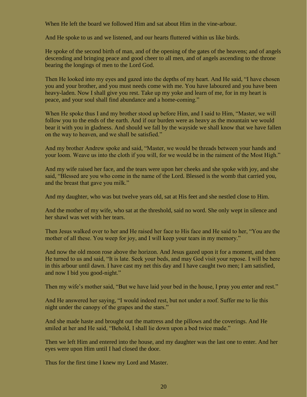When He left the board we followed Him and sat about Him in the vine-arbour.

And He spoke to us and we listened, and our hearts fluttered within us like birds.

He spoke of the second birth of man, and of the opening of the gates of the heavens; and of angels descending and bringing peace and good cheer to all men, and of angels ascending to the throne bearing the longings of men to the Lord God.

Then He looked into my eyes and gazed into the depths of my heart. And He said, "I have chosen you and your brother, and you must needs come with me. You have laboured and you have been heavy-laden. Now I shall give you rest. Take up my yoke and learn of me, for in my heart is peace, and your soul shall find abundance and a home-coming."

When He spoke thus I and my brother stood up before Him, and I said to Him, "Master, we will follow you to the ends of the earth. And if our burden were as heavy as the mountain we would bear it with you in gladness. And should we fall by the wayside we shall know that we have fallen on the way to heaven, and we shall be satisfied."

And my brother Andrew spoke and said, "Master, we would be threads between your hands and your loom. Weave us into the cloth if you will, for we would be in the raiment of the Most High."

And my wife raised her face, and the tears were upon her cheeks and she spoke with joy, and she said, "Blessed are you who come in the name of the Lord. Blessed is the womb that carried you, and the breast that gave you milk."

And my daughter, who was but twelve years old, sat at His feet and she nestled close to Him.

And the mother of my wife, who sat at the threshold, said no word. She only wept in silence and her shawl was wet with her tears.

Then Jesus walked over to her and He raised her face to His face and He said to her, "You are the mother of all these. You weep for joy, and I will keep your tears in my memory."

And now the old moon rose above the horizon. And Jesus gazed upon it for a moment, and then He turned to us and said, "It is late. Seek your beds, and may God visit your repose. I will be here in this arbour until dawn. I have cast my net this day and I have caught two men; I am satisfied, and now I bid you good-night."

Then my wife's mother said, "But we have laid your bed in the house, I pray you enter and rest."

And He answered her saying, "I would indeed rest, but not under a roof. Suffer me to lie this night under the canopy of the grapes and the stars."

And she made haste and brought out the mattress and the pillows and the coverings. And He smiled at her and He said, "Behold, I shall lie down upon a bed twice made."

Then we left Him and entered into the house, and my daughter was the last one to enter. And her eyes were upon Him until I had closed the door.

Thus for the first time I knew my Lord and Master.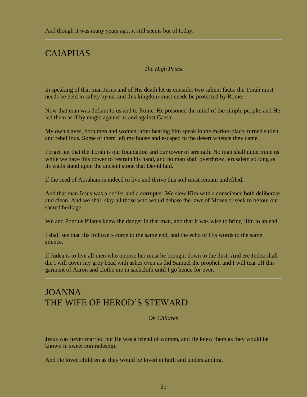### CAIAPHAS

*The High Priest*

In speaking of that man Jesus and of His death let us consider two salient facts: the Torah must needs be held in safety by us, and this kingdom must needs be protected by Rome.

Now that man was defiant to us and to Rome. He poisoned the mind of the simple people, and He led them as if by magic against us and against Caesar.

My own slaves, both men and women, after hearing him speak in the market-place, turned sullen and rebellious. Some of them left my house and escaped to the desert whence they came.

Forget not that the Torah is our foundation and our tower of strength. No man shall undermine us while we have this power to restrain his hand, and no man shall overthrow Jerusalem so long as its walls stand upon the ancient stone that David laid.

If the seed of Abraham is indeed to live and thrive this soil must remain undefiled.

And that man Jesus was a defiler and a corrupter. We slew Him with a conscience both deliberate and clean. And we shall slay all those who would debase the laws of Moses or seek to befoul our sacred heritage.

We and Pontius Pilatus knew the danger in that man, and that it was wise to bring Him to an end.

I shall see that His followers come to the same end, and the echo of His words to the same silence.

If Judea is to live all men who oppose her must be brought down to the dust. And ere Judea shall die I will cover my grey head with ashes even as did Samuel the prophet, and I will tear off this garment of Aaron and clothe me in sackcloth until I go hence for ever.

### JOANNA THE WIFE OF HEROD'S STEWARD

#### *On Children*

Jesus was never married but He was a friend of women, and He knew them as they would be known in sweet comradeship.

And He loved children as they would be loved in faith and understanding.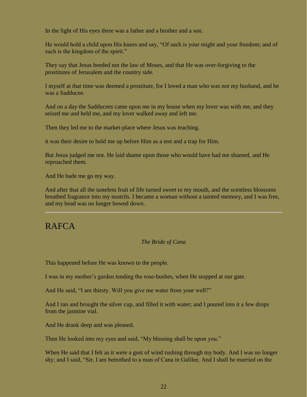In the light of His eyes there was a father and a brother and a son.

He would hold a child upon His knees and say, "Of such is your might and your freedom; and of such is the kingdom of the spirit."

They say that Jesus heeded not the law of Moses, and that He was over-forgiving to the prostitutes of Jerusalem and the country side.

I myself at that time was deemed a prostitute, for I loved a man who was not my husband, and he was a Sadducee.

And on a day the Sadducees came upon me in my house when my lover was with me, and they seized me and held me, and my lover walked away and left me.

Then they led me to the market-place where Jesus was teaching.

it was their desire to hold me up before Him as a test and a trap for Him.

But Jesus judged me not. He laid shame upon those who would have had me shamed, and He reproached them.

And He bade me go my way.

And after that all the tasteless fruit of life turned sweet to my mouth, and the scentless blossoms breathed fragrance into my nostrils. I became a woman without a tainted memory, and I was free, and my head was no longer bowed down.

### RAFCA

#### *The Bride of Cana*

This happened before He was known to the people.

I was in my mother's garden tending the rose-bushes, when He stopped at our gate.

And He said, "I am thirsty. Will you give me water from your well?"

And I ran and brought the silver cup, and filled it with water; and I poured into it a few drops from the jasmine vial.

And He drank deep and was pleased.

Then He looked into my eyes and said, "My blessing shall be upon you."

When He said that I felt as it were a gust of wind rushing through my body. And I was no longer shy; and I said, "Sir, I am betrothed to a man of Cana in Galilee. And I shall be married on the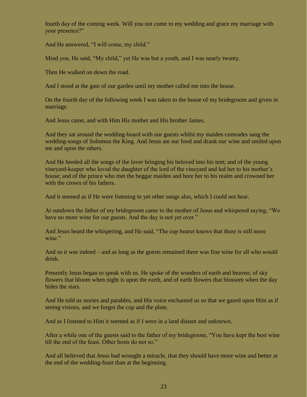fourth day of the coming week. Will you not come to my wedding and grace my marriage with your presence?"

And He answered, "I will come, my child."

Mind you, He said, "My child," yet He was but a youth, and I was nearly twenty.

Then He walked on down the road.

And I stood at the gate of our garden until my mother called me into the house.

On the fourth day of the following week I was taken to the house of my bridegroom and given in marriage.

And Jesus came, and with Him His mother and His brother James.

And they sat around the wedding-board with our guests whilst my maiden comrades sang the wedding-songs of Solomon the King. And Jesus ate our food and drank our wine and smiled upon me and upon the others.

And He heeded all the songs of the lover bringing his beloved into his tent; and of the young vineyard-keeper who loved the daughter of the lord of the vineyard and led her to his mother's house; and of the prince who met the beggar maiden and bore her to his realm and crowned her with the crown of his fathers.

And it seemed as if He were listening to yet other songs also, which I could not hear.

At sundown the father of my bridegroom came to the mother of Jesus and whispered saying, "We have no more wine for our guests. And the day is not yet over."

And Jesus heard the whispering, and He said, "The cup bearer knows that there is still more wine"

And so it was indeed – and as long as the guests remained there was fine wine for all who would drink.

Presently Jesus began to speak with us. He spoke of the wonders of earth and heaven; of sky flowers that bloom when night is upon the earth, and of earth flowers that blossom when the day hides the stars.

And He told us stories and parables, and His voice enchanted us so that we gazed upon Him as if seeing visions, and we forgot the cup and the plate.

And as I listened to Him it seemed as if I were in a land distant and unknown.

After a while one of the guests said to the father of my bridegroom, "You have kept the best wine till the end of the feast. Other hosts do not so."

And all believed that Jesus had wrought a miracle, that they should have more wine and better at the end of the wedding-feast than at the beginning.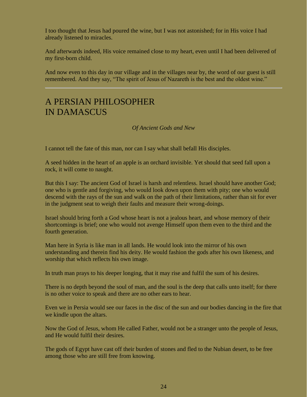I too thought that Jesus had poured the wine, but I was not astonished; for in His voice I had already listened to miracles.

And afterwards indeed, His voice remained close to my heart, even until I had been delivered of my first-born child.

And now even to this day in our village and in the villages near by, the word of our guest is still remembered. And they say, "The spirit of Jesus of Nazareth is the best and the oldest wine."

### A PERSIAN PHILOSOPHER IN DAMASCUS

*Of Ancient Gods and New*

I cannot tell the fate of this man, nor can I say what shall befall His disciples.

A seed hidden in the heart of an apple is an orchard invisible. Yet should that seed fall upon a rock, it will come to naught.

But this I say: The ancient God of Israel is harsh and relentless. Israel should have another God; one who is gentle and forgiving, who would look down upon them with pity; one who would descend with the rays of the sun and walk on the path of their limitations, rather than sit for ever in the judgment seat to weigh their faults and measure their wrong-doings.

Israel should bring forth a God whose heart is not a jealous heart, and whose memory of their shortcomings is brief; one who would not avenge Himself upon them even to the third and the fourth generation.

Man here in Syria is like man in all lands. He would look into the mirror of his own understanding and therein find his deity. He would fashion the gods after his own likeness, and worship that which reflects his own image.

In truth man prays to his deeper longing, that it may rise and fulfil the sum of his desires.

There is no depth beyond the soul of man, and the soul is the deep that calls unto itself; for there is no other voice to speak and there are no other ears to hear.

Even we in Persia would see our faces in the disc of the sun and our bodies dancing in the fire that we kindle upon the altars.

Now the God of Jesus, whom He called Father, would not be a stranger unto the people of Jesus, and He would fulfil their desires.

The gods of Egypt have cast off their burden of stones and fled to the Nubian desert, to be free among those who are still free from knowing.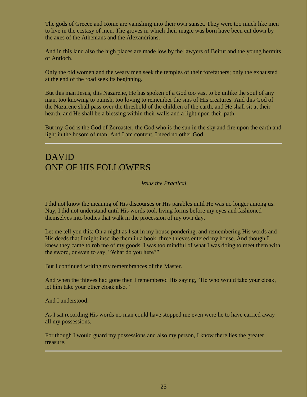The gods of Greece and Rome are vanishing into their own sunset. They were too much like men to live in the ecstasy of men. The groves in which their magic was born have been cut down by the axes of the Athenians and the Alexandrians.

And in this land also the high places are made low by the lawyers of Beirut and the young hermits of Antioch.

Only the old women and the weary men seek the temples of their forefathers; only the exhausted at the end of the road seek its beginning.

But this man Jesus, this Nazarene, He has spoken of a God too vast to be unlike the soul of any man, too knowing to punish, too loving to remember the sins of His creatures. And this God of the Nazarene shall pass over the threshold of the children of the earth, and He shall sit at their hearth, and He shall be a blessing within their walls and a light upon their path.

But my God is the God of Zoroaster, the God who is the sun in the sky and fire upon the earth and light in the bosom of man. And I am content. I need no other God.

### DAVID ONE OF HIS FOLLOWERS

*Jesus the Practical*

I did not know the meaning of His discourses or His parables until He was no longer among us. Nay, I did not understand until His words took living forms before my eyes and fashioned themselves into bodies that walk in the procession of my own day.

Let me tell you this: On a night as I sat in my house pondering, and remembering His words and His deeds that I might inscribe them in a book, three thieves entered my house. And though I knew they came to rob me of my goods, I was too mindful of what I was doing to meet them with the sword, or even to say, "What do you here?"

But I continued writing my remembrances of the Master.

And when the thieves had gone then I remembered His saying, "He who would take your cloak, let him take your other cloak also."

And I understood.

As I sat recording His words no man could have stopped me even were he to have carried away all my possessions.

For though I would guard my possessions and also my person, I know there lies the greater treasure.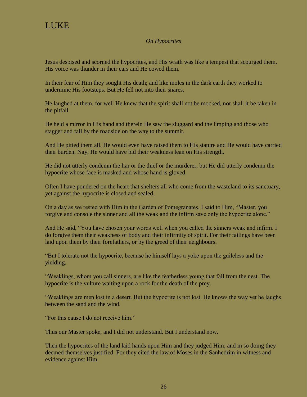### LUKE

#### *On Hypocrites*

Jesus despised and scorned the hypocrites, and His wrath was like a tempest that scourged them. His voice was thunder in their ears and He cowed them.

In their fear of Him they sought His death; and like moles in the dark earth they worked to undermine His footsteps. But He fell not into their snares.

He laughed at them, for well He knew that the spirit shall not be mocked, nor shall it be taken in the pitfall.

He held a mirror in His hand and therein He saw the sluggard and the limping and those who stagger and fall by the roadside on the way to the summit.

And He pitied them all. He would even have raised them to His stature and He would have carried their burden. Nay, He would have bid their weakness lean on His strength.

He did not utterly condemn the liar or the thief or the murderer, but He did utterly condemn the hypocrite whose face is masked and whose hand is gloved.

Often I have pondered on the heart that shelters all who come from the wasteland to its sanctuary, yet against the hypocrite is closed and sealed.

On a day as we rested with Him in the Garden of Pomegranates, I said to Him, "Master, you forgive and console the sinner and all the weak and the infirm save only the hypocrite alone."

And He said, "You have chosen your words well when you called the sinners weak and infirm. I do forgive them their weakness of body and their infirmity of spirit. For their failings have been laid upon them by their forefathers, or by the greed of their neighbours.

"But I tolerate not the hypocrite, because he himself lays a yoke upon the guileless and the yielding.

"Weaklings, whom you call sinners, are like the featherless young that fall from the nest. The hypocrite is the vulture waiting upon a rock for the death of the prey.

"Weaklings are men lost in a desert. But the hypocrite is not lost. He knows the way yet he laughs between the sand and the wind.

"For this cause I do not receive him."

Thus our Master spoke, and I did not understand. But I understand now.

Then the hypocrites of the land laid hands upon Him and they judged Him; and in so doing they deemed themselves justified. For they cited the law of Moses in the Sanhedrim in witness and evidence against Him.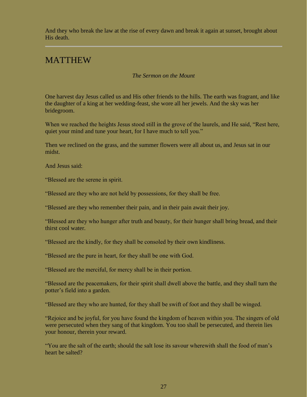And they who break the law at the rise of every dawn and break it again at sunset, brought about His death.

### MATTHEW

*The Sermon on the Mount*

One harvest day Jesus called us and His other friends to the hills. The earth was fragrant, and like the daughter of a king at her wedding-feast, she wore all her jewels. And the sky was her bridegroom.

When we reached the heights Jesus stood still in the grove of the laurels, and He said, "Rest here, quiet your mind and tune your heart, for I have much to tell you."

Then we reclined on the grass, and the summer flowers were all about us, and Jesus sat in our midst.

And Jesus said:

"Blessed are the serene in spirit.

"Blessed are they who are not held by possessions, for they shall be free.

"Blessed are they who remember their pain, and in their pain await their joy.

"Blessed are they who hunger after truth and beauty, for their hunger shall bring bread, and their thirst cool water.

"Blessed are the kindly, for they shall be consoled by their own kindliness.

"Blessed are the pure in heart, for they shall be one with God.

"Blessed are the merciful, for mercy shall be in their portion.

"Blessed are the peacemakers, for their spirit shall dwell above the battle, and they shall turn the potter's field into a garden.

"Blessed are they who are hunted, for they shall be swift of foot and they shall be winged.

"Rejoice and be joyful, for you have found the kingdom of heaven within you. The singers of old were persecuted when they sang of that kingdom. You too shall be persecuted, and therein lies your honour, therein your reward.

"You are the salt of the earth; should the salt lose its savour wherewith shall the food of man's heart be salted?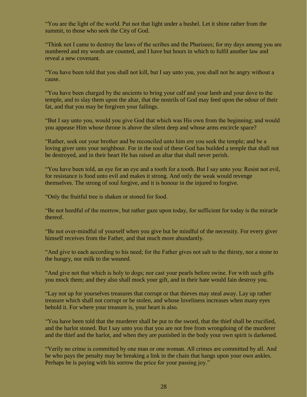"You are the light of the world. Put not that light under a bushel. Let it shine rather from the summit, to those who seek the City of God.

"Think not I came to destroy the laws of the scribes and the Pharisees; for my days among you are numbered and my words are counted, and I have but hours in which to fulfil another law and reveal a new covenant.

"You have been told that you shall not kill, but I say unto you, you shall not be angry without a cause.

"You have been charged by the ancients to bring your calf and your lamb and your dove to the temple, and to slay them upon the altar, that the nostrils of God may feed upon the odour of their fat, and that you may be forgiven your failings.

"But I say unto you, would you give God that which was His own from the beginning; and would you appease Him whose throne is above the silent deep and whose arms encircle space?

"Rather, seek out your brother and be reconciled unto him ere you seek the temple; and be a loving giver unto your neighbour. For in the soul of these God has builded a temple that shall not be destroyed, and in their heart He has raised an altar that shall never perish.

"You have been told, an eye for an eye and a tooth for a tooth. But I say unto you: Resist not evil, for resistance is food unto evil and makes it strong. And only the weak would revenge themselves. The strong of soul forgive, and it is honour in the injured to forgive.

"Only the fruitful tree is shaken or stoned for food.

"Be not heedful of the morrow, but rather gaze upon today, for sufficient for today is the miracle thereof.

"Be not over-mindful of yourself when you give but be mindful of the necessity. For every giver himself receives from the Father, and that much more abundantly.

"And give to each according to his need; for the Father gives not salt to the thirsty, nor a stone to the hungry, nor milk to the weaned.

"And give not that which is holy to dogs; nor cast your pearls before swine. For with such gifts you mock them; and they also shall mock your gift, and in their hate would fain destroy you.

"Lay not up for yourselves treasures that corrupt or that thieves may steal away. Lay up rather treasure which shall not corrupt or be stolen, and whose loveliness increases when many eyes behold it. For where your treasure is, your heart is also.

"You have been told that the murderer shall be put to the sword, that the thief shall be crucified, and the harlot stoned. But I say unto you that you are not free from wrongdoing of the murderer and the thief and the harlot, and when they are punished in the body your own spirit is darkened.

"Verily no crime is committed by one man or one woman. All crimes are committed by all. And he who pays the penalty may be breaking a link in the chain that hangs upon your own ankles. Perhaps he is paying with his sorrow the price for your passing joy."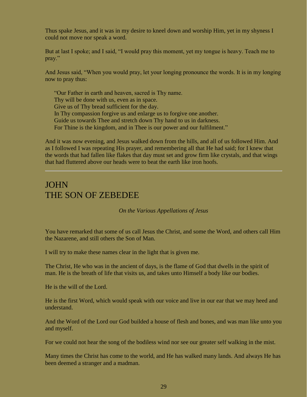Thus spake Jesus, and it was in my desire to kneel down and worship Him, yet in my shyness I could not move nor speak a word.

But at last I spoke; and I said, "I would pray this moment, yet my tongue is heavy. Teach me to pray."

And Jesus said, "When you would pray, let your longing pronounce the words. It is in my longing now to pray thus:

 "Our Father in earth and heaven, sacred is Thy name. Thy will be done with us, even as in space. Give us of Thy bread sufficient for the day. In Thy compassion forgive us and enlarge us to forgive one another. Guide us towards Thee and stretch down Thy hand to us in darkness. For Thine is the kingdom, and in Thee is our power and our fulfilment."

And it was now evening, and Jesus walked down from the hills, and all of us followed Him. And as I followed I was repeating His prayer, and remembering all that He had said; for I knew that the words that had fallen like flakes that day must set and grow firm like crystals, and that wings that had fluttered above our heads were to beat the earth like iron hoofs.

### JOHN THE SON OF ZEBEDEE

*On the Various Appellations of Jesus*

You have remarked that some of us call Jesus the Christ, and some the Word, and others call Him the Nazarene, and still others the Son of Man.

I will try to make these names clear in the light that is given me.

The Christ, He who was in the ancient of days, is the flame of God that dwells in the spirit of man. He is the breath of life that visits us, and takes unto Himself a body like our bodies.

He is the will of the Lord.

He is the first Word, which would speak with our voice and live in our ear that we may heed and understand.

And the Word of the Lord our God builded a house of flesh and bones, and was man like unto you and myself.

For we could not hear the song of the bodiless wind nor see our greater self walking in the mist.

Many times the Christ has come to the world, and He has walked many lands. And always He has been deemed a stranger and a madman.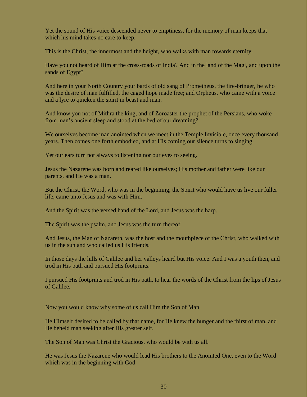Yet the sound of His voice descended never to emptiness, for the memory of man keeps that which his mind takes no care to keep.

This is the Christ, the innermost and the height, who walks with man towards eternity.

Have you not heard of Him at the cross-roads of India? And in the land of the Magi, and upon the sands of Egypt?

And here in your North Country your bards of old sang of Prometheus, the fire-bringer, he who was the desire of man fulfilled, the caged hope made free; and Orpheus, who came with a voice and a lyre to quicken the spirit in beast and man.

And know you not of Mithra the king, and of Zoroaster the prophet of the Persians, who woke from man's ancient sleep and stood at the bed of our dreaming?

We ourselves become man anointed when we meet in the Temple Invisible, once every thousand years. Then comes one forth embodied, and at His coming our silence turns to singing.

Yet our ears turn not always to listening nor our eyes to seeing.

Jesus the Nazarene was born and reared like ourselves; His mother and father were like our parents, and He was a man.

But the Christ, the Word, who was in the beginning, the Spirit who would have us live our fuller life, came unto Jesus and was with Him.

And the Spirit was the versed hand of the Lord, and Jesus was the harp.

The Spirit was the psalm, and Jesus was the turn thereof.

And Jesus, the Man of Nazareth, was the host and the mouthpiece of the Christ, who walked with us in the sun and who called us His friends.

In those days the hills of Galilee and her valleys heard but His voice. And I was a youth then, and trod in His path and pursued His footprints.

I pursued His footprints and trod in His path, to hear the words of the Christ from the lips of Jesus of Galilee.

Now you would know why some of us call Him the Son of Man.

He Himself desired to be called by that name, for He knew the hunger and the thirst of man, and He beheld man seeking after His greater self.

The Son of Man was Christ the Gracious, who would be with us all.

He was Jesus the Nazarene who would lead His brothers to the Anointed One, even to the Word which was in the beginning with God.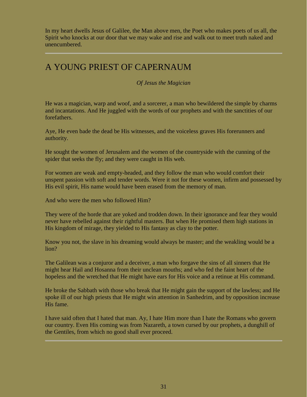In my heart dwells Jesus of Galilee, the Man above men, the Poet who makes poets of us all, the Spirit who knocks at our door that we may wake and rise and walk out to meet truth naked and unencumbered.

### A YOUNG PRIEST OF CAPERNAUM

*Of Jesus the Magician*

He was a magician, warp and woof, and a sorcerer, a man who bewildered the simple by charms and incantations. And He juggled with the words of our prophets and with the sanctities of our forefathers.

Aye, He even bade the dead be His witnesses, and the voiceless graves His forerunners and authority.

He sought the women of Jerusalem and the women of the countryside with the cunning of the spider that seeks the fly; and they were caught in His web.

For women are weak and empty-headed, and they follow the man who would comfort their unspent passion with soft and tender words. Were it not for these women, infirm and possessed by His evil spirit, His name would have been erased from the memory of man.

And who were the men who followed Him?

They were of the horde that are yoked and trodden down. In their ignorance and fear they would never have rebelled against their rightful masters. But when He promised them high stations in His kingdom of mirage, they yielded to His fantasy as clay to the potter.

Know you not, the slave in his dreaming would always be master; and the weakling would be a lion?

The Galilean was a conjuror and a deceiver, a man who forgave the sins of all sinners that He might hear Hail and Hosanna from their unclean mouths; and who fed the faint heart of the hopeless and the wretched that He might have ears for His voice and a retinue at His command.

He broke the Sabbath with those who break that He might gain the support of the lawless; and He spoke ill of our high priests that He might win attention in Sanhedrim, and by opposition increase His fame.

I have said often that I hated that man. Ay, I hate Him more than I hate the Romans who govern our country. Even His coming was from Nazareth, a town cursed by our prophets, a dunghill of the Gentiles, from which no good shall ever proceed.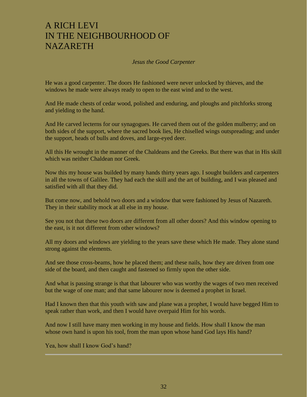### A RICH LEVI IN THE NEIGHBOURHOOD OF **NAZARETH**

*Jesus the Good Carpenter*

He was a good carpenter. The doors He fashioned were never unlocked by thieves, and the windows he made were always ready to open to the east wind and to the west.

And He made chests of cedar wood, polished and enduring, and ploughs and pitchforks strong and yielding to the hand.

And He carved lecterns for our synagogues. He carved them out of the golden mulberry; and on both sides of the support, where the sacred book lies, He chiselled wings outspreading; and under the support, heads of bulls and doves, and large-eyed deer.

All this He wrought in the manner of the Chaldeans and the Greeks. But there was that in His skill which was neither Chaldean nor Greek.

Now this my house was builded by many hands thirty years ago. I sought builders and carpenters in all the towns of Galilee. They had each the skill and the art of building, and I was pleased and satisfied with all that they did.

But come now, and behold two doors and a window that were fashioned by Jesus of Nazareth. They in their stability mock at all else in my house.

See you not that these two doors are different from all other doors? And this window opening to the east, is it not different from other windows?

All my doors and windows are yielding to the years save these which He made. They alone stand strong against the elements.

And see those cross-beams, how he placed them; and these nails, how they are driven from one side of the board, and then caught and fastened so firmly upon the other side.

And what is passing strange is that that labourer who was worthy the wages of two men received but the wage of one man; and that same labourer now is deemed a prophet in Israel.

Had I known then that this youth with saw and plane was a prophet, I would have begged Him to speak rather than work, and then I would have overpaid Him for his words.

And now I still have many men working in my house and fields. How shall I know the man whose own hand is upon his tool, from the man upon whose hand God lays His hand?

Yea, how shall I know God's hand?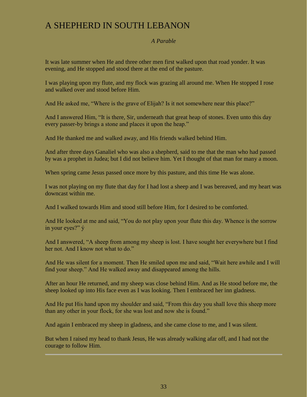### A SHEPHERD IN SOUTH LEBANON

#### *A Parable*

It was late summer when He and three other men first walked upon that road yonder. It was evening, and He stopped and stood there at the end of the pasture.

I was playing upon my flute, and my flock was grazing all around me. When He stopped I rose and walked over and stood before Him.

And He asked me, "Where is the grave of Elijah? Is it not somewhere near this place?"

And I answered Him, "It is there, Sir, underneath that great heap of stones. Even unto this day every passer-by brings a stone and places it upon the heap."

And He thanked me and walked away, and His friends walked behind Him.

And after three days Ganaliel who was also a shepherd, said to me that the man who had passed by was a prophet in Judea; but I did not believe him. Yet I thought of that man for many a moon.

When spring came Jesus passed once more by this pasture, and this time He was alone.

I was not playing on my flute that day for I had lost a sheep and I was bereaved, and my heart was downcast within me.

And I walked towards Him and stood still before Him, for I desired to be comforted.

And He looked at me and said, "You do not play upon your flute this day. Whence is the sorrow in your eyes?" ý

And I answered, "A sheep from among my sheep is lost. I have sought her everywhere but I find her not. And I know not what to do."

And He was silent for a moment. Then He smiled upon me and said, "Wait here awhile and I will find your sheep." And He walked away and disappeared among the hills.

After an hour He returned, and my sheep was close behind Him. And as He stood before me, the sheep looked up into His face even as I was looking. Then I embraced her inn gladness.

And He put His hand upon my shoulder and said, "From this day you shall love this sheep more than any other in your flock, for she was lost and now she is found."

And again I embraced my sheep in gladness, and she came close to me, and I was silent.

But when I raised my head to thank Jesus, He was already walking afar off, and I had not the courage to follow Him.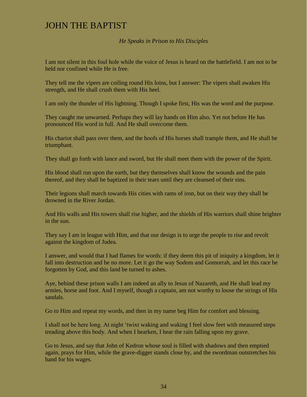### JOHN THE BAPTIST

*He Speaks in Prison to His Disciples*

I am not silent in this foul hole while the voice of Jesus is heard on the battlefield. I am not to be held nor confined while He is free.

They tell me the vipers are coiling round His loins, but I answer: The vipers shall awaken His strength, and He shall crush them with His heel.

I am only the thunder of His lightning. Though I spoke first, His was the word and the purpose.

They caught me unwarned. Perhaps they will lay hands on Him also. Yet not before He has pronounced His word in full. And He shall overcome them.

His chariot shall pass over them, and the hoofs of His horses shall trample them, and He shall be triumphant.

They shall go forth with lance and sword, but He shall meet them with the power of the Spirit.

His blood shall run upon the earth, but they themselves shall know the wounds and the pain thereof, and they shall be baptized in their tears until they are cleansed of their sins.

Their legions shall march towards His cities with rams of iron, but on their way they shall be drowned in the River Jordan.

And His walls and His towers shall rise higher, and the shields of His warriors shall shine brighter in the sun.

They say I am in league with Him, and that our design is to urge the people to rise and revolt against the kingdom of Judea.

I answer, and would that I had flames for words: if they deem this pit of iniquity a kingdom, let it fall into destruction and be no more. Let it go the way Sodom and Gomorrah, and let this race be forgotten by God, and this land be turned to ashes.

Aye, behind these prison walls I am indeed an ally to Jesus of Nazareth, and He shall lead my armies, horse and foot. And I myself, though a captain, am not worthy to loose the strings of His sandals.

Go to Him and repeat my words, and then in my name beg Him for comfort and blessing.

I shall not be here long. At night 'twixt waking and waking I feel slow feet with measured steps treading above this body. And when I hearken, I hear the rain falling upon my grave.

Go to Jesus, and say that John of Kedron whose soul is filled with shadows and then emptied again, prays for Him, while the grave-digger stands close by, and the swordman outstretches his hand for his wages.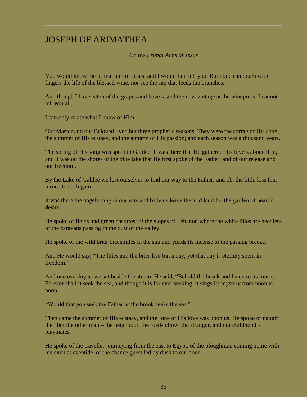### JOSEPH OF ARIMATHEA

#### *On the Primal Aims of Jesus*

You would know the primal aim of Jesus, and I would fain tell you. But none can touch with fingers the life of the blessed wine, nor see the sap that feeds the branches.

And though I have eaten of the grapes and have tasted the new vintage at the winepress, I cannot tell you all.

I can only relate what I know of Him.

Our Master and our Beloved lived but three prophet's seasons. They were the spring of His song, the summer of His ecstasy, and the autumn of His passion; and each season was a thousand years.

The spring of His song was spent in Galilee. It was there that He gathered His lovers about Him, and it was on the shores of the blue lake that He first spoke of the Father, and of our release and our freedom.

By the Lake of Galilee we lost ourselves to find our way to the Father; and oh, the little loss that turned to such gain.

It was there the angels sang in our ears and bade us leave the arid land for the garden of heart's desire.

He spoke of fields and green pastures; of the slopes of Lebanon where the white lilies are heedless of the caravans passing in the dust of the valley.

He spoke of the wild brier that smiles in the sun and yields its incense to the passing breeze.

And He would say, "The lilies and the brier live but a day, yet that day is eternity spent in freedom<sup>"</sup>

And one evening as we sat beside the stream He said, "Behold the brook and listen to its music. Forever shall it seek the sea, and though it is for ever seeking, it sings its mystery from noon to noon.

"Would that you seek the Father as the brook seeks the sea."

Then came the summer of His ecstasy, and the June of His love was upon us. He spoke of naught then but the other man – the neighbour, the road-fellow, the stranger, and our childhood's playmates.

He spoke of the traveller journeying from the east to Egypt, of the ploughman coming home with his oxen at eventide, of the chance guest led by dusk to our door.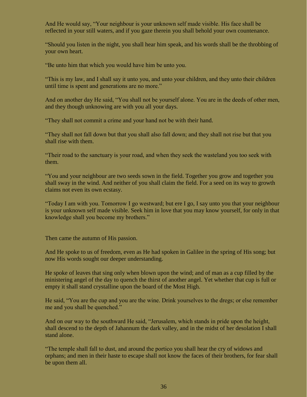And He would say, "Your neighbour is your unknown self made visible. His face shall be reflected in your still waters, and if you gaze therein you shall behold your own countenance.

"Should you listen in the night, you shall hear him speak, and his words shall be the throbbing of your own heart.

"Be unto him that which you would have him be unto you.

"This is my law, and I shall say it unto you, and unto your children, and they unto their children until time is spent and generations are no more."

And on another day He said, "You shall not be yourself alone. You are in the deeds of other men, and they though unknowing are with you all your days.

"They shall not commit a crime and your hand not be with their hand.

"They shall not fall down but that you shall also fall down; and they shall not rise but that you shall rise with them.

"Their road to the sanctuary is your road, and when they seek the wasteland you too seek with them.

"You and your neighbour are two seeds sown in the field. Together you grow and together you shall sway in the wind. And neither of you shall claim the field. For a seed on its way to growth claims not even its own ecstasy.

"Today I am with you. Tomorrow I go westward; but ere I go, I say unto you that your neighbour is your unknown self made visible. Seek him in love that you may know yourself, for only in that knowledge shall you become my brothers."

Then came the autumn of His passion.

And He spoke to us of freedom, even as He had spoken in Galilee in the spring of His song; but now His words sought our deeper understanding.

He spoke of leaves that sing only when blown upon the wind; and of man as a cup filled by the ministering angel of the day to quench the thirst of another angel. Yet whether that cup is full or empty it shall stand crystalline upon the board of the Most High.

He said, "You are the cup and you are the wine. Drink yourselves to the dregs; or else remember me and you shall be quenched."

And on our way to the southward He said, "Jerusalem, which stands in pride upon the height, shall descend to the depth of Jahannum the dark valley, and in the midst of her desolation I shall stand alone.

"The temple shall fall to dust, and around the portico you shall hear the cry of widows and orphans; and men in their haste to escape shall not know the faces of their brothers, for fear shall be upon them all.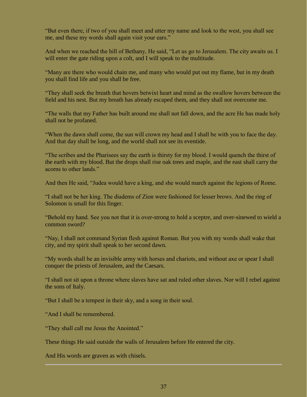"But even there, if two of you shall meet and utter my name and look to the west, you shall see me, and these my words shall again visit your ears."

And when we reached the hill of Bethany, He said, "Let us go to Jerusalem. The city awaits us. I will enter the gate riding upon a colt, and I will speak to the multitude.

"Many are there who would chain me, and many who would put out my flame, but in my death you shall find life and you shall be free.

"They shall seek the breath that hovers betwixt heart and mind as the swallow hovers between the field and his nest. But my breath has already escaped them, and they shall not overcome me.

"The walls that my Father has built around me shall not fall down, and the acre He has made holy shall not be profaned.

"When the dawn shall come, the sun will crown my head and I shall be with you to face the day. And that day shall be long, and the world shall not see its eventide.

"The scribes and the Pharisees say the earth is thirsty for my blood. I would quench the thirst of the earth with my blood. But the drops shall rise oak trees and maple, and the east shall carry the acorns to other lands."

And then He said, "Judea would have a king, and she would march against the legions of Rome.

"I shall not be her king. The diadems of Zion were fashioned for lesser brows. And the ring of Solomon is small for this finger.

"Behold my hand. See you not that it is over-strong to hold a sceptre, and over-sinewed to wield a common sword?

"Nay, I shall not command Syrian flesh against Roman. But you with my words shall wake that city, and my spirit shall speak to her second dawn.

"My words shall be an invisible army with horses and chariots, and without axe or spear I shall conquer the priests of Jerusalem, and the Caesars.

"I shall not sit upon a throne where slaves have sat and ruled other slaves. Nor will I rebel against the sons of Italy.

"But I shall be a tempest in their sky, and a song in their soul.

"And I shall be remembered.

"They shall call me Jesus the Anointed."

These things He said outside the walls of Jerusalem before He entered the city.

And His words are graven as with chisels.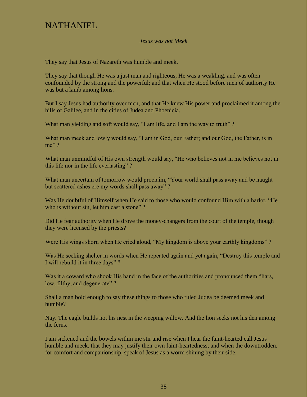### NATHANIEL

#### *Jesus was not Meek*

They say that Jesus of Nazareth was humble and meek.

They say that though He was a just man and righteous, He was a weakling, and was often confounded by the strong and the powerful; and that when He stood before men of authority He was but a lamb among lions.

But I say Jesus had authority over men, and that He knew His power and proclaimed it among the hills of Galilee, and in the cities of Judea and Phoenicia.

What man yielding and soft would say, "I am life, and I am the way to truth"?

What man meek and lowly would say, "I am in God, our Father; and our God, the Father, is in me"?

What man unmindful of His own strength would say, "He who believes not in me believes not in this life nor in the life everlasting" ?

What man uncertain of tomorrow would proclaim, "Your world shall pass away and be naught but scattered ashes ere my words shall pass away" ?

Was He doubtful of Himself when He said to those who would confound Him with a harlot, "He who is without sin, let him cast a stone"?

Did He fear authority when He drove the money-changers from the court of the temple, though they were licensed by the priests?

Were His wings shorn when He cried aloud, "My kingdom is above your earthly kingdoms"?

Was He seeking shelter in words when He repeated again and yet again, "Destroy this temple and I will rebuild it in three days" ?

Was it a coward who shook His hand in the face of the authorities and pronounced them "liars, low, filthy, and degenerate"?

Shall a man bold enough to say these things to those who ruled Judea be deemed meek and humble?

Nay. The eagle builds not his nest in the weeping willow. And the lion seeks not his den among the ferns.

I am sickened and the bowels within me stir and rise when I hear the faint-hearted call Jesus humble and meek, that they may justify their own faint-heartedness; and when the downtrodden, for comfort and companionship, speak of Jesus as a worm shining by their side.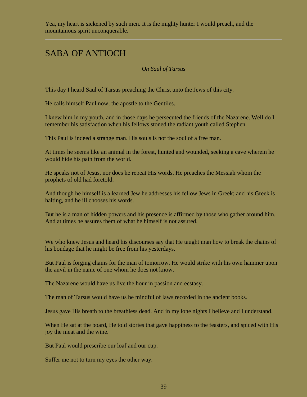Yea, my heart is sickened by such men. It is the mighty hunter I would preach, and the mountainous spirit unconquerable.

### SABA OF ANTIOCH

*On Saul of Tarsus*

This day I heard Saul of Tarsus preaching the Christ unto the Jews of this city.

He calls himself Paul now, the apostle to the Gentiles.

I knew him in my youth, and in those days he persecuted the friends of the Nazarene. Well do I remember his satisfaction when his fellows stoned the radiant youth called Stephen.

This Paul is indeed a strange man. His souls is not the soul of a free man.

At times he seems like an animal in the forest, hunted and wounded, seeking a cave wherein he would hide his pain from the world.

He speaks not of Jesus, nor does he repeat His words. He preaches the Messiah whom the prophets of old had foretold.

And though he himself is a learned Jew he addresses his fellow Jews in Greek; and his Greek is halting, and he ill chooses his words.

But he is a man of hidden powers and his presence is affirmed by those who gather around him. And at times he assures them of what he himself is not assured.

We who knew Jesus and heard his discourses say that He taught man how to break the chains of his bondage that he might be free from his yesterdays.

But Paul is forging chains for the man of tomorrow. He would strike with his own hammer upon the anvil in the name of one whom he does not know.

The Nazarene would have us live the hour in passion and ecstasy.

The man of Tarsus would have us be mindful of laws recorded in the ancient books.

Jesus gave His breath to the breathless dead. And in my lone nights I believe and I understand.

When He sat at the board, He told stories that gave happiness to the feasters, and spiced with His joy the meat and the wine.

But Paul would prescribe our loaf and our cup.

Suffer me not to turn my eyes the other way.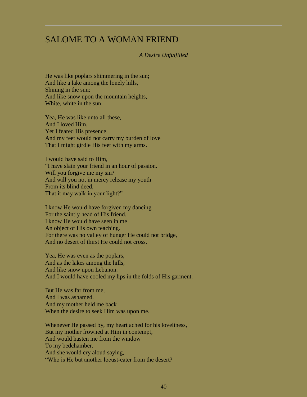### SALOME TO A WOMAN FRIEND

#### *A Desire Unfulfilled*

He was like poplars shimmering in the sun; And like a lake among the lonely hills, Shining in the sun; And like snow upon the mountain heights, White, white in the sun.

Yea, He was like unto all these, And I loved Him. Yet I feared His presence. And my feet would not carry my burden of love That I might girdle His feet with my arms.

I would have said to Him, "I have slain your friend in an hour of passion. Will you forgive me my sin? And will you not in mercy release my youth From its blind deed, That it may walk in your light?"

I know He would have forgiven my dancing For the saintly head of His friend. I know He would have seen in me An object of His own teaching. For there was no valley of hunger He could not bridge, And no desert of thirst He could not cross.

Yea, He was even as the poplars, And as the lakes among the hills, And like snow upon Lebanon. And I would have cooled my lips in the folds of His garment.

But He was far from me, And I was ashamed. And my mother held me back When the desire to seek Him was upon me.

Whenever He passed by, my heart ached for his loveliness, But my mother frowned at Him in contempt, And would hasten me from the window To my bedchamber. And she would cry aloud saying, "Who is He but another locust-eater from the desert?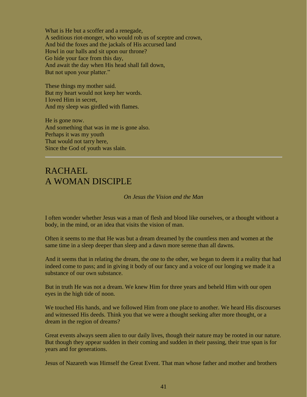What is He but a scoffer and a renegade, A seditious riot-monger, who would rob us of sceptre and crown, And bid the foxes and the jackals of His accursed land Howl in our halls and sit upon our throne? Go hide your face from this day, And await the day when His head shall fall down, But not upon your platter."

These things my mother said. But my heart would not keep her words. I loved Him in secret, And my sleep was girdled with flames.

He is gone now. And something that was in me is gone also. Perhaps it was my youth That would not tarry here, Since the God of youth was slain.

# RACHAEL A WOMAN DISCIPLE

*On Jesus the Vision and the Man*

I often wonder whether Jesus was a man of flesh and blood like ourselves, or a thought without a body, in the mind, or an idea that visits the vision of man.

Often it seems to me that He was but a dream dreamed by the countless men and women at the same time in a sleep deeper than sleep and a dawn more serene than all dawns.

And it seems that in relating the dream, the one to the other, we began to deem it a reality that had indeed come to pass; and in giving it body of our fancy and a voice of our longing we made it a substance of our own substance.

But in truth He was not a dream. We knew Him for three years and beheld Him with our open eyes in the high tide of noon.

We touched His hands, and we followed Him from one place to another. We heard His discourses and witnessed His deeds. Think you that we were a thought seeking after more thought, or a dream in the region of dreams?

Great events always seem alien to our daily lives, though their nature may be rooted in our nature. But though they appear sudden in their coming and sudden in their passing, their true span is for years and for generations.

Jesus of Nazareth was Himself the Great Event. That man whose father and mother and brothers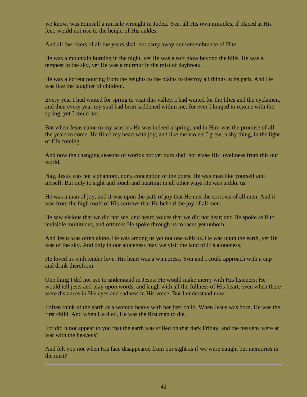we know, was Himself a miracle wrought in Judea. Yea, all His own miracles, if placed at His feet, would not rise to the height of His ankles.

And all the rivers of all the years shall not carry away our remembrance of Him.

He was a mountain burning in the night, yet He was a soft glow beyond the hills. He was a tempest in the sky, yet He was a murmur in the mist of daybreak.

He was a torrent pouring from the heights to the plains to destroy all things in its path. And He was like the laughter of children.

Every year I had waited for spring to visit this valley. I had waited for the lilies and the cyclamen, and then every year my soul had been saddened within me; for ever I longed to rejoice with the spring, yet I could not.

But when Jesus came to my seasons He was indeed a spring, and in Him was the promise of all the years to come. He filled my heart with joy; and like the violets I grew, a shy thing, in the light of His coming.

And now the changing seasons of worlds not yet ours shall not erase His loveliness from this our world.

Nay, Jesus was not a phantom, nor a conception of the poets. He was man like yourself and myself. But only to sight and touch and hearing; in all other ways He was unlike us.

He was a man of joy; and it was upon the path of joy that He met the sorrows of all men. And it was from the high roofs of His sorrows that He beheld the joy of all men.

He saw visions that we did not see, and heard voices that we did not hear; and He spoke as if to invisible multitudes, and ofttimes He spoke through us to races yet unborn.

And Jesus was often alone. He was among us yet not one with us. He was upon the earth, yet He was of the sky. And only in our aloneness may we visit the land of His aloneness.

He loved us with tender love. His heart was a winepress. You and I could approach with a cup and drink therefrom.

One thing I did not use to understand in Jesus: He would make merry with His listeners; He would tell jests and play upon words, and laugh with all the fullness of His heart, even when there were distances in His eyes and sadness in His voice. But I understand now.

I often think of the earth as a woman heavy with her first child. When Jesus was born, He was the first child. And when He died, He was the first man to die.

For did it not appear to you that the earth was stilled on that dark Friday, and the heavens were at war with the heavens?

And felt you not when His face disappeared from our sight as if we were naught but memories in the mist?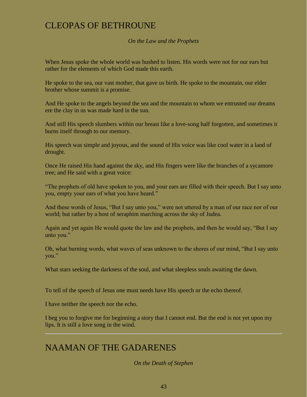# CLEOPAS OF BETHROUNE

*On the Law and the Prophets*

When Jesus spoke the whole world was hushed to listen. His words were not for our ears but rather for the elements of which God made this earth.

He spoke to the sea, our vast mother, that gave us birth. He spoke to the mountain, our elder brother whose summit is a promise.

And He spoke to the angels beyond the sea and the mountain to whom we entrusted our dreams ere the clay in us was made hard in the sun.

And still His speech slumbers within our breast like a love-song half forgotten, and sometimes it burns itself through to our memory.

His speech was simple and joyous, and the sound of His voice was like cool water in a land of drought.

Once He raised His hand against the sky, and His fingers were like the branches of a sycamore tree; and He said with a great voice:

"The prophets of old have spoken to you, and your ears are filled with their speech. But I say unto you, empty your ears of what you have heard."

And these words of Jesus, "But I say unto you," were not uttered by a man of our race nor of our world; but rather by a host of seraphim marching across the sky of Judea.

Again and yet again He would quote the law and the prophets, and then he would say, "But I say unto you."

Oh, what burning words, what waves of seas unknown to the shores of our mind, "But I say unto you."

What stars seeking the darkness of the soul, and what sleepless souls awaiting the dawn.

To tell of the speech of Jesus one must needs have His speech or the echo thereof.

I have neither the speech nor the echo.

I beg you to forgive me for beginning a story that I cannot end. But the end is not yet upon my lips. It is still a love song in the wind.

# NAAMAN OF THE GADARENES

*On the Death of Stephen*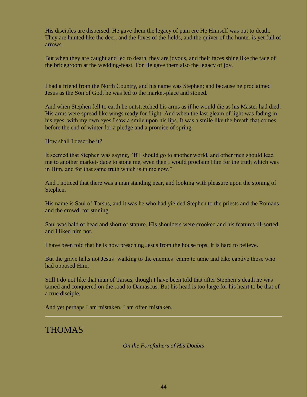His disciples are dispersed. He gave them the legacy of pain ere He Himself was put to death. They are hunted like the deer, and the foxes of the fields, and the quiver of the hunter is yet full of arrows.

But when they are caught and led to death, they are joyous, and their faces shine like the face of the bridegroom at the wedding-feast. For He gave them also the legacy of joy.

I had a friend from the North Country, and his name was Stephen; and because he proclaimed Jesus as the Son of God, he was led to the market-place and stoned.

And when Stephen fell to earth he outstretched his arms as if he would die as his Master had died. His arms were spread like wings ready for flight. And when the last gleam of light was fading in his eyes, with my own eyes I saw a smile upon his lips. It was a smile like the breath that comes before the end of winter for a pledge and a promise of spring.

How shall I describe it?

It seemed that Stephen was saying, "If I should go to another world, and other men should lead me to another market-place to stone me, even then I would proclaim Him for the truth which was in Him, and for that same truth which is in me now."

And I noticed that there was a man standing near, and looking with pleasure upon the stoning of Stephen.

His name is Saul of Tarsus, and it was he who had yielded Stephen to the priests and the Romans and the crowd, for stoning.

Saul was bald of head and short of stature. His shoulders were crooked and his features ill-sorted; and I liked him not.

I have been told that he is now preaching Jesus from the house tops. It is hard to believe.

But the grave halts not Jesus' walking to the enemies' camp to tame and take captive those who had opposed Him.

Still I do not like that man of Tarsus, though I have been told that after Stephen's death he was tamed and conquered on the road to Damascus. But his head is too large for his heart to be that of a true disciple.

And yet perhaps I am mistaken. I am often mistaken.

### THOMAS

*On the Forefathers of His Doubts*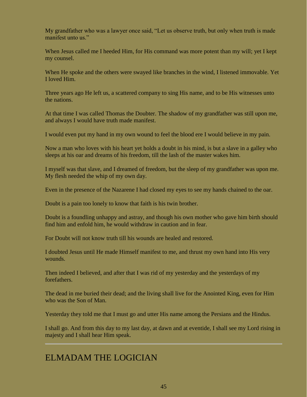My grandfather who was a lawyer once said, "Let us observe truth, but only when truth is made manifest unto us."

When Jesus called me I heeded Him, for His command was more potent than my will; yet I kept my counsel.

When He spoke and the others were swayed like branches in the wind, I listened immovable. Yet I loved Him.

Three years ago He left us, a scattered company to sing His name, and to be His witnesses unto the nations.

At that time I was called Thomas the Doubter. The shadow of my grandfather was still upon me, and always I would have truth made manifest.

I would even put my hand in my own wound to feel the blood ere I would believe in my pain.

Now a man who loves with his heart yet holds a doubt in his mind, is but a slave in a galley who sleeps at his oar and dreams of his freedom, till the lash of the master wakes him.

I myself was that slave, and I dreamed of freedom, but the sleep of my grandfather was upon me. My flesh needed the whip of my own day.

Even in the presence of the Nazarene I had closed my eyes to see my hands chained to the oar.

Doubt is a pain too lonely to know that faith is his twin brother.

Doubt is a foundling unhappy and astray, and though his own mother who gave him birth should find him and enfold him, he would withdraw in caution and in fear.

For Doubt will not know truth till his wounds are healed and restored.

I doubted Jesus until He made Himself manifest to me, and thrust my own hand into His very wounds.

Then indeed I believed, and after that I was rid of my yesterday and the yesterdays of my forefathers.

The dead in me buried their dead; and the living shall live for the Anointed King, even for Him who was the Son of Man.

Yesterday they told me that I must go and utter His name among the Persians and the Hindus.

I shall go. And from this day to my last day, at dawn and at eventide, I shall see my Lord rising in majesty and I shall hear Him speak.

### ELMADAM THE LOGICIAN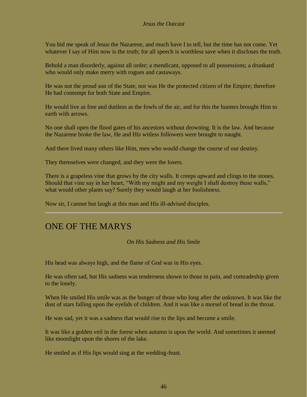#### *Jesus the Outcast*

You bid me speak of Jesus the Nazarene, and much have I to tell, but the time has not come. Yet whatever I say of Him now is the truth; for all speech is worthless save when it discloses the truth.

Behold a man disorderly, against all order; a mendicant, opposed to all possessions; a drunkard who would only make merry with rogues and castaways.

He was not the proud son of the State, nor was He the protected citizen of the Empire; therefore He had contempt for both State and Empire.

He would live as free and dutiless as the fowls of the air, and for this the hunters brought Him to earth with arrows.

No one shall open the flood gates of his ancestors without drowning. It is the law. And because the Nazarene broke the law, He and His witless followers were brought to naught.

And there lived many others like Him, men who would change the course of our destiny.

They themselves were changed, and they were the losers.

There is a grapeless vine that grows by the city walls. It creeps upward and clings to the stones. Should that vine say in her heart, "With my might and my weight I shall destroy these walls," what would other plants say? Surely they would laugh at her foolishness.

Now sir, I cannot but laugh at this man and His ill-advised disciples.

### ONE OF THE MARYS

#### *On His Sadness and His Smile*

His head was always high, and the flame of God was in His eyes.

He was often sad, but His sadness was tenderness shown to those in pain, and comradeship given to the lonely.

When He smiled His smile was as the hunger of those who long after the unknown. It was like the dust of stars falling upon the eyelids of children. And it was like a morsel of bread in the throat.

He was sad, yet it was a sadness that would rise to the lips and become a smile.

It was like a golden veil in the forest when autumn is upon the world. And sometimes it seemed like moonlight upon the shores of the lake.

He smiled as if His lips would sing at the wedding-feast.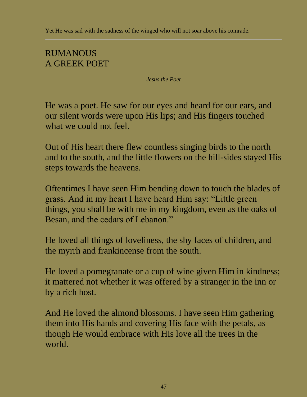# RUMANOUS A GREEK POET

*Jesus the Poet*

He was a poet. He saw for our eyes and heard for our ears, and our silent words were upon His lips; and His fingers touched what we could not feel.

Out of His heart there flew countless singing birds to the north and to the south, and the little flowers on the hill-sides stayed His steps towards the heavens.

Oftentimes I have seen Him bending down to touch the blades of grass. And in my heart I have heard Him say: "Little green things, you shall be with me in my kingdom, even as the oaks of Besan, and the cedars of Lebanon."

He loved all things of loveliness, the shy faces of children, and the myrrh and frankincense from the south.

He loved a pomegranate or a cup of wine given Him in kindness; it mattered not whether it was offered by a stranger in the inn or by a rich host.

And He loved the almond blossoms. I have seen Him gathering them into His hands and covering His face with the petals, as though He would embrace with His love all the trees in the world.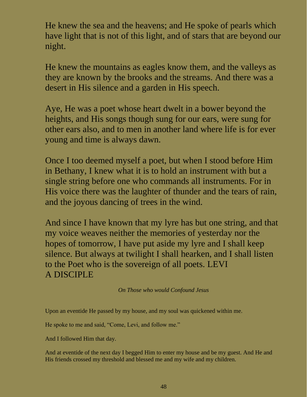He knew the sea and the heavens; and He spoke of pearls which have light that is not of this light, and of stars that are beyond our night.

He knew the mountains as eagles know them, and the valleys as they are known by the brooks and the streams. And there was a desert in His silence and a garden in His speech.

Aye, He was a poet whose heart dwelt in a bower beyond the heights, and His songs though sung for our ears, were sung for other ears also, and to men in another land where life is for ever young and time is always dawn.

Once I too deemed myself a poet, but when I stood before Him in Bethany, I knew what it is to hold an instrument with but a single string before one who commands all instruments. For in His voice there was the laughter of thunder and the tears of rain, and the joyous dancing of trees in the wind.

And since I have known that my lyre has but one string, and that my voice weaves neither the memories of yesterday nor the hopes of tomorrow, I have put aside my lyre and I shall keep silence. But always at twilight I shall hearken, and I shall listen to the Poet who is the sovereign of all poets. LEVI A DISCIPLE

*On Those who would Confound Jesus*

Upon an eventide He passed by my house, and my soul was quickened within me.

He spoke to me and said, "Come, Levi, and follow me."

And I followed Him that day.

And at eventide of the next day I begged Him to enter my house and be my guest. And He and His friends crossed my threshold and blessed me and my wife and my children.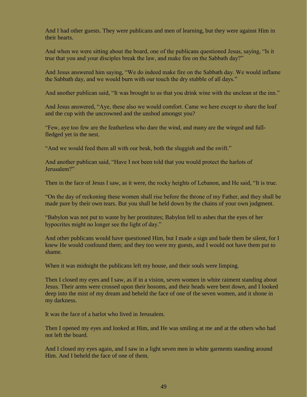And I had other guests. They were publicans and men of learning, but they were against Him in their hearts.

And when we were sitting about the board, one of the publicans questioned Jesus, saying, "Is it true that you and your disciples break the law, and make fire on the Sabbath day?"

And Jesus answered him saying, "We do indeed make fire on the Sabbath day. We would inflame the Sabbath day, and we would burn with our touch the dry stubble of all days."

And another publican said, "It was brought to us that you drink wine with the unclean at the inn."

And Jesus answered, "Aye, these also we would comfort. Came we here except to share the loaf and the cup with the uncrowned and the unshod amongst you?

"Few, aye too few are the featherless who dare the wind, and many are the winged and fullfledged yet in the nest.

"And we would feed them all with our beak, both the sluggish and the swift."

And another publican said, "Have I not been told that you would protect the harlots of Jerusalem?"

Then in the face of Jesus I saw, as it were, the rocky heights of Lebanon, and He said, "It is true.

"On the day of reckoning these women shall rise before the throne of my Father, and they shall be made pure by their own tears. But you shall be held down by the chains of your own judgment.

"Babylon was not put to waste by her prostitutes; Babylon fell to ashes that the eyes of her hypocrites might no longer see the light of day."

And other publicans would have questioned Him, but I made a sign and bade them be silent, for I knew He would confound them; and they too were my guests, and I would not have them put to shame.

When it was midnight the publicans left my house, and their souls were limping.

Then I closed my eyes and I saw, as if in a vision, seven women in white raiment standing about Jesus. Their arms were crossed upon their bosoms, and their heads were bent down, and I looked deep into the mist of my dream and beheld the face of one of the seven women, and it shone in my darkness.

It was the face of a harlot who lived in Jerusalem.

Then I opened my eyes and looked at Him, and He was smiling at me and at the others who had not left the board.

And I closed my eyes again, and I saw in a light seven men in white garments standing around Him. And I beheld the face of one of them.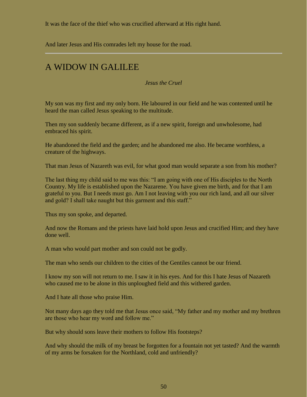It was the face of the thief who was crucified afterward at His right hand.

And later Jesus and His comrades left my house for the road.

## A WIDOW IN GALILEE

*Jesus the Cruel*

My son was my first and my only born. He laboured in our field and he was contented until he heard the man called Jesus speaking to the multitude.

Then my son suddenly became different, as if a new spirit, foreign and unwholesome, had embraced his spirit.

He abandoned the field and the garden; and he abandoned me also. He became worthless, a creature of the highways.

That man Jesus of Nazareth was evil, for what good man would separate a son from his mother?

The last thing my child said to me was this: "I am going with one of His disciples to the North Country. My life is established upon the Nazarene. You have given me birth, and for that I am grateful to you. But I needs must go. Am I not leaving with you our rich land, and all our silver and gold? I shall take naught but this garment and this staff."

Thus my son spoke, and departed.

And now the Romans and the priests have laid hold upon Jesus and crucified Him; and they have done well.

A man who would part mother and son could not be godly.

The man who sends our children to the cities of the Gentiles cannot be our friend.

I know my son will not return to me. I saw it in his eyes. And for this I hate Jesus of Nazareth who caused me to be alone in this unploughed field and this withered garden.

And I hate all those who praise Him.

Not many days ago they told me that Jesus once said, "My father and my mother and my brethren are those who hear my word and follow me."

But why should sons leave their mothers to follow His footsteps?

And why should the milk of my breast be forgotten for a fountain not yet tasted? And the warmth of my arms be forsaken for the Northland, cold and unfriendly?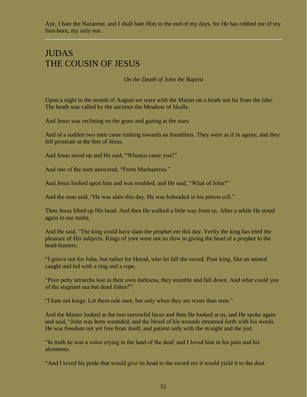Aye, I hate the Nazarene, and I shall hate Him to the end of my days, for He has robbed me of my first-born, my only son.

# JUDAS THE COUSIN OF JESUS

*On the Death of John the Baptist*

Upon a night in the month of August we were with the Master on a heath not far from the lake. The heath was called by the ancients the Meadow of Skulls.

And Jesus was reclining on the grass and gazing at the stars.

And of a sudden two men came rushing towards us breathless. They were as if in agony, and they fell prostrate at the feet of Jesus.

And Jesus stood up and He said, "Whence came you?"

And one of the men answered, "From Machaereus."

And Jesus looked upon him and was troubled, and He said, "What of John?"

And the man said, "He was slain this day. He was beheaded in his prison cell."

Then Jesus lifted up His head. And then He walked a little way from us. After a while He stood again in our midst.

And He said, "The king could have slain the prophet ere this day. Verily the king has tried the pleasure of His subjects. Kings of yore were not so slow in giving the head of a prophet to the head-hunters.

"I grieve not for John, but rather for Herod, who let fall the sword. Poor king, like an animal caught and led with a ring and a rope.

"Poor petty tetrarchs lost in their own darkness, they stumble and fall down. And what could you of the stagnant sea but dead fishes?"

"I hate not kings. Let them rule men, but only when they are wiser than men."

And the Master looked at the two sorrowful faces and then He looked at us, and He spoke again and said, "John was born wounded, and the blood of his wounds streamed forth with his words. He was freedom not yet free from itself, and patient only with the straight and the just.

"In truth he was a voice crying in the land of the deaf; and I loved him in his pain and his aloneness.

"And I loved his pride that would give its head to the sword ere it would yield it to the dust.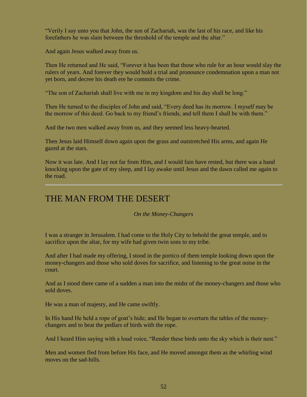"Verily I say unto you that John, the son of Zachariah, was the last of his race, and like his forefathers he was slain between the threshold of the temple and the altar."

And again Jesus walked away from us.

Then He returned and He said, "Forever it has been that those who rule for an hour would slay the rulers of years. And forever they would hold a trial and pronounce condemnation upon a man not yet born, and decree his death ere he commits the crime.

"The son of Zachariah shall live with me in my kingdom and his day shall be long."

Then He turned to the disciples of John and said, "Every deed has its morrow. I myself may be the morrow of this deed. Go back to my friend's friends, and tell them I shall be with them."

And the two men walked away from us, and they seemed less heavy-hearted.

Then Jesus laid Himself down again upon the grass and outstretched His arms, and again He gazed at the stars.

Now it was late. And I lay not far from Him, and I would fain have rested, but there was a hand knocking upon the gate of my sleep, and I lay awake until Jesus and the dawn called me again to the road.

# THE MAN FROM THE DESERT

*On the Money-Changers*

I was a stranger in Jerusalem. I had come to the Holy City to behold the great temple, and to sacrifice upon the altar, for my wife had given twin sons to my tribe.

And after I had made my offering, I stood in the portico of them temple looking down upon the money-changers and those who sold doves for sacrifice, and listening to the great noise in the court.

And as I stood there came of a sudden a man into the midst of the money-changers and those who sold doves.

He was a man of majesty, and He came swiftly.

In His hand He held a rope of goat's hide; and He began to overturn the tables of the moneychangers and to beat the pedlars of birds with the rope.

And I heard Him saying with a loud voice, "Render these birds unto the sky which is their nest."

Men and women fled from before His face, and He moved amongst them as the whirling wind moves on the sad-hills.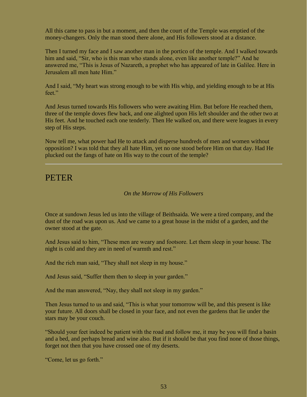All this came to pass in but a moment, and then the court of the Temple was emptied of the money-changers. Only the man stood there alone, and His followers stood at a distance.

Then I turned my face and I saw another man in the portico of the temple. And I walked towards him and said, "Sir, who is this man who stands alone, even like another temple?" And he answered me, "This is Jesus of Nazareth, a prophet who has appeared of late in Galilee. Here in Jerusalem all men hate Him."

And I said, "My heart was strong enough to be with His whip, and yielding enough to be at His feet."

And Jesus turned towards His followers who were awaiting Him. But before He reached them, three of the temple doves flew back, and one alighted upon His left shoulder and the other two at His feet. And he touched each one tenderly. Then He walked on, and there were leagues in every step of His steps.

Now tell me, what power had He to attack and disperse hundreds of men and women without opposition? I was told that they all hate Him, yet no one stood before Him on that day. Had He plucked out the fangs of hate on His way to the court of the temple?

### PETER

#### *On the Morrow of His Followers*

Once at sundown Jesus led us into the village of Beithsaida. We were a tired company, and the dust of the road was upon us. And we came to a great house in the midst of a garden, and the owner stood at the gate.

And Jesus said to him, "These men are weary and footsore. Let them sleep in your house. The night is cold and they are in need of warmth and rest."

And the rich man said, "They shall not sleep in my house."

And Jesus said, "Suffer them then to sleep in your garden."

And the man answered, "Nay, they shall not sleep in my garden."

Then Jesus turned to us and said, "This is what your tomorrow will be, and this present is like your future. All doors shall be closed in your face, and not even the gardens that lie under the stars may be your couch.

"Should your feet indeed be patient with the road and follow me, it may be you will find a basin and a bed, and perhaps bread and wine also. But if it should be that you find none of those things, forget not then that you have crossed one of my deserts.

"Come, let us go forth."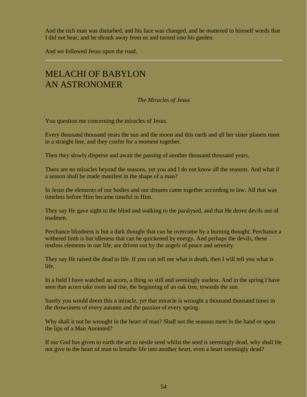And the rich man was disturbed, and his face was changed, and he muttered to himself words that I did not hear; and he shrank away from us and turned into his garden.

And we followed Jesus upon the road.

# MELACHI OF BABYLON AN ASTRONOMER

#### *The Miracles of Jesus*

You question me concerning the miracles of Jesus.

Every thousand thousand years the sun and the moon and this earth and all her sister planets meet in a straight line, and they confer for a moment together.

Then they slowly disperse and await the passing of another thousand thousand years.

There are no miracles beyond the seasons, yet you and I do not know all the seasons. And what if a season shall be made manifest in the shape of a man?

In Jesus the elements of our bodies and our dreams came together according to law. All that was timeless before Him became timeful in Him.

They say He gave sight to the blind and walking to the paralysed, and that He drove devils out of madmen.

Perchance blindness is but a dark thought that can be overcome by a burning thought. Perchance a withered limb is but idleness that can be quickened by energy. And perhaps the devils, these restless elements in our life, are driven out by the angels of peace and serenity.

They say He raised the dead to life. If you can tell me what is death, then I will tell you what is life.

In a field I have watched an acorn, a thing so still and seemingly useless. And in the spring I have seen that acorn take roots and rise, the beginning of an oak tree, towards the sun.

Surely you would deem this a miracle, yet that miracle is wrought a thousand thousand times in the drowsiness of every autumn and the passion of every spring.

Why shall it not be wrought in the heart of man? Shall not the seasons meet in the hand or upon the lips of a Man Anointed?

If our God has given to earth the art to nestle seed whilst the seed is seemingly dead, why shall He not give to the heart of man to breathe life into another heart, even a heart seemingly dead?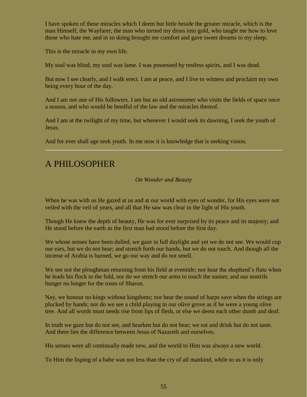I have spoken of these miracles which I deem but little beside the greater miracle, which is the man Himself, the Wayfarer, the man who turned my dross into gold, who taught me how to love those who hate me, and in so doing brought me comfort and gave sweet dreams to my sleep.

This is the miracle in my own life.

My soul was blind, my soul was lame. I was possessed by restless spirits, and I was dead.

But now I see clearly, and I walk erect. I am at peace, and I live to witness and proclaim my own being every hour of the day.

And I am not one of His followers. I am but an old astronomer who visits the fields of space once a season, and who would be heedful of the law and the miracles thereof.

And I am at the twilight of my time, but whenever I would seek its dawning, I seek the youth of Jesus.

And for ever shall age seek youth. In me now it is knowledge that is seeking vision.

# A PHILOSOPHER

#### *On Wonder and Beauty*

When he was with us He gazed at us and at our world with eyes of wonder, for His eyes were not veiled with the veil of years, and all that He saw was clear in the light of His youth.

Though He knew the depth of beauty, He was for ever surprised by its peace and its majesty; and He stood before the earth as the first man had stood before the first day.

We whose senses have been dulled, we gaze in full daylight and yet we do not see. We would cup our ears, but we do not hear; and stretch forth our hands, but we do not touch. And though all the incense of Arabia is burned, we go our way and do not smell.

We see not the ploughman returning from his field at eventide; nor hear the shepherd's flute when he leads his flock to the fold, nor do we stretch our arms to touch the sunset; and our nostrils hunger no longer for the roses of Sharon.

Nay, we honour no kings without kingdoms; nor hear the sound of harps save when the strings are plucked by hands; nor do we see a child playing in our olive grove as if he were a young olive tree. And all words must needs rise from lips of flesh, or else we deem each other dumb and deaf.

In truth we gaze but do not see, and hearken but do not hear; we eat and drink but do not taste. And there lies the difference between Jesus of Nazareth and ourselves.

His senses were all continually made new, and the world to Him was always a new world.

To Him the lisping of a babe was not less than the cry of all mankind, while to us it is only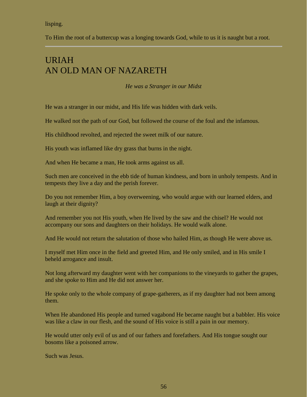lisping.

To Him the root of a buttercup was a longing towards God, while to us it is naught but a root.

# URIAH AN OLD MAN OF NAZARETH

*He was a Stranger in our Midst*

He was a stranger in our midst, and His life was hidden with dark veils.

He walked not the path of our God, but followed the course of the foul and the infamous.

His childhood revolted, and rejected the sweet milk of our nature.

His youth was inflamed like dry grass that burns in the night.

And when He became a man, He took arms against us all.

Such men are conceived in the ebb tide of human kindness, and born in unholy tempests. And in tempests they live a day and the perish forever.

Do you not remember Him, a boy overweening, who would argue with our learned elders, and laugh at their dignity?

And remember you not His youth, when He lived by the saw and the chisel? He would not accompany our sons and daughters on their holidays. He would walk alone.

And He would not return the salutation of those who hailed Him, as though He were above us.

I myself met Him once in the field and greeted Him, and He only smiled, and in His smile I beheld arrogance and insult.

Not long afterward my daughter went with her companions to the vineyards to gather the grapes, and she spoke to Him and He did not answer her.

He spoke only to the whole company of grape-gatherers, as if my daughter had not been among them.

When He abandoned His people and turned vagabond He became naught but a babbler. His voice was like a claw in our flesh, and the sound of His voice is still a pain in our memory.

He would utter only evil of us and of our fathers and forefathers. And His tongue sought our bosoms like a poisoned arrow.

Such was Jesus.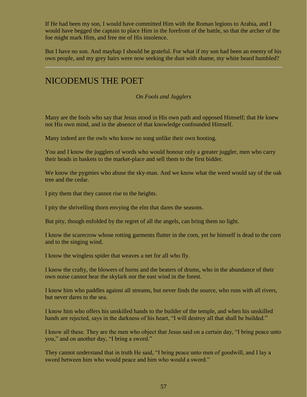If He had been my son, I would have committed Him with the Roman legions to Arabia, and I would have begged the captain to place Him in the forefront of the battle, so that the archer of the foe might mark Him, and free me of His insolence.

But I have no son. And mayhap I should be grateful. For what if my son had been an enemy of his own people, and my grey hairs were now seeking the dust with shame, my white beard humbled?

### NICODEMUS THE POET

#### *On Fools and Jugglers*

Many are the fools who say that Jesus stood in His own path and opposed Himself; that He knew not His own mind, and in the absence of that knowledge confounded Himself.

Many indeed are the owls who know no song unlike their own hooting.

You and I know the jugglers of words who would honour only a greater juggler, men who carry their heads in baskets to the market-place and sell them to the first bidder.

We know the pygmies who abuse the sky-man. And we know what the weed would say of the oak tree and the cedar.

I pity them that they cannot rise to the heights.

I pity the shrivelling thorn envying the elm that dares the seasons.

But pity, though enfolded by the regret of all the angels, can bring them no light.

I know the scarecrow whose rotting garments flutter in the corn, yet he himself is dead to the corn and to the singing wind.

I know the wingless spider that weaves a net for all who fly.

I know the crafty, the blowers of horns and the beaters of drums, who in the abundance of their own noise cannot hear the skylark nor the east wind in the forest.

I know him who paddles against all streams, but never finds the source, who runs with all rivers, but never dares to the sea.

I know him who offers his unskilled hands to the builder of the temple, and when his unskilled hands are rejected, says in the darkness of his heart, "I will destroy all that shall be builded."

I know all these. They are the men who object that Jesus said on a certain day, "I bring peace unto you," and on another day, "I bring a sword."

They cannot understand that in truth He said, "I bring peace unto men of goodwill, and I lay a sword between him who would peace and him who would a sword."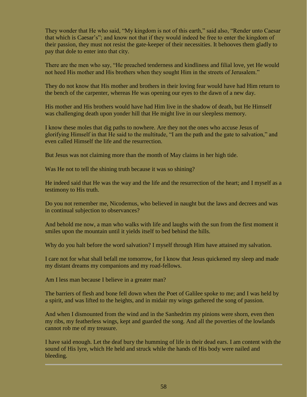They wonder that He who said, "My kingdom is not of this earth," said also, "Render unto Caesar that which is Caesar's"; and know not that if they would indeed be free to enter the kingdom of their passion, they must not resist the gate-keeper of their necessities. It behooves them gladly to pay that dole to enter into that city.

There are the men who say, "He preached tenderness and kindliness and filial love, yet He would not heed His mother and His brothers when they sought Him in the streets of Jerusalem."

They do not know that His mother and brothers in their loving fear would have had Him return to the bench of the carpenter, whereas He was opening our eyes to the dawn of a new day.

His mother and His brothers would have had Him live in the shadow of death, but He Himself was challenging death upon yonder hill that He might live in our sleepless memory.

I know these moles that dig paths to nowhere. Are they not the ones who accuse Jesus of glorifying Himself in that He said to the multitude, "I am the path and the gate to salvation," and even called Himself the life and the resurrection.

But Jesus was not claiming more than the month of May claims in her high tide.

Was He not to tell the shining truth because it was so shining?

He indeed said that He was the way and the life and the resurrection of the heart; and I myself as a testimony to His truth.

Do you not remember me, Nicodemus, who believed in naught but the laws and decrees and was in continual subjection to observances?

And behold me now, a man who walks with life and laughs with the sun from the first moment it smiles upon the mountain until it yields itself to bed behind the hills.

Why do you halt before the word salvation? I myself through Him have attained my salvation.

I care not for what shall befall me tomorrow, for I know that Jesus quickened my sleep and made my distant dreams my companions and my road-fellows.

Am I less man because I believe in a greater man?

The barriers of flesh and bone fell down when the Poet of Galilee spoke to me; and I was held by a spirit, and was lifted to the heights, and in midair my wings gathered the song of passion.

And when I dismounted from the wind and in the Sanhedrim my pinions were shorn, even then my ribs, my featherless wings, kept and guarded the song. And all the poverties of the lowlands cannot rob me of my treasure.

I have said enough. Let the deaf bury the humming of life in their dead ears. I am content with the sound of His lyre, which He held and struck while the hands of His body were nailed and bleeding.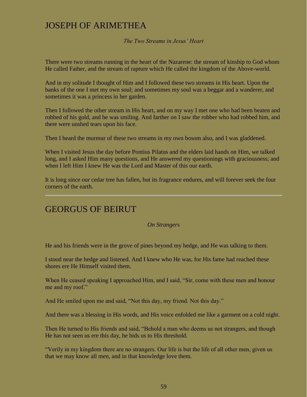# JOSEPH OF ARIMETHEA

*The Two Streams in Jesus' Heart*

There were two streams running in the heart of the Nazarene: the stream of kinship to God whom He called Father, and the stream of rapture which He called the kingdom of the Above-world.

And in my solitude I thought of Him and I followed these two streams in His heart. Upon the banks of the one I met my own soul; and sometimes my soul was a beggar and a wanderer, and sometimes it was a princess in her garden.

Then I followed the other stream in His heart, and on my way I met one who had been beaten and robbed of his gold, and he was smiling. And farther on I saw the robber who had robbed him, and there were unshed tears upon his face.

Then I heard the murmur of these two streams in my own bosom also, and I was gladdened.

When I visited Jesus the day before Pontius Pilatus and the elders laid hands on Him, we talked long, and I asked Him many questions, and He answered my questionings with graciousness; and when I left Him I knew He was the Lord and Master of this our earth.

It is long since our cedar tree has fallen, but its fragrance endures, and will forever seek the four corners of the earth.

### GEORGUS OF BEIRUT

#### *On Strangers*

He and his friends were in the grove of pines beyond my hedge, and He was talking to them.

I stood near the hedge and listened. And I knew who He was, for His fame had reached these shores ere He Himself visited them.

When He ceased speaking I approached Him, and I said, "Sir, come with these men and honour me and my roof."

And He smiled upon me and said, "Not this day, my friend. Not this day."

And there was a blessing in His words, and His voice enfolded me like a garment on a cold night.

Then He turned to His friends and said, "Behold a man who deems us not strangers, and though He has not seen us ere this day, he bids us to His threshold.

"Verily in my kingdom there are no strangers. Our life is but the life of all other men, given us that we may know all men, and in that knowledge love them.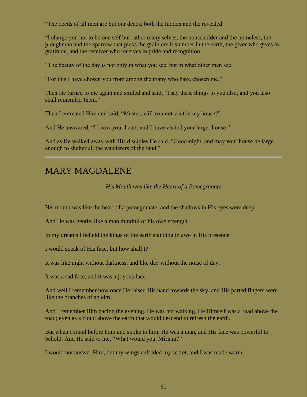"The deeds of all men are but our deeds, both the hidden and the revealed.

"I charge you not to be one self but rather many selves, the householder and the homeless, the ploughman and the sparrow that picks the grain ere it slumber in the earth, the giver who gives in gratitude, and the receiver who receives in pride and recognition.

"The beauty of the day is not only in what you see, but in what other men see.

"For this I have chosen you from among the many who have chosen me."

Then He turned to me again and smiled and said, "I say these things to you also, and you also shall remember them."

Then I entreated Him and said, "Master, will you not visit in my house?"

And He answered, "I know your heart, and I have visited your larger house."

And as He walked away with His disciples He said, "Good-night, and may your house be large enough to shelter all the wanderers of the land."

#### MARY MAGDALENE

*His Mouth was like the Heart of a Pomegranate*

His mouth was like the heart of a pomegranate, and the shadows in His eyes were deep.

And He was gentle, like a man mindful of his own strength.

In my dreams I beheld the kings of the earth standing in awe in His presence.

I would speak of His face, but how shall I?

It was like night without darkness, and like day without the noise of day.

It was a sad face, and it was a joyous face.

And well I remember how once He raised His hand towards the sky, and His parted fingers were like the branches of an elm.

And I remember Him pacing the evening. He was not walking. He Himself was a road above the road; even as a cloud above the earth that would descend to refresh the earth.

But when I stood before Him and spoke to him, He was a man, and His face was powerful to behold. And He said to me, "What would you, Miriam?"

I would not answer Him, but my wings enfolded my secret, and I was made warm.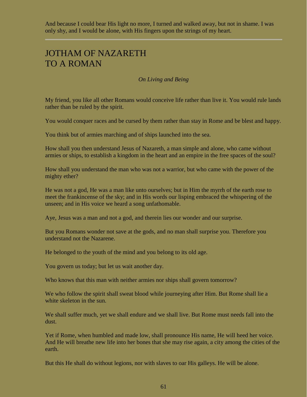And because I could bear His light no more, I turned and walked away, but not in shame. I was only shy, and I would be alone, with His fingers upon the strings of my heart.

# JOTHAM OF NAZARETH TO A ROMAN

*On Living and Being*

My friend, you like all other Romans would conceive life rather than live it. You would rule lands rather than be ruled by the spirit.

You would conquer races and be cursed by them rather than stay in Rome and be blest and happy.

You think but of armies marching and of ships launched into the sea.

How shall you then understand Jesus of Nazareth, a man simple and alone, who came without armies or ships, to establish a kingdom in the heart and an empire in the free spaces of the soul?

How shall you understand the man who was not a warrior, but who came with the power of the mighty ether?

He was not a god, He was a man like unto ourselves; but in Him the myrrh of the earth rose to meet the frankincense of the sky; and in His words our lisping embraced the whispering of the unseen; and in His voice we heard a song unfathomable.

Aye, Jesus was a man and not a god, and therein lies our wonder and our surprise.

But you Romans wonder not save at the gods, and no man shall surprise you. Therefore you understand not the Nazarene.

He belonged to the youth of the mind and you belong to its old age.

You govern us today; but let us wait another day.

Who knows that this man with neither armies nor ships shall govern tomorrow?

We who follow the spirit shall sweat blood while journeying after Him. But Rome shall lie a white skeleton in the sun.

We shall suffer much, yet we shall endure and we shall live. But Rome must needs fall into the dust.

Yet if Rome, when humbled and made low, shall pronounce His name, He will heed her voice. And He will breathe new life into her bones that she may rise again, a city among the cities of the earth.

But this He shall do without legions, nor with slaves to oar His galleys. He will be alone.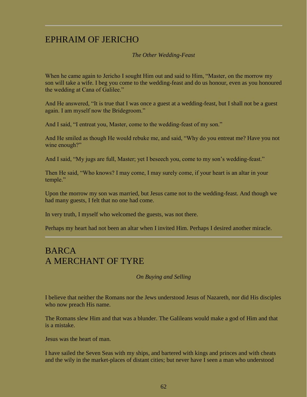## EPHRAIM OF JERICHO

#### *The Other Wedding-Feast*

When he came again to Jericho I sought Him out and said to Him, "Master, on the morrow my son will take a wife. I beg you come to the wedding-feast and do us honour, even as you honoured the wedding at Cana of Galilee."

And He answered, "It is true that I was once a guest at a wedding-feast, but I shall not be a guest again. I am myself now the Bridegroom."

And I said, "I entreat you, Master, come to the wedding-feast of my son."

And He smiled as though He would rebuke me, and said, "Why do you entreat me? Have you not wine enough?"

And I said, "My jugs are full, Master; yet I beseech you, come to my son's wedding-feast."

Then He said, "Who knows? I may come, I may surely come, if your heart is an altar in your temple."

Upon the morrow my son was married, but Jesus came not to the wedding-feast. And though we had many guests, I felt that no one had come.

In very truth, I myself who welcomed the guests, was not there.

Perhaps my heart had not been an altar when I invited Him. Perhaps I desired another miracle.

# BARCA A MERCHANT OF TYRE

*On Buying and Selling*

I believe that neither the Romans nor the Jews understood Jesus of Nazareth, nor did His disciples who now preach His name.

The Romans slew Him and that was a blunder. The Galileans would make a god of Him and that is a mistake.

Jesus was the heart of man.

I have sailed the Seven Seas with my ships, and bartered with kings and princes and with cheats and the wily in the market-places of distant cities; but never have I seen a man who understood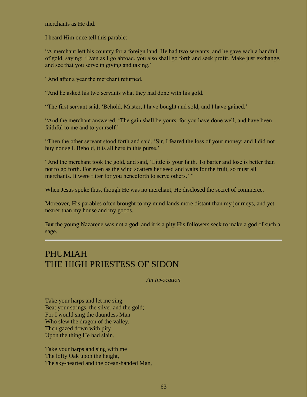merchants as He did.

I heard Him once tell this parable:

"A merchant left his country for a foreign land. He had two servants, and he gave each a handful of gold, saying: 'Even as I go abroad, you also shall go forth and seek profit. Make just exchange, and see that you serve in giving and taking.'

"And after a year the merchant returned.

"And he asked his two servants what they had done with his gold.

"The first servant said, 'Behold, Master, I have bought and sold, and I have gained.'

"And the merchant answered, 'The gain shall be yours, for you have done well, and have been faithful to me and to yourself.'

"Then the other servant stood forth and said, 'Sir, I feared the loss of your money; and I did not buy nor sell. Behold, it is all here in this purse.'

"And the merchant took the gold, and said, 'Little is your faith. To barter and lose is better than not to go forth. For even as the wind scatters her seed and waits for the fruit, so must all merchants. It were fitter for you henceforth to serve others.'"

When Jesus spoke thus, though He was no merchant, He disclosed the secret of commerce.

Moreover, His parables often brought to my mind lands more distant than my journeys, and yet nearer than my house and my goods.

But the young Nazarene was not a god; and it is a pity His followers seek to make a god of such a sage.

# PHUMIAH THE HIGH PRIESTESS OF SIDON

*An Invocation*

Take your harps and let me sing. Beat your strings, the silver and the gold; For I would sing the dauntless Man Who slew the dragon of the valley, Then gazed down with pity Upon the thing He had slain.

Take your harps and sing with me The lofty Oak upon the height, The sky-hearted and the ocean-handed Man,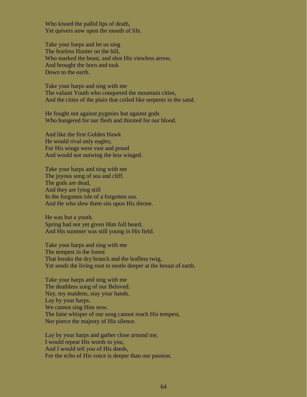Who kissed the pallid lips of death, Yet quivers now upon the mouth of life.

Take your harps and let us sing The fearless Hunter on the hill, Who marked the beast, and shot His viewless arrow, And brought the horn and tusk Down to the earth.

Take your harps and sing with me The valiant Youth who conquered the mountain cities, And the cities of the plain that coiled like serpents in the sand.

He fought not against pygmies but against gods Who hungered for our flesh and thirsted for our blood.

And like the first Golden Hawk He would rival only eagles; For His wings were vast and proud And would not outwing the less winged.

Take your harps and sing with me The joyous song of sea and cliff. The gods are dead, And they are lying still In the forgotten isle of a forgotten sea. And He who slew them sits upon His throne.

He was but a youth. Spring had not yet given Him full beard, And His summer was still young in His field.

Take your harps and sing with me The tempest in the forest That breaks the dry branch and the leafless twig, Yet sends the living root to nestle deeper at the breast of earth.

Take your harps and sing with me The deathless song of our Beloved. Nay, my maidens, stay your hands. Lay by your harps. We cannot sing Him now. The faint whisper of our song cannot reach His tempest, Nor pierce the majesty of His silence.

Lay by your harps and gather close around me, I would repeat His words to you, And I would tell you of His deeds, For the echo of His voice is deeper than our passion.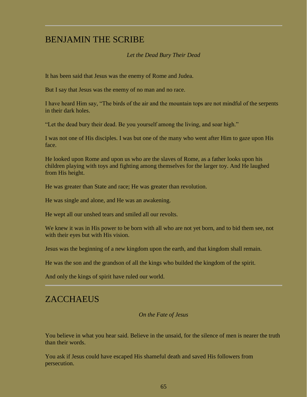### BENJAMIN THE SCRIBE

#### *Let the Dead Bury Their Dead*

It has been said that Jesus was the enemy of Rome and Judea.

But I say that Jesus was the enemy of no man and no race.

I have heard Him say, "The birds of the air and the mountain tops are not mindful of the serpents in their dark holes.

"Let the dead bury their dead. Be you yourself among the living, and soar high."

I was not one of His disciples. I was but one of the many who went after Him to gaze upon His face.

He looked upon Rome and upon us who are the slaves of Rome, as a father looks upon his children playing with toys and fighting among themselves for the larger toy. And He laughed from His height.

He was greater than State and race; He was greater than revolution.

He was single and alone, and He was an awakening.

He wept all our unshed tears and smiled all our revolts.

We knew it was in His power to be born with all who are not yet born, and to bid them see, not with their eyes but with His vision.

Jesus was the beginning of a new kingdom upon the earth, and that kingdom shall remain.

He was the son and the grandson of all the kings who builded the kingdom of the spirit.

And only the kings of spirit have ruled our world.

### **ZACCHAEUS**

#### *On the Fate of Jesus*

You believe in what you hear said. Believe in the unsaid, for the silence of men is nearer the truth than their words.

You ask if Jesus could have escaped His shameful death and saved His followers from persecution.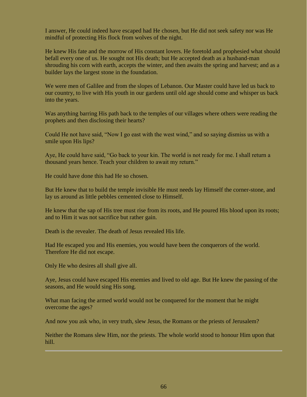I answer, He could indeed have escaped had He chosen, but He did not seek safety nor was He mindful of protecting His flock from wolves of the night.

He knew His fate and the morrow of His constant lovers. He foretold and prophesied what should befall every one of us. He sought not His death; but He accepted death as a husband-man shrouding his corn with earth, accepts the winter, and then awaits the spring and harvest; and as a builder lays the largest stone in the foundation.

We were men of Galilee and from the slopes of Lebanon. Our Master could have led us back to our country, to live with His youth in our gardens until old age should come and whisper us back into the years.

Was anything barring His path back to the temples of our villages where others were reading the prophets and then disclosing their hearts?

Could He not have said, "Now I go east with the west wind," and so saying dismiss us with a smile upon His lips?

Aye, He could have said, "Go back to your kin. The world is not ready for me. I shall return a thousand years hence. Teach your children to await my return."

He could have done this had He so chosen.

But He knew that to build the temple invisible He must needs lay Himself the corner-stone, and lay us around as little pebbles cemented close to Himself.

He knew that the sap of His tree must rise from its roots, and He poured His blood upon its roots; and to Him it was not sacrifice but rather gain.

Death is the revealer. The death of Jesus revealed His life.

Had He escaped you and His enemies, you would have been the conquerors of the world. Therefore He did not escape.

Only He who desires all shall give all.

Aye, Jesus could have escaped His enemies and lived to old age. But He knew the passing of the seasons, and He would sing His song.

What man facing the armed world would not be conquered for the moment that he might overcome the ages?

And now you ask who, in very truth, slew Jesus, the Romans or the priests of Jerusalem?

Neither the Romans slew Him, nor the priests. The whole world stood to honour Him upon that hill.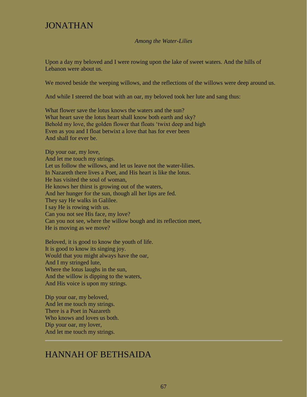### JONATHAN

#### *Among the Water-Lilies*

Upon a day my beloved and I were rowing upon the lake of sweet waters. And the hills of Lebanon were about us.

We moved beside the weeping willows, and the reflections of the willows were deep around us.

And while I steered the boat with an oar, my beloved took her lute and sang thus:

What flower save the lotus knows the waters and the sun? What heart save the lotus heart shall know both earth and sky? Behold my love, the golden flower that floats 'twixt deep and high Even as you and I float betwixt a love that has for ever been And shall for ever be.

Dip your oar, my love, And let me touch my strings. Let us follow the willows, and let us leave not the water-lilies. In Nazareth there lives a Poet, and His heart is like the lotus. He has visited the soul of woman, He knows her thirst is growing out of the waters, And her hunger for the sun, though all her lips are fed. They say He walks in Galilee. I say He is rowing with us. Can you not see His face, my love? Can you not see, where the willow bough and its reflection meet, He is moving as we move?

Beloved, it is good to know the youth of life. It is good to know its singing joy. Would that you might always have the oar, And I my stringed lute, Where the lotus laughs in the sun, And the willow is dipping to the waters, And His voice is upon my strings.

Dip your oar, my beloved, And let me touch my strings. There is a Poet in Nazareth Who knows and loves us both. Dip your oar, my lover, And let me touch my strings.

# HANNAH OF BETHSAIDA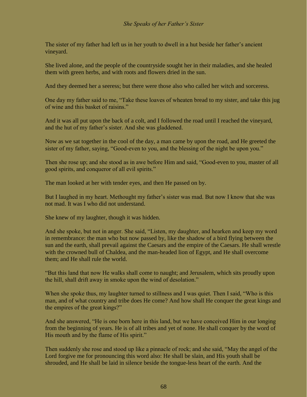The sister of my father had left us in her youth to dwell in a hut beside her father's ancient vineyard.

She lived alone, and the people of the countryside sought her in their maladies, and she healed them with green herbs, and with roots and flowers dried in the sun.

And they deemed her a seeress; but there were those also who called her witch and sorceress.

One day my father said to me, "Take these loaves of wheaten bread to my sister, and take this jug of wine and this basket of raisins."

And it was all put upon the back of a colt, and I followed the road until I reached the vineyard, and the hut of my father's sister. And she was gladdened.

Now as we sat together in the cool of the day, a man came by upon the road, and He greeted the sister of my father, saying, "Good-even to you, and the blessing of the night be upon you."

Then she rose up; and she stood as in awe before Him and said, "Good-even to you, master of all good spirits, and conqueror of all evil spirits."

The man looked at her with tender eyes, and then He passed on by.

But I laughed in my heart. Methought my father's sister was mad. But now I know that she was not mad. It was I who did not understand.

She knew of my laughter, though it was hidden.

And she spoke, but not in anger. She said, "Listen, my daughter, and hearken and keep my word in remembrance: the man who but now passed by, like the shadow of a bird flying between the sun and the earth, shall prevail against the Caesars and the empire of the Caesars. He shall wrestle with the crowned bull of Chaldea, and the man-headed lion of Egypt, and He shall overcome them; and He shall rule the world.

"But this land that now He walks shall come to naught; and Jerusalem, which sits proudly upon the hill, shall drift away in smoke upon the wind of desolation."

When she spoke thus, my laughter turned to stillness and I was quiet. Then I said, "Who is this man, and of what country and tribe does He come? And how shall He conquer the great kings and the empires of the great kings?"

And she answered, "He is one born here in this land, but we have conceived Him in our longing from the beginning of years. He is of all tribes and yet of none. He shall conquer by the word of His mouth and by the flame of His spirit."

Then suddenly she rose and stood up like a pinnacle of rock; and she said, "May the angel of the Lord forgive me for pronouncing this word also: He shall be slain, and His youth shall be shrouded, and He shall be laid in silence beside the tongue-less heart of the earth. And the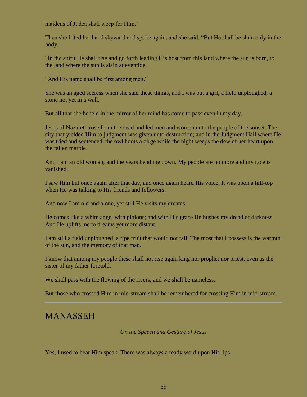maidens of Judea shall weep for Him."

Then she lifted her hand skyward and spoke again, and she said, "But He shall be slain only in the body.

"In the spirit He shall rise and go forth leading His host from this land where the sun is born, to the land where the sun is slain at eventide.

"And His name shall be first among men."

She was an aged seeress when she said these things, and I was but a girl, a field unploughed, a stone not yet in a wall.

But all that she beheld in the mirror of her mind has come to pass even in my day.

Jesus of Nazareth rose from the dead and led men and women unto the people of the sunset. The city that yielded Him to judgment was given unto destruction; and in the Judgment Hall where He was tried and sentenced, the owl hoots a dirge while the night weeps the dew of her heart upon the fallen marble.

And I am an old woman, and the years bend me down. My people are no more and my race is vanished.

I saw Him but once again after that day, and once again heard His voice. It was upon a hill-top when He was talking to His friends and followers.

And now I am old and alone, yet still He visits my dreams.

He comes like a white angel with pinions; and with His grace He hushes my dread of darkness. And He uplifts me to dreams yet more distant.

I am still a field unploughed, a ripe fruit that would not fall. The most that I possess is the warmth of the sun, and the memory of that man.

I know that among my people these shall not rise again king nor prophet nor priest, even as the sister of my father foretold.

We shall pass with the flowing of the rivers, and we shall be nameless.

But those who crossed Him in mid-stream shall be remembered for crossing Him in mid-stream.

### MANASSEH

#### *On the Speech and Gesture of Jesus*

Yes, I used to hear Him speak. There was always a ready word upon His lips.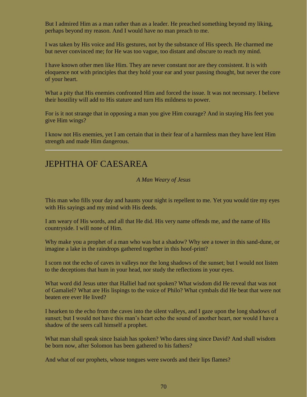But I admired Him as a man rather than as a leader. He preached something beyond my liking, perhaps beyond my reason. And I would have no man preach to me.

I was taken by His voice and His gestures, not by the substance of His speech. He charmed me but never convinced me; for He was too vague, too distant and obscure to reach my mind.

I have known other men like Him. They are never constant nor are they consistent. It is with eloquence not with principles that they hold your ear and your passing thought, but never the core of your heart.

What a pity that His enemies confronted Him and forced the issue. It was not necessary. I believe their hostility will add to His stature and turn His mildness to power.

For is it not strange that in opposing a man you give Him courage? And in staying His feet you give Him wings?

I know not His enemies, yet I am certain that in their fear of a harmless man they have lent Him strength and made Him dangerous.

### JEPHTHA OF CAESAREA

#### *A Man Weary of Jesus*

This man who fills your day and haunts your night is repellent to me. Yet you would tire my eyes with His sayings and my mind with His deeds.

I am weary of His words, and all that He did. His very name offends me, and the name of His countryside. I will none of Him.

Why make you a prophet of a man who was but a shadow? Why see a tower in this sand-dune, or imagine a lake in the raindrops gathered together in this hoof-print?

I scorn not the echo of caves in valleys nor the long shadows of the sunset; but I would not listen to the deceptions that hum in your head, nor study the reflections in your eyes.

What word did Jesus utter that Halliel had not spoken? What wisdom did He reveal that was not of Gamaliel? What are His lispings to the voice of Philo? What cymbals did He beat that were not beaten ere ever He lived?

I hearken to the echo from the caves into the silent valleys, and I gaze upon the long shadows of sunset; but I would not have this man's heart echo the sound of another heart, nor would I have a shadow of the seers call himself a prophet.

What man shall speak since Isaiah has spoken? Who dares sing since David? And shall wisdom be born now, after Solomon has been gathered to his fathers?

And what of our prophets, whose tongues were swords and their lips flames?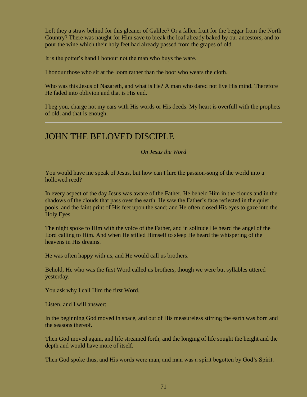Left they a straw behind for this gleaner of Galilee? Or a fallen fruit for the beggar from the North Country? There was naught for Him save to break the loaf already baked by our ancestors, and to pour the wine which their holy feet had already passed from the grapes of old.

It is the potter's hand I honour not the man who buys the ware.

I honour those who sit at the loom rather than the boor who wears the cloth.

Who was this Jesus of Nazareth, and what is He? A man who dared not live His mind. Therefore He faded into oblivion and that is His end.

I beg you, charge not my ears with His words or His deeds. My heart is overfull with the prophets of old, and that is enough.

### JOHN THE BELOVED DISCIPLE

*On Jesus the Word*

You would have me speak of Jesus, but how can I lure the passion-song of the world into a hollowed reed?

In every aspect of the day Jesus was aware of the Father. He beheld Him in the clouds and in the shadows of the clouds that pass over the earth. He saw the Father's face reflected in the quiet pools, and the faint print of His feet upon the sand; and He often closed His eyes to gaze into the Holy Eyes.

The night spoke to Him with the voice of the Father, and in solitude He heard the angel of the Lord calling to Him. And when He stilled Himself to sleep He heard the whispering of the heavens in His dreams.

He was often happy with us, and He would call us brothers.

Behold, He who was the first Word called us brothers, though we were but syllables uttered yesterday.

You ask why I call Him the first Word.

Listen, and I will answer:

In the beginning God moved in space, and out of His measureless stirring the earth was born and the seasons thereof.

Then God moved again, and life streamed forth, and the longing of life sought the height and the depth and would have more of itself.

Then God spoke thus, and His words were man, and man was a spirit begotten by God's Spirit.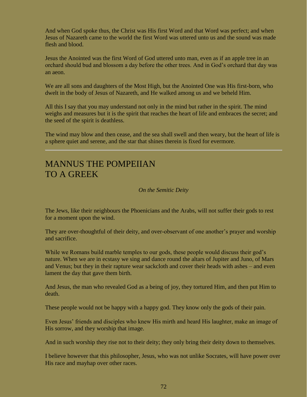And when God spoke thus, the Christ was His first Word and that Word was perfect; and when Jesus of Nazareth came to the world the first Word was uttered unto us and the sound was made flesh and blood.

Jesus the Anointed was the first Word of God uttered unto man, even as if an apple tree in an orchard should bud and blossom a day before the other trees. And in God's orchard that day was an aeon.

We are all sons and daughters of the Most High, but the Anointed One was His first-born, who dwelt in the body of Jesus of Nazareth, and He walked among us and we beheld Him.

All this I say that you may understand not only in the mind but rather in the spirit. The mind weighs and measures but it is the spirit that reaches the heart of life and embraces the secret; and the seed of the spirit is deathless.

The wind may blow and then cease, and the sea shall swell and then weary, but the heart of life is a sphere quiet and serene, and the star that shines therein is fixed for evermore.

# MANNUS THE POMPEIIAN TO A GREEK

*On the Semitic Deity*

The Jews, like their neighbours the Phoenicians and the Arabs, will not suffer their gods to rest for a moment upon the wind.

They are over-thoughtful of their deity, and over-observant of one another's prayer and worship and sacrifice.

While we Romans build marble temples to our gods, these people would discuss their god's nature. When we are in ecstasy we sing and dance round the altars of Jupiter and Juno, of Mars and Venus; but they in their rapture wear sackcloth and cover their heads with ashes – and even lament the day that gave them birth.

And Jesus, the man who revealed God as a being of joy, they tortured Him, and then put Him to death.

These people would not be happy with a happy god. They know only the gods of their pain.

Even Jesus' friends and disciples who knew His mirth and heard His laughter, make an image of His sorrow, and they worship that image.

And in such worship they rise not to their deity; they only bring their deity down to themselves.

I believe however that this philosopher, Jesus, who was not unlike Socrates, will have power over His race and mayhap over other races.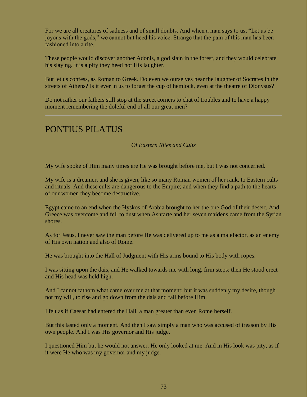For we are all creatures of sadness and of small doubts. And when a man says to us, "Let us be joyous with the gods," we cannot but heed his voice. Strange that the pain of this man has been fashioned into a rite.

These people would discover another Adonis, a god slain in the forest, and they would celebrate his slaying. It is a pity they heed not His laughter.

But let us confess, as Roman to Greek. Do even we ourselves hear the laughter of Socrates in the streets of Athens? Is it ever in us to forget the cup of hemlock, even at the theatre of Dionysus?

Do not rather our fathers still stop at the street corners to chat of troubles and to have a happy moment remembering the doleful end of all our great men?

# PONTIUS PILATUS

### *Of Eastern Rites and Cults*

My wife spoke of Him many times ere He was brought before me, but I was not concerned.

My wife is a dreamer, and she is given, like so many Roman women of her rank, to Eastern cults and rituals. And these cults are dangerous to the Empire; and when they find a path to the hearts of our women they become destructive.

Egypt came to an end when the Hyskos of Arabia brought to her the one God of their desert. And Greece was overcome and fell to dust when Ashtarte and her seven maidens came from the Syrian shores.

As for Jesus, I never saw the man before He was delivered up to me as a malefactor, as an enemy of His own nation and also of Rome.

He was brought into the Hall of Judgment with His arms bound to His body with ropes.

I was sitting upon the dais, and He walked towards me with long, firm steps; then He stood erect and His head was held high.

And I cannot fathom what came over me at that moment; but it was suddenly my desire, though not my will, to rise and go down from the dais and fall before Him.

I felt as if Caesar had entered the Hall, a man greater than even Rome herself.

But this lasted only a moment. And then I saw simply a man who was accused of treason by His own people. And I was His governor and His judge.

I questioned Him but he would not answer. He only looked at me. And in His look was pity, as if it were He who was my governor and my judge.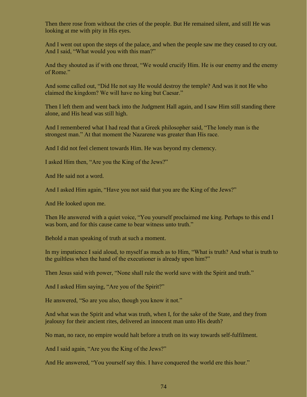Then there rose from without the cries of the people. But He remained silent, and still He was looking at me with pity in His eyes.

And I went out upon the steps of the palace, and when the people saw me they ceased to cry out. And I said, "What would you with this man?"

And they shouted as if with one throat, "We would crucify Him. He is our enemy and the enemy of Rome."

And some called out, "Did He not say He would destroy the temple? And was it not He who claimed the kingdom? We will have no king but Caesar."

Then I left them and went back into the Judgment Hall again, and I saw Him still standing there alone, and His head was still high.

And I remembered what I had read that a Greek philosopher said, "The lonely man is the strongest man." At that moment the Nazarene was greater than His race.

And I did not feel clement towards Him. He was beyond my clemency.

I asked Him then, "Are you the King of the Jews?"

And He said not a word.

And I asked Him again, "Have you not said that you are the King of the Jews?"

And He looked upon me.

Then He answered with a quiet voice, "You yourself proclaimed me king. Perhaps to this end I was born, and for this cause came to bear witness unto truth."

Behold a man speaking of truth at such a moment.

In my impatience I said aloud, to myself as much as to Him, "What is truth? And what is truth to the guiltless when the hand of the executioner is already upon him?"

Then Jesus said with power, "None shall rule the world save with the Spirit and truth."

And I asked Him saying, "Are you of the Spirit?"

He answered, "So are you also, though you know it not."

And what was the Spirit and what was truth, when I, for the sake of the State, and they from jealousy for their ancient rites, delivered an innocent man unto His death?

No man, no race, no empire would halt before a truth on its way towards self-fulfilment.

And I said again, "Are you the King of the Jews?"

And He answered, "You yourself say this. I have conquered the world ere this hour."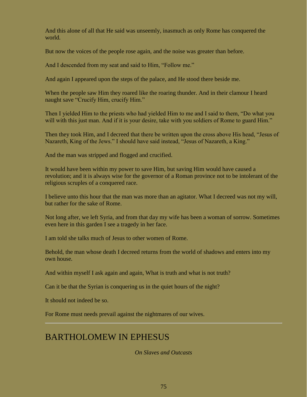And this alone of all that He said was unseemly, inasmuch as only Rome has conquered the world.

But now the voices of the people rose again, and the noise was greater than before.

And I descended from my seat and said to Him, "Follow me."

And again I appeared upon the steps of the palace, and He stood there beside me.

When the people saw Him they roared like the roaring thunder. And in their clamour I heard naught save "Crucify Him, crucify Him."

Then I yielded Him to the priests who had yielded Him to me and I said to them, "Do what you will with this just man. And if it is your desire, take with you soldiers of Rome to guard Him."

Then they took Him, and I decreed that there be written upon the cross above His head, "Jesus of Nazareth, King of the Jews." I should have said instead, "Jesus of Nazareth, a King."

And the man was stripped and flogged and crucified.

It would have been within my power to save Him, but saving Him would have caused a revolution; and it is always wise for the governor of a Roman province not to be intolerant of the religious scruples of a conquered race.

I believe unto this hour that the man was more than an agitator. What I decreed was not my will, but rather for the sake of Rome.

Not long after, we left Syria, and from that day my wife has been a woman of sorrow. Sometimes even here in this garden I see a tragedy in her face.

I am told she talks much of Jesus to other women of Rome.

Behold, the man whose death I decreed returns from the world of shadows and enters into my own house.

And within myself I ask again and again, What is truth and what is not truth?

Can it be that the Syrian is conquering us in the quiet hours of the night?

It should not indeed be so.

For Rome must needs prevail against the nightmares of our wives.

## BARTHOLOMEW IN EPHESUS

*On Slaves and Outcasts*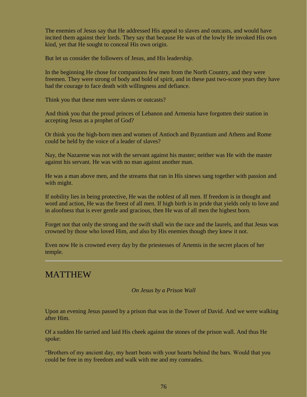The enemies of Jesus say that He addressed His appeal to slaves and outcasts, and would have incited them against their lords. They say that because He was of the lowly He invoked His own kind, yet that He sought to conceal His own origin.

But let us consider the followers of Jesus, and His leadership.

In the beginning He chose for companions few men from the North Country, and they were freemen. They were strong of body and bold of spirit, and in these past two-score years they have had the courage to face death with willingness and defiance.

Think you that these men were slaves or outcasts?

And think you that the proud princes of Lebanon and Armenia have forgotten their station in accepting Jesus as a prophet of God?

Or think you the high-born men and women of Antioch and Byzantium and Athens and Rome could be held by the voice of a leader of slaves?

Nay, the Nazarene was not with the servant against his master; neither was He with the master against his servant. He was with no man against another man.

He was a man above men, and the streams that ran in His sinews sang together with passion and with might.

If nobility lies in being protective, He was the noblest of all men. If freedom is in thought and word and action, He was the freest of all men. If high birth is in pride that yields only to love and in aloofness that is ever gentle and gracious, then He was of all men the highest born.

Forget not that only the strong and the swift shall win the race and the laurels, and that Jesus was crowned by those who loved Him, and also by His enemies though they knew it not.

Even now He is crowned every day by the priestesses of Artemis in the secret places of her temple.

# MATTHEW

### *On Jesus by a Prison Wall*

Upon an evening Jesus passed by a prison that was in the Tower of David. And we were walking after Him.

Of a sudden He tarried and laid His cheek against the stones of the prison wall. And thus He spoke:

"Brothers of my ancient day, my heart beats with your hearts behind the bars. Would that you could be free in my freedom and walk with me and my comrades.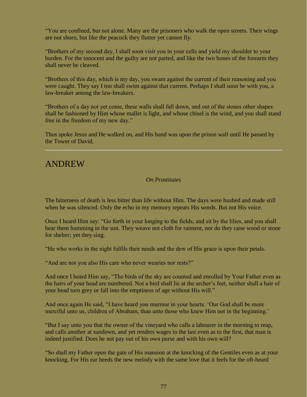"You are confined, but not alone. Many are the prisoners who walk the open streets. Their wings are not shorn, but like the peacock they flutter yet cannot fly.

"Brothers of my second day, I shall soon visit you in your cells and yield my shoulder to your burden. For the innocent and the guilty are not parted, and like the two bones of the forearm they shall never be cleaved.

"Brothers of this day, which is my day, you swam against the current of their reasoning and you were caught. They say I too shall swim against that current. Perhaps I shall soon be with you, a law-breaker among the law-breakers.

"Brothers of a day not yet come, these walls shall fall down, and out of the stones other shapes shall be fashioned by Him whose mallet is light, and whose chisel is the wind, and you shall stand free in the freedom of my new day."

Thus spoke Jesus and He walked on, and His hand was upon the prison wall until He passed by the Tower of David.

### ANDREW

### *On Prostitutes*

The bitterness of death is less bitter than life without Him. The days were hushed and made still when he was silenced. Only the echo in my memory repeats His words. But not His voice.

Once I heard Him say: "Go forth in your longing to the fields, and sit by the lilies, and you shall hear them humming in the sun. They weave not cloth for raiment, nor do they raise wood or stone for shelter; yet they sing.

"He who works in the night fulfils their needs and the dew of His grace is upon their petals.

"And are not you also His care who never wearies nor rests?"

And once I heard Him say, "The birds of the sky are counted and enrolled by Your Father even as the hairs of your head are numbered. Not a bird shall lie at the archer's feet, neither shall a hair of your head turn grey or fall into the emptiness of age without His will."

And once again He said, "I have heard you murmur in your hearts: 'Our God shall be more merciful unto us, children of Abraham, than unto those who knew Him not in the beginning.'

"But I say unto you that the owner of the vineyard who calls a labourer in the morning to reap, and calls another at sundown, and yet renders wages to the last even as to the first, that man is indeed justified. Does he not pay out of his own purse and with his own will?

"So shall my Father open the gate of His mansion at the knocking of the Gentiles even as at your knocking. For His ear heeds the new melody with the same love that it feels for the oft-heard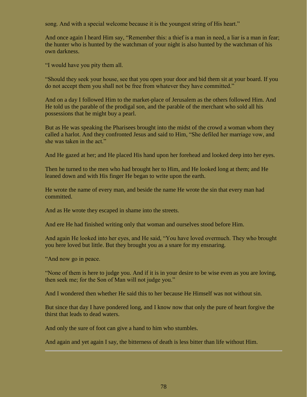song. And with a special welcome because it is the youngest string of His heart."

And once again I heard Him say, "Remember this: a thief is a man in need, a liar is a man in fear; the hunter who is hunted by the watchman of your night is also hunted by the watchman of his own darkness.

"I would have you pity them all.

"Should they seek your house, see that you open your door and bid them sit at your board. If you do not accept them you shall not be free from whatever they have committed."

And on a day I followed Him to the market-place of Jerusalem as the others followed Him. And He told us the parable of the prodigal son, and the parable of the merchant who sold all his possessions that he might buy a pearl.

But as He was speaking the Pharisees brought into the midst of the crowd a woman whom they called a harlot. And they confronted Jesus and said to Him, "She defiled her marriage vow, and she was taken in the act."

And He gazed at her; and He placed His hand upon her forehead and looked deep into her eyes.

Then he turned to the men who had brought her to Him, and He looked long at them; and He leaned down and with His finger He began to write upon the earth.

He wrote the name of every man, and beside the name He wrote the sin that every man had committed.

And as He wrote they escaped in shame into the streets.

And ere He had finished writing only that woman and ourselves stood before Him.

And again He looked into her eyes, and He said, "You have loved overmuch. They who brought you here loved but little. But they brought you as a snare for my ensnaring.

"And now go in peace.

"None of them is here to judge you. And if it is in your desire to be wise even as you are loving, then seek me; for the Son of Man will not judge you."

And I wondered then whether He said this to her because He Himself was not without sin.

But since that day I have pondered long, and I know now that only the pure of heart forgive the thirst that leads to dead waters.

And only the sure of foot can give a hand to him who stumbles.

And again and yet again I say, the bitterness of death is less bitter than life without Him.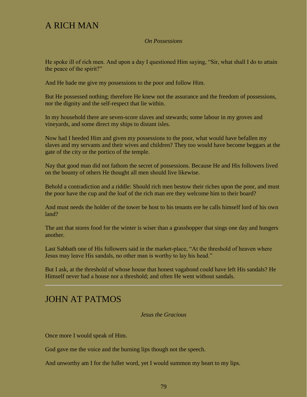## A RICH MAN

#### *On Possessions*

He spoke ill of rich men. And upon a day I questioned Him saying, "Sir, what shall I do to attain the peace of the spirit?"

And He bade me give my possessions to the poor and follow Him.

But He possessed nothing; therefore He knew not the assurance and the freedom of possessions, nor the dignity and the self-respect that lie within.

In my household there are seven-score slaves and stewards; some labour in my groves and vineyards, and some direct my ships to distant isles.

Now had I heeded Him and given my possessions to the poor, what would have befallen my slaves and my servants and their wives and children? They too would have become beggars at the gate of the city or the portico of the temple.

Nay that good man did not fathom the secret of possessions. Because He and His followers lived on the bounty of others He thought all men should live likewise.

Behold a contradiction and a riddle: Should rich men bestow their riches upon the poor, and must the poor have the cup and the loaf of the rich man ere they welcome him to their board?

And must needs the holder of the tower be host to his tenants ere he calls himself lord of his own land?

The ant that stores food for the winter is wiser than a grasshopper that sings one day and hungers another.

Last Sabbath one of His followers said in the market-place, "At the threshold of heaven where Jesus may leave His sandals, no other man is worthy to lay his head."

But I ask, at the threshold of whose house that honest vagabond could have left His sandals? He Himself never had a house nor a threshold; and often He went without sandals.

### JOHN AT PATMOS

*Jesus the Gracious*

Once more I would speak of Him.

God gave me the voice and the burning lips though not the speech.

And unworthy am I for the fuller word, yet I would summon my heart to my lips.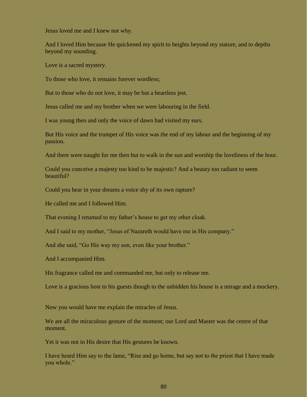Jesus loved me and I knew not why.

And I loved Him because He quickened my spirit to heights beyond my stature, and to depths beyond my sounding.

Love is a sacred mystery.

To those who love, it remains forever wordless;

But to those who do not love, it may be but a heartless jest.

Jesus called me and my brother when we were labouring in the field.

I was young then and only the voice of dawn had visited my ears.

But His voice and the trumpet of His voice was the end of my labour and the beginning of my passion.

And there were naught for me then but to walk in the sun and worship the loveliness of the hour.

Could you conceive a majesty too kind to be majestic? And a beauty too radiant to seem beautiful?

Could you hear in your dreams a voice shy of its own rapture?

He called me and I followed Him.

That evening I returned to my father's house to get my other cloak.

And I said to my mother, "Jesus of Nazareth would have me in His company."

And she said, "Go His way my son, even like your brother."

And I accompanied Him.

His fragrance called me and commanded me, but only to release me.

Love is a gracious host to his guests though to the unbidden his house is a mirage and a mockery.

Now you would have me explain the miracles of Jesus.

We are all the miraculous gesture of the moment; our Lord and Master was the centre of that moment.

Yet it was not in His desire that His gestures be known.

I have heard Him say to the lame, "Rise and go home, but say not to the priest that I have made you whole."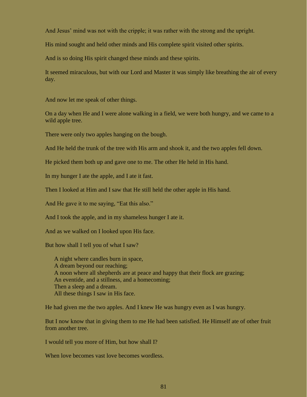And Jesus' mind was not with the cripple; it was rather with the strong and the upright.

His mind sought and held other minds and His complete spirit visited other spirits.

And is so doing His spirit changed these minds and these spirits.

It seemed miraculous, but with our Lord and Master it was simply like breathing the air of every day.

And now let me speak of other things.

On a day when He and I were alone walking in a field, we were both hungry, and we came to a wild apple tree.

There were only two apples hanging on the bough.

And He held the trunk of the tree with His arm and shook it, and the two apples fell down.

He picked them both up and gave one to me. The other He held in His hand.

In my hunger I ate the apple, and I ate it fast.

Then I looked at Him and I saw that He still held the other apple in His hand.

And He gave it to me saying, "Eat this also."

And I took the apple, and in my shameless hunger I ate it.

And as we walked on I looked upon His face.

But how shall I tell you of what I saw?

 A night where candles burn in space, A dream beyond our reaching; A noon where all shepherds are at peace and happy that their flock are grazing; An eventide, and a stillness, and a homecoming; Then a sleep and a dream. All these things I saw in His face.

He had given me the two apples. And I knew He was hungry even as I was hungry.

But I now know that in giving them to me He had been satisfied. He Himself ate of other fruit from another tree.

I would tell you more of Him, but how shall I?

When love becomes vast love becomes wordless.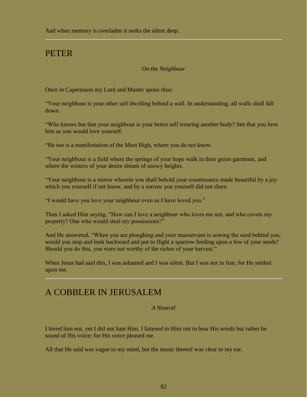# **PETER**

#### *On the Neighbour*

Once in Capernaum my Lord and Master spoke thus:

"Your neighbour is your other self dwelling behind a wall. In understanding, all walls shall fall down.

"Who knows but that your neighbour is your better self wearing another body? See that you love him as you would love yourself.

"He too is a manifestation of the Most High, whom you do not know.

"Your neighbour is a field where the springs of your hope walk in their green garments, and where the winters of your desire dream of snowy heights.

"Your neighbour is a mirror wherein you shall behold your countenance made beautiful by a joy which you yourself if not know, and by a sorrow you yourself did not share.

"I would have you love your neighbour even as I have loved you."

Then I asked Him saying, "How can I love a neighbour who loves me not, and who covets my property? One who would steal my possessions?"

And He answered, "When you are ploughing and your manservant is sowing the seed behind you, would you stop and look backward and put to flight a sparrow feeding upon a few of your seeds? Should you do this, you were not worthy of the riches of your harvest."

When Jesus had said this, I was ashamed and I was silent. But I was not in fear, for He smiled upon me.

# A COBBLER IN JERUSALEM

*A Neutral*

I loved him not, yet I did not hate Him. I listened to Him not to hear His words but rather he sound of His voice; for His voice pleased me.

All that He said was vague to my mind, but the music thereof was clear to my ear.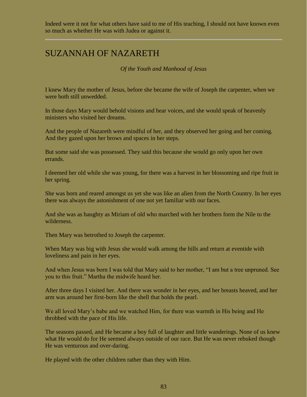Indeed were it not for what others have said to me of His teaching, I should not have known even so much as whether He was with Judea or against it.

### SUZANNAH OF NAZARETH

*Of the Youth and Manhood of Jesus*

I knew Mary the mother of Jesus, before she became the wife of Joseph the carpenter, when we were both still unwedded.

In those days Mary would behold visions and hear voices, and she would speak of heavenly ministers who visited her dreams.

And the people of Nazareth were mindful of her, and they observed her going and her coming. And they gazed upon her brows and spaces in her steps.

But some said she was possessed. They said this because she would go only upon her own errands.

I deemed her old while she was young, for there was a harvest in her blossoming and ripe fruit in her spring.

She was born and reared amongst us yet she was like an alien from the North Country. In her eyes there was always the astonishment of one not yet familiar with our faces.

And she was as haughty as Miriam of old who marched with her brothers form the Nile to the wilderness.

Then Mary was betrothed to Joseph the carpenter.

When Mary was big with Jesus she would walk among the hills and return at eventide with loveliness and pain in her eyes.

And when Jesus was born I was told that Mary said to her mother, "I am but a tree unpruned. See you to this fruit." Martha the midwife heard her.

After three days I visited her. And there was wonder in her eyes, and her breasts heaved, and her arm was around her first-born like the shell that holds the pearl.

We all loved Mary's babe and we watched Him, for there was warmth in His being and He throbbed with the pace of His life.

The seasons passed, and He became a boy full of laughter and little wanderings. None of us knew what He would do for He seemed always outside of our race. But He was never rebuked though He was venturous and over-daring.

He played with the other children rather than they with Him.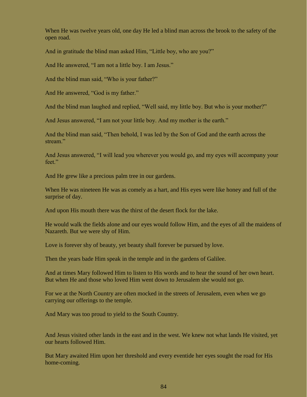When He was twelve years old, one day He led a blind man across the brook to the safety of the open road.

And in gratitude the blind man asked Him, "Little boy, who are you?"

And He answered, "I am not a little boy. I am Jesus."

And the blind man said, "Who is your father?"

And He answered, "God is my father."

And the blind man laughed and replied, "Well said, my little boy. But who is your mother?"

And Jesus answered, "I am not your little boy. And my mother is the earth."

And the blind man said, "Then behold, I was led by the Son of God and the earth across the stream."

And Jesus answered, "I will lead you wherever you would go, and my eyes will accompany your feet."

And He grew like a precious palm tree in our gardens.

When He was nineteen He was as comely as a hart, and His eyes were like honey and full of the surprise of day.

And upon His mouth there was the thirst of the desert flock for the lake.

He would walk the fields alone and our eyes would follow Him, and the eyes of all the maidens of Nazareth. But we were shy of Him.

Love is forever shy of beauty, yet beauty shall forever be pursued by love.

Then the years bade Him speak in the temple and in the gardens of Galilee.

And at times Mary followed Him to listen to His words and to hear the sound of her own heart. But when He and those who loved Him went down to Jerusalem she would not go.

For we at the North Country are often mocked in the streets of Jerusalem, even when we go carrying our offerings to the temple.

And Mary was too proud to yield to the South Country.

And Jesus visited other lands in the east and in the west. We knew not what lands He visited, yet our hearts followed Him.

But Mary awaited Him upon her threshold and every eventide her eyes sought the road for His home-coming.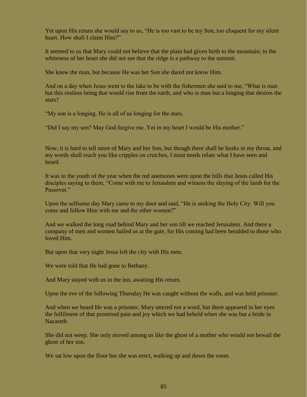Yet upon His return she would say to us, "He is too vast to be my Son, too eloquent for my silent heart. How shall I claim Him?"

It seemed to us that Mary could not believe that the plain had given birth to the mountain; in the whiteness of her heart she did not see that the ridge is a pathway to the summit.

She knew the man, but because He was her Son she dared not know Him.

And on a day when Jesus went to the lake to be with the fishermen she said to me, "What is man but this restless being that would rise from the earth, and who is man but a longing that desires the stars?

"My son is a longing. He is all of us longing for the stars.

"Did I say my son? May God forgive me. Yet in my heart I would be His mother."

Now, it is hard to tell more of Mary and her Son, but though there shall be husks in my throat, and my words shall reach you like cripples on crutches, I must needs relate what I have seen and heard.

It was in the youth of the year when the red anemones were upon the hills that Jesus called His disciples saying to them, "Come with me to Jerusalem and witness the slaying of the lamb for the Passover."

Upon the selfsame day Mary came to my door and said, "He is seeking the Holy City. Will you come and follow Him with me and the other women?"

And we walked the long road behind Mary and her son till we reached Jerusalem. And there a company of men and women hailed us at the gate, for His coming had been heralded to those who loved Him.

But upon that very night Jesus left the city with His men.

We were told that He had gone to Bethany.

And Mary stayed with us in the inn, awaiting His return.

Upon the eve of the following Thursday He was caught without the walls, and was held prisoner.

And when we heard He was a prisoner, Mary uttered not a word, but there appeared in her eyes the fulfilment of that promised pain and joy which we had beheld when she was but a bride in Nazareth.

She did not weep. She only moved among us like the ghost of a mother who would not bewail the ghost of her son.

We sat low upon the floor but she was erect, walking up and down the room.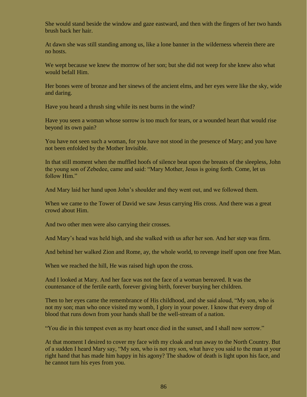She would stand beside the window and gaze eastward, and then with the fingers of her two hands brush back her hair.

At dawn she was still standing among us, like a lone banner in the wilderness wherein there are no hosts.

We wept because we knew the morrow of her son; but she did not weep for she knew also what would befall Him.

Her bones were of bronze and her sinews of the ancient elms, and her eyes were like the sky, wide and daring.

Have you heard a thrush sing while its nest burns in the wind?

Have you seen a woman whose sorrow is too much for tears, or a wounded heart that would rise beyond its own pain?

You have not seen such a woman, for you have not stood in the presence of Mary; and you have not been enfolded by the Mother Invisible.

In that still moment when the muffled hoofs of silence beat upon the breasts of the sleepless, John the young son of Zebedee, came and said: "Mary Mother, Jesus is going forth. Come, let us follow Him."

And Mary laid her hand upon John's shoulder and they went out, and we followed them.

When we came to the Tower of David we saw Jesus carrying His cross. And there was a great crowd about Him.

And two other men were also carrying their crosses.

And Mary's head was held high, and she walked with us after her son. And her step was firm.

And behind her walked Zion and Rome, ay, the whole world, to revenge itself upon one free Man.

When we reached the hill, He was raised high upon the cross.

And I looked at Mary. And her face was not the face of a woman bereaved. It was the countenance of the fertile earth, forever giving birth, forever burying her children.

Then to her eyes came the remembrance of His childhood, and she said aloud, "My son, who is not my son; man who once visited my womb, I glory in your power. I know that every drop of blood that runs down from your hands shall be the well-stream of a nation.

"You die in this tempest even as my heart once died in the sunset, and I shall now sorrow."

At that moment I desired to cover my face with my cloak and run away to the North Country. But of a sudden I heard Mary say, "My son, who is not my son, what have you said to the man at your right hand that has made him happy in his agony? The shadow of death is light upon his face, and he cannot turn his eyes from you.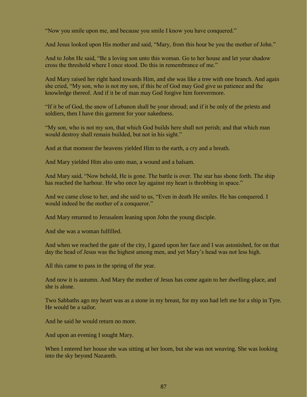"Now you smile upon me, and because you smile I know you have conquered."

And Jesus looked upon His mother and said, "Mary, from this hour be you the mother of John."

And to John He said, "Be a loving son unto this woman. Go to her house and let your shadow cross the threshold where I once stood. Do this in remembrance of me."

And Mary raised her right hand towards Him, and she was like a tree with one branch. And again she cried, "My son, who is not my son, if this be of God may God give us patience and the knowledge thereof. And if it be of man may God forgive him forevermore.

"If it be of God, the snow of Lebanon shall be your shroud; and if it be only of the priests and soldiers, then I have this garment for your nakedness.

"My son, who is not my son, that which God builds here shall not perish; and that which man would destroy shall remain builded, but not in his sight."

And at that moment the heavens yielded Him to the earth, a cry and a breath.

And Mary yielded Him also unto man, a wound and a balsam.

And Mary said, "Now behold, He is gone. The battle is over. The star has shone forth. The ship has reached the harbour. He who once lay against my heart is throbbing in space."

And we came close to her, and she said to us, "Even in death He smiles. He has conquered. I would indeed be the mother of a conqueror."

And Mary returned to Jerusalem leaning upon John the young disciple.

And she was a woman fulfilled.

And when we reached the gate of the city, I gazed upon her face and I was astonished, for on that day the head of Jesus was the highest among men, and yet Mary's head was not less high.

All this came to pass in the spring of the year.

And now it is autumn. And Mary the mother of Jesus has come again to her dwelling-place, and she is alone.

Two Sabbaths ago my heart was as a stone in my breast, for my son had left me for a ship in Tyre. He would be a sailor.

And he said he would return no more.

And upon an evening I sought Mary.

When I entered her house she was sitting at her loom, but she was not weaving. She was looking into the sky beyond Nazareth.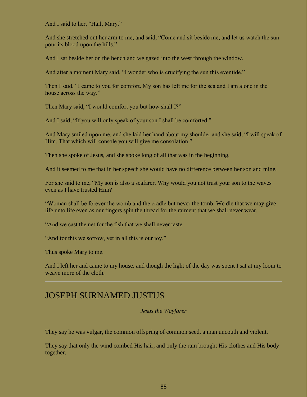And I said to her, "Hail, Mary."

And she stretched out her arm to me, and said, "Come and sit beside me, and let us watch the sun pour its blood upon the hills."

And I sat beside her on the bench and we gazed into the west through the window.

And after a moment Mary said, "I wonder who is crucifying the sun this eventide."

Then I said, "I came to you for comfort. My son has left me for the sea and I am alone in the house across the way."

Then Mary said, "I would comfort you but how shall I?"

And I said, "If you will only speak of your son I shall be comforted."

And Mary smiled upon me, and she laid her hand about my shoulder and she said, "I will speak of Him. That which will console you will give me consolation."

Then she spoke of Jesus, and she spoke long of all that was in the beginning.

And it seemed to me that in her speech she would have no difference between her son and mine.

For she said to me, "My son is also a seafarer. Why would you not trust your son to the waves even as I have trusted Him?

"Woman shall be forever the womb and the cradle but never the tomb. We die that we may give life unto life even as our fingers spin the thread for the raiment that we shall never wear.

"And we cast the net for the fish that we shall never taste.

"And for this we sorrow, yet in all this is our joy."

Thus spoke Mary to me.

And I left her and came to my house, and though the light of the day was spent I sat at my loom to weave more of the cloth.

### JOSEPH SURNAMED JUSTUS

*Jesus the Wayfarer*

They say he was vulgar, the common offspring of common seed, a man uncouth and violent.

They say that only the wind combed His hair, and only the rain brought His clothes and His body together.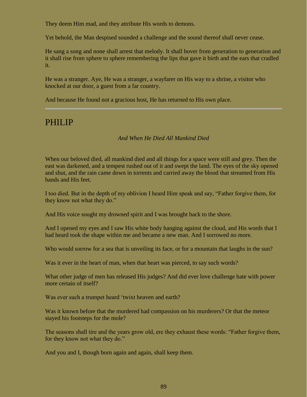They deem Him mad, and they attribute His words to demons.

Yet behold, the Man despised sounded a challenge and the sound thereof shall never cease.

He sang a song and none shall arrest that melody. It shall hover from generation to generation and it shall rise from sphere to sphere remembering the lips that gave it birth and the ears that cradled it.

He was a stranger. Aye, He was a stranger, a wayfarer on His way to a shrine, a visitor who knocked at our door, a guest from a far country.

And because He found not a gracious host, He has returned to His own place.

### PHILIP

### *And When He Died All Mankind Died*

When our beloved died, all mankind died and all things for a space were still and grey. Then the east was darkened, and a tempest rushed out of it and swept the land. The eyes of the sky opened and shut, and the rain came down in torrents and carried away the blood that streamed from His hands and His feet.

I too died. But in the depth of my oblivion I heard Him speak and say, "Father forgive them, for they know not what they do."

And His voice sought my drowned spirit and I was brought back to the shore.

And I opened my eyes and I saw His white body hanging against the cloud, and His words that I had heard took the shape within me and became a new man. And I sorrowed no more.

Who would sorrow for a sea that is unveiling its face, or for a mountain that laughs in the sun?

Was it ever in the heart of man, when that heart was pierced, to say such words?

What other judge of men has released His judges? And did ever love challenge hate with power more certain of itself?

Was ever such a trumpet heard 'twixt heaven and earth?

Was it known before that the murdered had compassion on his murderers? Or that the meteor stayed his footsteps for the mole?

The seasons shall tire and the years grow old, ere they exhaust these words: "Father forgive them, for they know not what they do."

And you and I, though born again and again, shall keep them.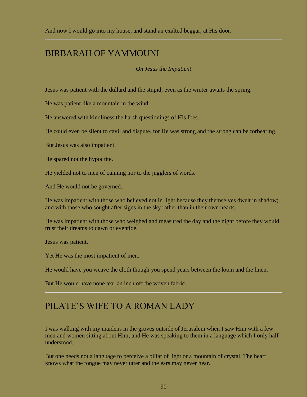### BIRBARAH OF YAMMOUNI

#### *On Jesus the Impatient*

Jesus was patient with the dullard and the stupid, even as the winter awaits the spring.

He was patient like a mountain in the wind.

He answered with kindliness the harsh questionings of His foes.

He could even be silent to cavil and dispute, for He was strong and the strong can be forbearing.

But Jesus was also impatient.

He spared not the hypocrite.

He yielded not to men of cunning nor to the jugglers of words.

And He would not be governed.

He was impatient with those who believed not in light because they themselves dwelt in shadow; and with those who sought after signs in the sky rather than in their own hearts.

He was impatient with those who weighed and measured the day and the night before they would trust their dreams to dawn or eventide.

Jesus was patient.

Yet He was the most impatient of men.

He would have you weave the cloth though you spend years between the loom and the linen.

But He would have none tear an inch off the woven fabric.

## PILATE'S WIFE TO A ROMAN LADY

I was walking with my maidens in the groves outside of Jerusalem when I saw Him with a few men and women sitting about Him; and He was speaking to them in a language which I only half understood.

But one needs not a language to perceive a pillar of light or a mountain of crystal. The heart knows what the tongue may never utter and the ears may never hear.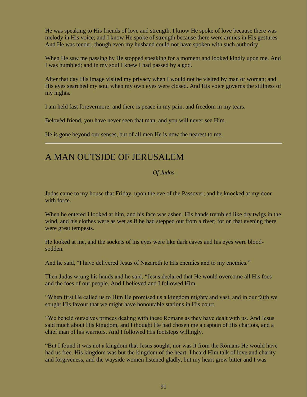He was speaking to His friends of love and strength. I know He spoke of love because there was melody in His voice; and I know He spoke of strength because there were armies in His gestures. And He was tender, though even my husband could not have spoken with such authority.

When He saw me passing by He stopped speaking for a moment and looked kindly upon me. And I was humbled; and in my soul I knew I had passed by a god.

After that day His image visited my privacy when I would not be visited by man or woman; and His eyes searched my soul when my own eyes were closed. And His voice governs the stillness of my nights.

I am held fast forevermore; and there is peace in my pain, and freedom in my tears.

Belovèd friend, you have never seen that man, and you will never see Him.

He is gone beyond our senses, but of all men He is now the nearest to me.

# A MAN OUTSIDE OF JERUSALEM

### *Of Judas*

Judas came to my house that Friday, upon the eve of the Passover; and he knocked at my door with force.

When he entered I looked at him, and his face was ashen. His hands trembled like dry twigs in the wind, and his clothes were as wet as if he had stepped out from a river; for on that evening there were great tempests.

He looked at me, and the sockets of his eyes were like dark caves and his eyes were bloodsodden.

And he said, "I have delivered Jesus of Nazareth to His enemies and to my enemies."

Then Judas wrung his hands and he said, "Jesus declared that He would overcome all His foes and the foes of our people. And I believed and I followed Him.

"When first He called us to Him He promised us a kingdom mighty and vast, and in our faith we sought His favour that we might have honourable stations in His court.

"We beheld ourselves princes dealing with these Romans as they have dealt with us. And Jesus said much about His kingdom, and I thought He had chosen me a captain of His chariots, and a chief man of his warriors. And I followed His footsteps willingly.

"But I found it was not a kingdom that Jesus sought, nor was it from the Romans He would have had us free. His kingdom was but the kingdom of the heart. I heard Him talk of love and charity and forgiveness, and the wayside women listened gladly, but my heart grew bitter and I was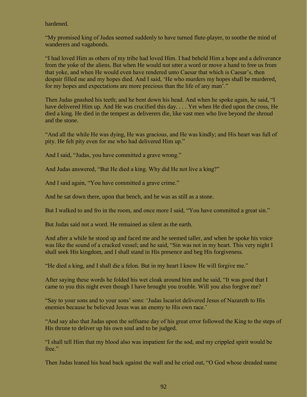hardened.

"My promised king of Judea seemed suddenly to have turned flute-player, to soothe the mind of wanderers and vagabonds.

"I had loved Him as others of my tribe had loved Him. I had beheld Him a hope and a deliverance from the yoke of the aliens. But when He would not utter a word or move a hand to free us from that yoke, and when He would even have rendered unto Caesar that which is Caesar's, then despair filled me and my hopes died. And I said, 'He who murders my hopes shall be murdered, for my hopes and expectations are more precious than the life of any man'."

Then Judas gnashed his teeth; and he bent down his head. And when he spoke again, he said, "I have delivered Him up. And He was crucified this day. . . . Yet when He died upon the cross, He died a king. He died in the tempest as deliverers die, like vast men who live beyond the shroud and the stone.

"And all the while He was dying, He was gracious, and He was kindly; and His heart was full of pity. He felt pity even for me who had delivered Him up."

And I said, "Judas, you have committed a grave wrong."

And Judas answered, "But He died a king. Why did He not live a king?"

And I said again, "You have committed a grave crime."

And he sat down there, upon that bench, and he was as still as a stone.

But I walked to and fro in the room, and once more I said, "You have committed a great sin."

But Judas said not a word. He remained as silent as the earth.

And after a while he stood up and faced me and he seemed taller, and when he spoke his voice was like the sound of a cracked vessel; and he said, "Sin was not in my heart. This very night I shall seek His kingdom, and I shall stand in His presence and beg His forgiveness.

"He died a king, and I shall die a felon. But in my heart I know He will forgive me."

After saying these words he folded his wet cloak around him and he said, "It was good that I came to you this night even though I have brought you trouble. Will you also forgive me?

"Say to your sons and to your sons' sons: 'Judas Iscariot delivered Jesus of Nazareth to His enemies because he believed Jesus was an enemy to His own race.'

"And say also that Judas upon the selfsame day of his great error followed the King to the steps of His throne to deliver up his own soul and to be judged.

"I shall tell Him that my blood also was impatient for the sod, and my crippled spirit would be free."

Then Judas leaned his head back against the wall and he cried out, "O God whose dreaded name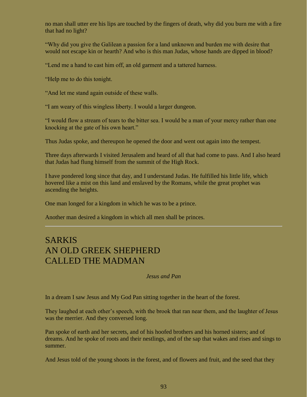no man shall utter ere his lips are touched by the fingers of death, why did you burn me with a fire that had no light?

"Why did you give the Galilean a passion for a land unknown and burden me with desire that would not escape kin or hearth? And who is this man Judas, whose hands are dipped in blood?

"Lend me a hand to cast him off, an old garment and a tattered harness.

"Help me to do this tonight.

"And let me stand again outside of these walls.

"I am weary of this wingless liberty. I would a larger dungeon.

"I would flow a stream of tears to the bitter sea. I would be a man of your mercy rather than one knocking at the gate of his own heart."

Thus Judas spoke, and thereupon he opened the door and went out again into the tempest.

Three days afterwards I visited Jerusalem and heard of all that had come to pass. And I also heard that Judas had flung himself from the summit of the High Rock.

I have pondered long since that day, and I understand Judas. He fulfilled his little life, which hovered like a mist on this land and enslaved by the Romans, while the great prophet was ascending the heights.

One man longed for a kingdom in which he was to be a prince.

Another man desired a kingdom in which all men shall be princes.

## SARKIS AN OLD GREEK SHEPHERD CALLED THE MADMAN

*Jesus and Pan*

In a dream I saw Jesus and My God Pan sitting together in the heart of the forest.

They laughed at each other's speech, with the brook that ran near them, and the laughter of Jesus was the merrier. And they conversed long.

Pan spoke of earth and her secrets, and of his hoofed brothers and his horned sisters; and of dreams. And he spoke of roots and their nestlings, and of the sap that wakes and rises and sings to summer.

And Jesus told of the young shoots in the forest, and of flowers and fruit, and the seed that they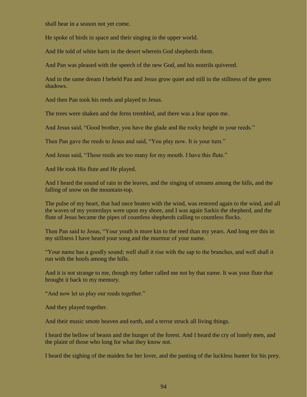shall bear in a season not yet come.

He spoke of birds in space and their singing in the upper world.

And He told of white harts in the desert wherein God shepherds them.

And Pan was pleased with the speech of the new God, and his nostrils quivered.

And in the same dream I beheld Pan and Jesus grow quiet and still in the stillness of the green shadows.

And then Pan took his reeds and played to Jesus.

The trees were shaken and the ferns trembled, and there was a fear upon me.

And Jesus said, "Good brother, you have the glade and the rocky height in your reeds."

Then Pan gave the reeds to Jesus and said, "You play now. It is your turn."

And Jesus said, "These reeds are too many for my mouth. I have this flute."

And He took His flute and He played.

And I heard the sound of rain in the leaves, and the singing of streams among the hills, and the falling of snow on the mountain-top.

The pulse of my heart, that had once beaten with the wind, was restored again to the wind, and all the waves of my yesterdays were upon my shore, and I was again Sarkis the shepherd, and the flute of Jesus became the pipes of countless shepherds calling to countless flocks.

Then Pan said to Jesus, "Your youth is more kin to the reed than my years. And long ere this in my stillness I have heard your song and the murmur of your name.

"Your name has a goodly sound; well shall it rise with the sap to the branches, and well shall it run with the hoofs among the hills.

And it is not strange to me, though my father called me not by that name. It was your flute that brought it back to my memory.

"And now let us play our reeds together."

And they played together.

And their music smote heaven and earth, and a terror struck all living things.

I heard the bellow of beasts and the hunger of the forest. And I heard the cry of lonely men, and the plaint of those who long for what they know not.

I heard the sighing of the maiden for her lover, and the panting of the luckless hunter for his prey.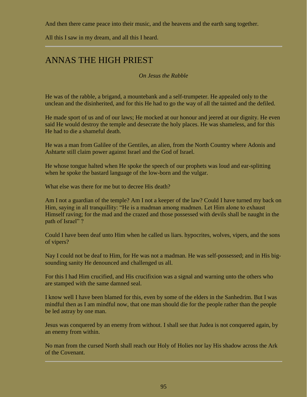And then there came peace into their music, and the heavens and the earth sang together.

All this I saw in my dream, and all this I heard.

# ANNAS THE HIGH PRIEST

*On Jesus the Rabble*

He was of the rabble, a brigand, a mountebank and a self-trumpeter. He appealed only to the unclean and the disinherited, and for this He had to go the way of all the tainted and the defiled.

He made sport of us and of our laws; He mocked at our honour and jeered at our dignity. He even said He would destroy the temple and desecrate the holy places. He was shameless, and for this He had to die a shameful death.

He was a man from Galilee of the Gentiles, an alien, from the North Country where Adonis and Ashtarte still claim power against Israel and the God of Israel.

He whose tongue halted when He spoke the speech of our prophets was loud and ear-splitting when he spoke the bastard language of the low-born and the vulgar.

What else was there for me but to decree His death?

Am I not a guardian of the temple? Am I not a keeper of the law? Could I have turned my back on Him, saying in all tranquillity: "He is a madman among madmen. Let Him alone to exhaust Himself raving; for the mad and the crazed and those possessed with devils shall be naught in the path of Israel" ?

Could I have been deaf unto Him when he called us liars. hypocrites, wolves, vipers, and the sons of vipers?

Nay I could not be deaf to Him, for He was not a madman. He was self-possessed; and in His bigsounding sanity He denounced and challenged us all.

For this I had Him crucified, and His crucifixion was a signal and warning unto the others who are stamped with the same damned seal.

I know well I have been blamed for this, even by some of the elders in the Sanhedrim. But I was mindful then as I am mindful now, that one man should die for the people rather than the people be led astray by one man.

Jesus was conquered by an enemy from without. I shall see that Judea is not conquered again, by an enemy from within.

No man from the cursed North shall reach our Holy of Holies nor lay His shadow across the Ark of the Covenant.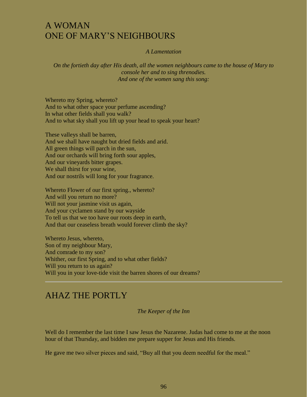## A WOMAN ONE OF MARY'S NEIGHBOURS

#### *A Lamentation*

*On the fortieth day after His death, all the women neighbours came to the house of Mary to console her and to sing threnodies. And one of the women sang this song:*

Whereto my Spring, whereto? And to what other space your perfume ascending? In what other fields shall you walk? And to what sky shall you lift up your head to speak your heart?

These valleys shall be barren, And we shall have naught but dried fields and arid. All green things will parch in the sun, And our orchards will bring forth sour apples, And our vineyards bitter grapes. We shall thirst for your wine, And our nostrils will long for your fragrance.

Whereto Flower of our first spring., whereto? And will you return no more? Will not your jasmine visit us again, And your cyclamen stand by our wayside To tell us that we too have our roots deep in earth, And that our ceaseless breath would forever climb the sky?

Whereto Jesus, whereto, Son of my neighbour Mary, And comrade to my son? Whither, our first Spring, and to what other fields? Will you return to us again? Will you in your love-tide visit the barren shores of our dreams?

## AHAZ THE PORTLY

#### *The Keeper of the Inn*

Well do I remember the last time I saw Jesus the Nazarene. Judas had come to me at the noon hour of that Thursday, and bidden me prepare supper for Jesus and His friends.

He gave me two silver pieces and said, "Buy all that you deem needful for the meal."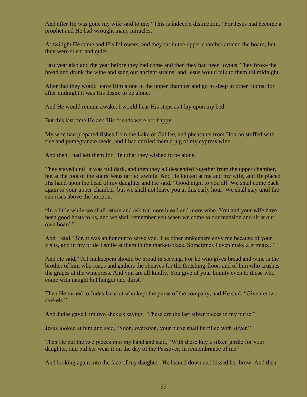And after He was gone my wife said to me, "This is indeed a distinction." For Jesus had become a prophet and He had wrought many miracles.

At twilight He came and His followers, and they sat in the upper chamber around the board, but they were silent and quiet.

Last year also and the year before they had come and then they had been joyous. They broke the bread and drank the wine and sang our ancient strains; and Jesus would talk to them till midnight.

After that they would leave Him alone in the upper chamber and go to sleep in other rooms; for after midnight it was His desire to be alone.

And He would remain awake; I would hear His steps as I lay upon my bed.

But this last time He and His friends were not happy.

My wife had prepared fishes from the Lake of Galilee, and pheasants from Houran stuffed with rice and pomegranate seeds, and I had carried them a jug of my cypress wine.

And then I had left them for I felt that they wished to be alone.

They stayed until it was full dark, and then they all descended together from the upper chamber, but at the foot of the stairs Jesus tarried awhile. And He looked at me and my wife, and He placed His hand upon the head of my daughter and He said, "Good night to you all. We shall come back again to your upper chamber, but we shall not leave you at this early hour. We shall stay until the sun rises above the horizon.

"In a little while we shall return and ask for more bread and more wine. You and your wife have been good hosts to us, and we shall remember you when we come to our mansion and sit at our own board."

And I said, "Sir, it was an honour to serve you. The other innkeepers envy me because of your visits, and in my pride I smile at them in the market-place. Sometimes I even make a grimace."

And He said, "All innkeepers should be proud in serving. For he who gives bread and wine is the brother of him who reaps and gathers the sheaves for the threshing-floor, and of him who crushes the grapes at the winepress. And you are all kindly. You give of your bounty even to those who come with naught but hunger and thirst."

Then He turned to Judas Iscariot who kept the purse of the company, and He said, "Give me two shekels."

And Judas gave Him two shekels saying: "These are the last silver pieces in my purse."

Jesus looked at him and said, "Soon, oversoon, your purse shall be filled with silver."

Then He put the two pieces into my hand and said, "With these buy a silken girdle for your daughter, and bid her wear it on the day of the Passover, in remembrance of me."

And looking again into the face of my daughter, He leaned down and kissed her brow. And then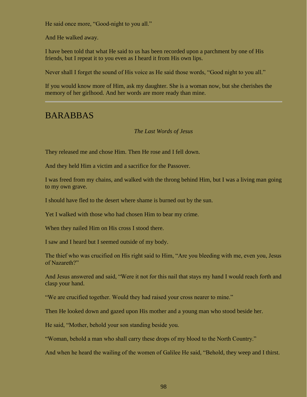He said once more, "Good-night to you all."

And He walked away.

I have been told that what He said to us has been recorded upon a parchment by one of His friends, but I repeat it to you even as I heard it from His own lips.

Never shall I forget the sound of His voice as He said those words, "Good night to you all."

If you would know more of Him, ask my daughter. She is a woman now, but she cherishes the memory of her girlhood. And her words are more ready than mine.

### BARABBAS

*The Last Words of Jesus*

They released me and chose Him. Then He rose and I fell down.

And they held Him a victim and a sacrifice for the Passover.

I was freed from my chains, and walked with the throng behind Him, but I was a living man going to my own grave.

I should have fled to the desert where shame is burned out by the sun.

Yet I walked with those who had chosen Him to bear my crime.

When they nailed Him on His cross I stood there.

I saw and I heard but I seemed outside of my body.

The thief who was crucified on His right said to Him, "Are you bleeding with me, even you, Jesus of Nazareth?"

And Jesus answered and said, "Were it not for this nail that stays my hand I would reach forth and clasp your hand.

"We are crucified together. Would they had raised your cross nearer to mine."

Then He looked down and gazed upon His mother and a young man who stood beside her.

He said, "Mother, behold your son standing beside you.

"Woman, behold a man who shall carry these drops of my blood to the North Country."

And when he heard the wailing of the women of Galilee He said, "Behold, they weep and I thirst.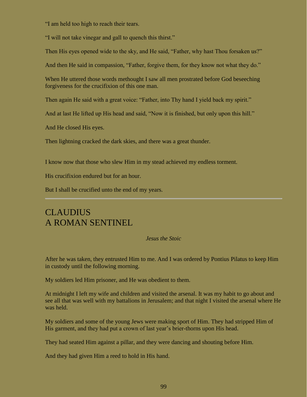"I am held too high to reach their tears.

"I will not take vinegar and gall to quench this thirst."

Then His eyes opened wide to the sky, and He said, "Father, why hast Thou forsaken us?"

And then He said in compassion, "Father, forgive them, for they know not what they do."

When He uttered those words methought I saw all men prostrated before God beseeching forgiveness for the crucifixion of this one man.

Then again He said with a great voice: "Father, into Thy hand I yield back my spirit."

And at last He lifted up His head and said, "Now it is finished, but only upon this hill."

And He closed His eyes.

Then lightning cracked the dark skies, and there was a great thunder.

I know now that those who slew Him in my stead achieved my endless torment.

His crucifixion endured but for an hour.

But I shall be crucified unto the end of my years.

# **CLAUDIUS** A ROMAN SENTINEL

#### *Jesus the Stoic*

After he was taken, they entrusted Him to me. And I was ordered by Pontius Pilatus to keep Him in custody until the following morning.

My soldiers led Him prisoner, and He was obedient to them.

At midnight I left my wife and children and visited the arsenal. It was my habit to go about and see all that was well with my battalions in Jerusalem; and that night I visited the arsenal where He was held.

My soldiers and some of the young Jews were making sport of Him. They had stripped Him of His garment, and they had put a crown of last year's brier-thorns upon His head.

They had seated Him against a pillar, and they were dancing and shouting before Him.

And they had given Him a reed to hold in His hand.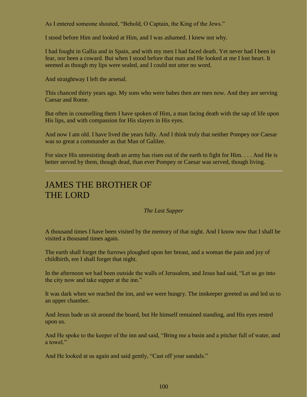As I entered someone shouted, "Behold, O Captain, the King of the Jews."

I stood before Him and looked at Him, and I was ashamed. I knew not why.

I had fought in Gallia and in Spain, and with my men I had faced death. Yet never had I been in fear, nor been a coward. But when I stood before that man and He looked at me I lost heart. It seemed as though my lips were sealed, and I could not utter no word.

And straightway I left the arsenal.

This chanced thirty years ago. My sons who were babes then are men now. And they are serving Caesar and Rome.

But often in counselling them I have spoken of Him, a man facing death with the sap of life upon His lips, and with compassion for His slayers in His eyes.

And now I am old. I have lived the years fully. And I think truly that neither Pompey nor Caesar was so great a commander as that Man of Galilee.

For since His unresisting death an army has risen out of the earth to fight for Him. . . . And He is better served by them, though dead, than ever Pompey or Caesar was served, though living.

# JAMES THE BROTHER OF THE LORD

### *The Last Supper*

A thousand times I have been visited by the memory of that night. And I know now that I shall be visited a thousand times again.

The earth shall forget the furrows ploughed upon her breast, and a woman the pain and joy of childbirth, ere I shall forget that night.

In the afternoon we had been outside the walls of Jerusalem, and Jesus had said, "Let us go into the city now and take supper at the inn."

It was dark when we reached the inn, and we were hungry. The innkeeper greeted us and led us to an upper chamber.

And Jesus bade us sit around the board, but He himself remained standing, and His eyes rested upon us.

And He spoke to the keeper of the inn and said, "Bring me a basin and a pitcher full of water, and a towel."

And He looked at us again and said gently, "Cast off your sandals."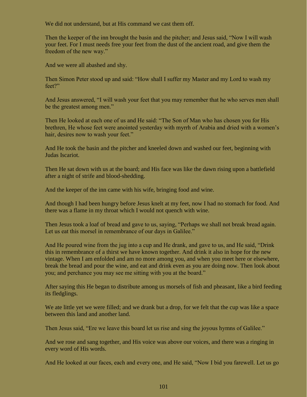We did not understand, but at His command we cast them off.

Then the keeper of the inn brought the basin and the pitcher; and Jesus said, "Now I will wash your feet. For I must needs free your feet from the dust of the ancient road, and give them the freedom of the new way."

And we were all abashed and shy.

Then Simon Peter stood up and said: "How shall I suffer my Master and my Lord to wash my feet?"

And Jesus answered, "I will wash your feet that you may remember that he who serves men shall be the greatest among men."

Then He looked at each one of us and He said: "The Son of Man who has chosen you for His brethren, He whose feet were anointed yesterday with myrrh of Arabia and dried with a women's hair, desires now to wash your feet."

And He took the basin and the pitcher and kneeled down and washed our feet, beginning with Judas Iscariot.

Then He sat down with us at the board; and His face was like the dawn rising upon a battlefield after a night of strife and blood-shedding.

And the keeper of the inn came with his wife, bringing food and wine.

And though I had been hungry before Jesus knelt at my feet, now I had no stomach for food. And there was a flame in my throat which I would not quench with wine.

Then Jesus took a loaf of bread and gave to us, saying, "Perhaps we shall not break bread again. Let us eat this morsel in remembrance of our days in Galilee."

And He poured wine from the jug into a cup and He drank, and gave to us, and He said, "Drink this in remembrance of a thirst we have known together. And drink it also in hope for the new vintage. When I am enfolded and am no more among you, and when you meet here or elsewhere, break the bread and pour the wine, and eat and drink even as you are doing now. Then look about you; and perchance you may see me sitting with you at the board."

After saying this He began to distribute among us morsels of fish and pheasant, like a bird feeding its fledglings.

We ate little yet we were filled; and we drank but a drop, for we felt that the cup was like a space between this land and another land.

Then Jesus said, "Ere we leave this board let us rise and sing the joyous hymns of Galilee."

And we rose and sang together, and His voice was above our voices, and there was a ringing in every word of His words.

And He looked at our faces, each and every one, and He said, "Now I bid you farewell. Let us go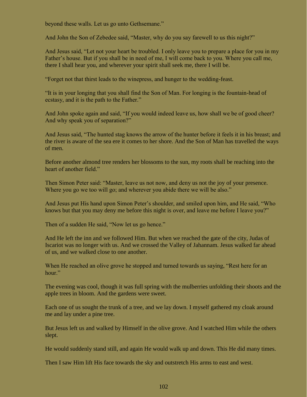beyond these walls. Let us go unto Gethsemane."

And John the Son of Zebedee said, "Master, why do you say farewell to us this night?"

And Jesus said, "Let not your heart be troubled. I only leave you to prepare a place for you in my Father's house. But if you shall be in need of me, I will come back to you. Where you call me, there I shall hear you, and wherever your spirit shall seek me, there I will be.

"Forget not that thirst leads to the winepress, and hunger to the wedding-feast.

"It is in your longing that you shall find the Son of Man. For longing is the fountain-head of ecstasy, and it is the path to the Father."

And John spoke again and said, "If you would indeed leave us, how shall we be of good cheer? And why speak you of separation?"

And Jesus said, "The hunted stag knows the arrow of the hunter before it feels it in his breast; and the river is aware of the sea ere it comes to her shore. And the Son of Man has travelled the ways of men.

Before another almond tree renders her blossoms to the sun, my roots shall be reaching into the heart of another field."

Then Simon Peter said: "Master, leave us not now, and deny us not the joy of your presence. Where you go we too will go; and wherever you abide there we will be also."

And Jesus put His hand upon Simon Peter's shoulder, and smiled upon him, and He said, "Who knows but that you may deny me before this night is over, and leave me before I leave you?"

Then of a sudden He said, "Now let us go hence."

And He left the inn and we followed Him. But when we reached the gate of the city, Judas of Iscariot was no longer with us. And we crossed the Valley of Jahannam. Jesus walked far ahead of us, and we walked close to one another.

When He reached an olive grove he stopped and turned towards us saying, "Rest here for an hour."

The evening was cool, though it was full spring with the mulberries unfolding their shoots and the apple trees in bloom. And the gardens were sweet.

Each one of us sought the trunk of a tree, and we lay down. I myself gathered my cloak around me and lay under a pine tree.

But Jesus left us and walked by Himself in the olive grove. And I watched Him while the others slept.

He would suddenly stand still, and again He would walk up and down. This He did many times.

Then I saw Him lift His face towards the sky and outstretch His arms to east and west.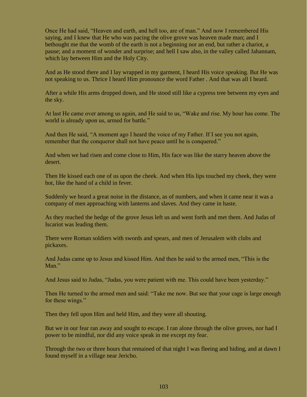Once He had said, "Heaven and earth, and hell too, are of man." And now I remembered His saying, and I knew that He who was pacing the olive grove was heaven made man; and I bethought me that the womb of the earth is not a beginning nor an end, but rather a chariot, a pause; and a moment of wonder and surprise; and hell I saw also, in the valley called Jahannam, which lay between Him and the Holy City.

And as He stood there and I lay wrapped in my garment, I heard His voice speaking. But He was not speaking to us. Thrice I heard Him pronounce the word Father . And that was all I heard.

After a while His arms dropped down, and He stood still like a cypress tree between my eyes and the sky.

At last He came over among us again, and He said to us, "Wake and rise. My hour has come. The world is already upon us, armed for battle."

And then He said, "A moment ago I heard the voice of my Father. If I see you not again, remember that the conqueror shall not have peace until he is conquered."

And when we had risen and come close to Him, His face was like the starry heaven above the desert.

Then He kissed each one of us upon the cheek. And when His lips touched my cheek, they were hot, like the hand of a child in fever.

Suddenly we heard a great noise in the distance, as of numbers, and when it came near it was a company of men approaching with lanterns and slaves. And they came in haste.

As they reached the hedge of the grove Jesus left us and went forth and met them. And Judas of Iscariot was leading them.

There were Roman soldiers with swords and spears, and men of Jerusalem with clubs and pickaxes.

And Judas came up to Jesus and kissed Him. And then he said to the armed men, "This is the Man<sup>"</sup>

And Jesus said to Judas, "Judas, you were patient with me. This could have been yesterday."

Then He turned to the armed men and said: "Take me now. But see that your cage is large enough for these wings."

Then they fell upon Him and held Him, and they were all shouting.

But we in our fear ran away and sought to escape. I ran alone through the olive groves, nor had I power to be mindful, nor did any voice speak in me except my fear.

Through the two or three hours that remained of that night I was fleeing and hiding, and at dawn I found myself in a village near Jericho.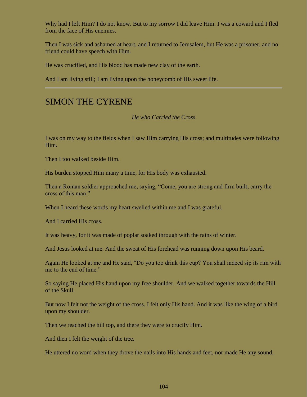Why had I left Him? I do not know. But to my sorrow I did leave Him. I was a coward and I fled from the face of His enemies.

Then I was sick and ashamed at heart, and I returned to Jerusalem, but He was a prisoner, and no friend could have speech with Him.

He was crucified, and His blood has made new clay of the earth.

And I am living still; I am living upon the honeycomb of His sweet life.

### SIMON THE CYRENE

#### *He who Carried the Cross*

I was on my way to the fields when I saw Him carrying His cross; and multitudes were following Him.

Then I too walked beside Him.

His burden stopped Him many a time, for His body was exhausted.

Then a Roman soldier approached me, saying, "Come, you are strong and firm built; carry the cross of this man."

When I heard these words my heart swelled within me and I was grateful.

And I carried His cross.

It was heavy, for it was made of poplar soaked through with the rains of winter.

And Jesus looked at me. And the sweat of His forehead was running down upon His beard.

Again He looked at me and He said, "Do you too drink this cup? You shall indeed sip its rim with me to the end of time."

So saying He placed His hand upon my free shoulder. And we walked together towards the Hill of the Skull.

But now I felt not the weight of the cross. I felt only His hand. And it was like the wing of a bird upon my shoulder.

Then we reached the hill top, and there they were to crucify Him.

And then I felt the weight of the tree.

He uttered no word when they drove the nails into His hands and feet, nor made He any sound.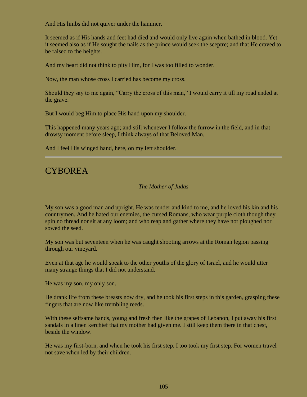And His limbs did not quiver under the hammer.

It seemed as if His hands and feet had died and would only live again when bathed in blood. Yet it seemed also as if He sought the nails as the prince would seek the sceptre; and that He craved to be raised to the heights.

And my heart did not think to pity Him, for I was too filled to wonder.

Now, the man whose cross I carried has become my cross.

Should they say to me again, "Carry the cross of this man," I would carry it till my road ended at the grave.

But I would beg Him to place His hand upon my shoulder.

This happened many years ago; and still whenever I follow the furrow in the field, and in that drowsy moment before sleep, I think always of that Beloved Man.

And I feel His winged hand, here, on my left shoulder.

## CYBOREA

### *The Mother of Judas*

My son was a good man and upright. He was tender and kind to me, and he loved his kin and his countrymen. And he hated our enemies, the cursed Romans, who wear purple cloth though they spin no thread nor sit at any loom; and who reap and gather where they have not ploughed nor sowed the seed.

My son was but seventeen when he was caught shooting arrows at the Roman legion passing through our vineyard.

Even at that age he would speak to the other youths of the glory of Israel, and he would utter many strange things that I did not understand.

He was my son, my only son.

He drank life from these breasts now dry, and he took his first steps in this garden, grasping these fingers that are now like trembling reeds.

With these selfsame hands, young and fresh then like the grapes of Lebanon, I put away his first sandals in a linen kerchief that my mother had given me. I still keep them there in that chest, beside the window.

He was my first-born, and when he took his first step, I too took my first step. For women travel not save when led by their children.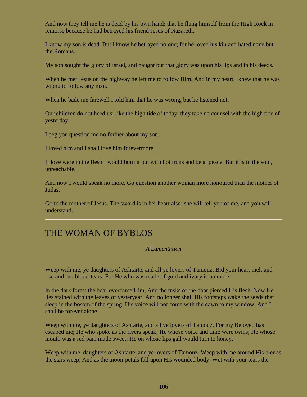And now they tell me he is dead by his own hand; that he flung himself from the High Rock in remorse because he had betrayed his friend Jesus of Nazareth.

I know my son is dead. But I know he betrayed no one; for he loved his kin and hated none but the Romans.

My son sought the glory of Israel, and naught but that glory was upon his lips and in his deeds.

When he met Jesus on the highway he left me to follow Him. And in my heart I knew that he was wrong to follow any man.

When he bade me farewell I told him that he was wrong, but he listened not.

Our children do not heed us; like the high tide of today, they take no counsel with the high tide of yesterday.

I beg you question me no further about my son.

I loved him and I shall love him forevermore.

If love were in the flesh I would burn it out with hot irons and be at peace. But it is in the soul, unreachable.

And now I would speak no more. Go question another woman more honoured than the mother of Judas.

Go to the mother of Jesus. The sword is in her heart also; she will tell you of me, and you will understand.

### THE WOMAN OF BYBLOS

*A Lamentation*

Weep with me, ye daughters of Ashtarte, and all ye lovers of Tamouz, Bid your heart melt and rise and run blood-tears, For He who was made of gold and ivory is no more.

In the dark forest the boar overcame Him, And the tusks of the boar pierced His flesh. Now He lies stained with the leaves of yesteryear, And no longer shall His footsteps wake the seeds that sleep in the bosom of the spring. His voice will not come with the dawn to my window, And I shall be forever alone.

Weep with me, ye daughters of Ashtarte, and all ye lovers of Tamouz, For my Beloved has escaped me; He who spoke as the rivers speak; He whose voice and time were twins; He whose mouth was a red pain made sweet; He on whose lips gall would turn to honey.

Weep with me, daughters of Ashtarte, and ye lovers of Tamouz. Weep with me around His bier as the stars weep, And as the moon-petals fall upon His wounded body. Wet with your tears the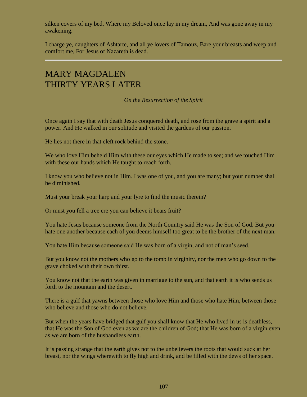silken covers of my bed, Where my Beloved once lay in my dream, And was gone away in my awakening.

I charge ye, daughters of Ashtarte, and all ye lovers of Tamouz, Bare your breasts and weep and comfort me, For Jesus of Nazareth is dead.

# MARY MAGDALEN THIRTY YEARS LATER

*On the Resurrection of the Spirit*

Once again I say that with death Jesus conquered death, and rose from the grave a spirit and a power. And He walked in our solitude and visited the gardens of our passion.

He lies not there in that cleft rock behind the stone.

We who love Him beheld Him with these our eyes which He made to see; and we touched Him with these our hands which He taught to reach forth.

I know you who believe not in Him. I was one of you, and you are many; but your number shall be diminished.

Must your break your harp and your lyre to find the music therein?

Or must you fell a tree ere you can believe it bears fruit?

You hate Jesus because someone from the North Country said He was the Son of God. But you hate one another because each of you deems himself too great to be the brother of the next man.

You hate Him because someone said He was born of a virgin, and not of man's seed.

But you know not the mothers who go to the tomb in virginity, nor the men who go down to the grave choked with their own thirst.

You know not that the earth was given in marriage to the sun, and that earth it is who sends us forth to the mountain and the desert.

There is a gulf that yawns between those who love Him and those who hate Him, between those who believe and those who do not believe.

But when the years have bridged that gulf you shall know that He who lived in us is deathless, that He was the Son of God even as we are the children of God; that He was born of a virgin even as we are born of the husbandless earth.

It is passing strange that the earth gives not to the unbelievers the roots that would suck at her breast, nor the wings wherewith to fly high and drink, and be filled with the dews of her space.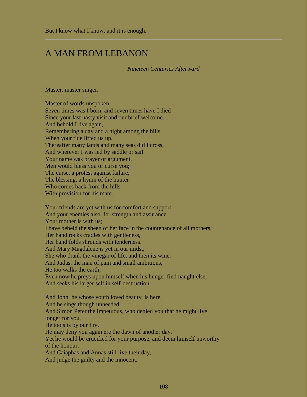## A MAN FROM LEBANON

*Nineteen Centuries Afterward*

Master, master singer,

Master of words unspoken, Seven times was I born, and seven times have I died Since your last hasty visit and our brief welcome. And behold I live again, Remembering a day and a night among the hills, When your tide lifted us up. Thereafter many lands and many seas did I cross, And wherever I was led by saddle or sail Your name was prayer or argument. Men would bless you or curse you; The curse, a protest against failure, The blessing, a hymn of the hunter Who comes back from the hills With provision for his mate.

Your friends are yet with us for comfort and support, And your enemies also, for strength and assurance. Your mother is with us; I have beheld the sheen of her face in the countenance of all mothers; Her hand rocks cradles with gentleness, Her hand folds shrouds with tenderness. And Mary Magdalene is yet in our midst, She who drank the vinegar of life, and then its wine. And Judas, the man of pain and small ambitions, He too walks the earth; Even now he preys upon himself when his hunger find naught else, And seeks his larger self in self-destruction.

And John, he whose youth loved beauty, is here, And he sings though unheeded. And Simon Peter the impetuous, who denied you that he might live longer for you, He too sits by our fire. He may deny you again ere the dawn of another day, Yet he would be crucified for your purpose, and deem himself unworthy of the honour. And Caiaphas and Annas still live their day, And judge the guilty and the innocent.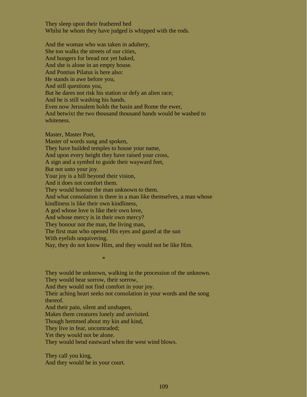They sleep upon their feathered bed Whilst he whom they have judged is whipped with the rods.

And the woman who was taken in adultery, She too walks the streets of our cities, And hungers for bread not yet baked, And she is alone in an empty house. And Pontius Pilatus is here also: He stands in awe before you, And still questions you, But he dares not risk his station or defy an alien race; And he is still washing his hands. Even now Jerusalem holds the basin and Rome the ewer, And betwixt the two thousand thousand hands would be washed to whiteness.

Master, Master Poet, Master of words sung and spoken, They have builded temples to house your name, And upon every height they have raised your cross, A sign and a symbol to guide their wayward feet, But not unto your joy. Your joy is a hill beyond their vision, And it does not comfort them. They would honour the man unknown to them. And what consolation is there in a man like themselves, a man whose kindliness is like their own kindliness, A god whose love is like their own love, And whose mercy is in their own mercy? They honour not the man, the living man, The first man who opened His eyes and gazed at the sun With eyelids unquivering. Nay, they do not know Him, and they would not be like Him.

\*\*\*\*\*\*\*\*\*\*\*\*\*\*\*\*\*\*\*\*\*\*\*

They would be unknown, walking in the procession of the unknown. They would bear sorrow, their sorrow,

And they would not find comfort in your joy.

Their aching heart seeks not consolation in your words and the song thereof.

And their pain, silent and unshapen,

Makes them creatures lonely and unvisited.

Though hemmed about my kin and kind,

They live in fear, uncomraded;

Yet they would not be alone.

They would bend eastward when the west wind blows.

They call you king, And they would be in your court.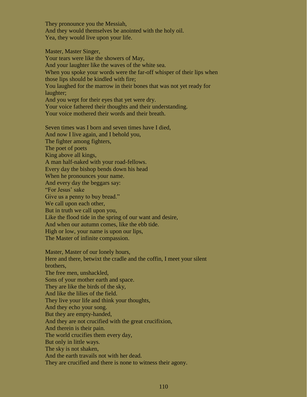They pronounce you the Messiah, And they would themselves be anointed with the holy oil. Yea, they would live upon your life.

Master, Master Singer, Your tears were like the showers of May, And your laughter like the waves of the white sea. When you spoke your words were the far-off whisper of their lips when those lips should be kindled with fire; You laughed for the marrow in their bones that was not yet ready for laughter; And you wept for their eyes that yet were dry. Your voice fathered their thoughts and their understanding. Your voice mothered their words and their breath.

Seven times was I born and seven times have I died, And now I live again, and I behold you, The fighter among fighters, The poet of poets King above all kings, A man half-naked with your road-fellows. Every day the bishop bends down his head When he pronounces your name. And every day the beggars say: "For Jesus' sake Give us a penny to buy bread." We call upon each other, But in truth we call upon you, Like the flood tide in the spring of our want and desire, And when our autumn comes, like the ebb tide. High or low, your name is upon our lips, The Master of infinite compassion.

Master, Master of our lonely hours, Here and there, betwixt the cradle and the coffin, I meet your silent brothers, The free men, unshackled, Sons of your mother earth and space. They are like the birds of the sky, And like the lilies of the field. They live your life and think your thoughts, And they echo your song. But they are empty-handed, And they are not crucified with the great crucifixion, And therein is their pain. The world crucifies them every day, But only in little ways. The sky is not shaken, And the earth travails not with her dead. They are crucified and there is none to witness their agony.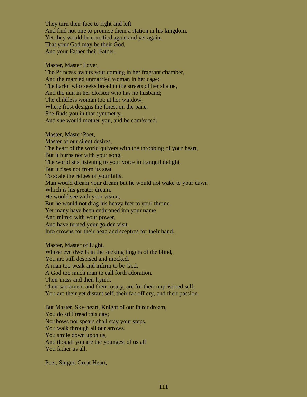They turn their face to right and left And find not one to promise them a station in his kingdom. Yet they would be crucified again and yet again, That your God may be their God, And your Father their Father.

Master, Master Lover,

The Princess awaits your coming in her fragrant chamber, And the married unmarried woman in her cage; The harlot who seeks bread in the streets of her shame, And the nun in her cloister who has no husband; The childless woman too at her window, Where frost designs the forest on the pane, She finds you in that symmetry, And she would mother you, and be comforted.

Master, Master Poet, Master of our silent desires, The heart of the world quivers with the throbbing of your heart, But it burns not with your song. The world sits listening to your voice in tranquil delight, But it rises not from its seat To scale the ridges of your hills. Man would dream your dream but he would not wake to your dawn Which is his greater dream. He would see with your vision, But he would not drag his heavy feet to your throne. Yet many have been enthroned inn your name And mitred with your power, And have turned your golden visit Into crowns for their head and sceptres for their hand.

Master, Master of Light, Whose eye dwells in the seeking fingers of the blind, You are still despised and mocked, A man too weak and infirm to be God, A God too much man to call forth adoration. Their mass and their hymn, Their sacrament and their rosary, are for their imprisoned self. You are their yet distant self, their far-off cry, and their passion.

But Master, Sky-heart, Knight of our fairer dream, You do still tread this day; Nor bows nor spears shall stay your steps. You walk through all our arrows. You smile down upon us, And though you are the youngest of us all You father us all.

Poet, Singer, Great Heart,